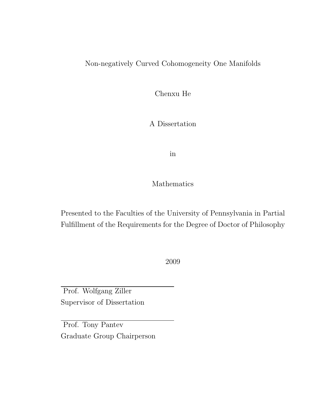#### Non-negatively Curved Cohomogeneity One Manifolds

Chenxu He

A Dissertation

in

Mathematics

Presented to the Faculties of the University of Pennsylvania in Partial Fulfillment of the Requirements for the Degree of Doctor of Philosophy

2009

Prof. Wolfgang Ziller Supervisor of Dissertation

Prof. Tony Pantev Graduate Group Chairperson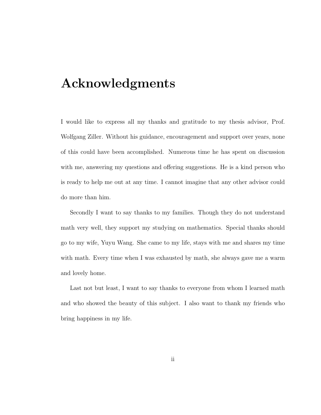## Acknowledgments

I would like to express all my thanks and gratitude to my thesis advisor, Prof. Wolfgang Ziller. Without his guidance, encouragement and support over years, none of this could have been accomplished. Numerous time he has spent on discussion with me, answering my questions and offering suggestions. He is a kind person who is ready to help me out at any time. I cannot imagine that any other advisor could do more than him.

Secondly I want to say thanks to my families. Though they do not understand math very well, they support my studying on mathematics. Special thanks should go to my wife, Yuyu Wang. She came to my life, stays with me and shares my time with math. Every time when I was exhausted by math, she always gave me a warm and lovely home.

Last not but least, I want to say thanks to everyone from whom I learned math and who showed the beauty of this subject. I also want to thank my friends who bring happiness in my life.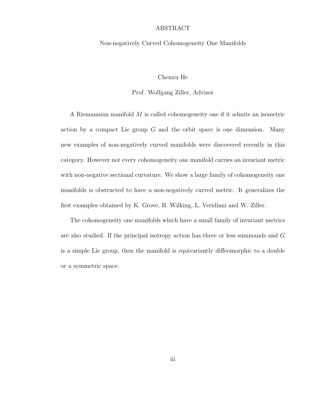#### ABSTRACT

#### Non-negatively Curved Cohomogeneity One Manifolds

#### Chenxu He

#### Prof. Wolfgang Ziller, Advisor

A Riemannian manifold M is called cohomogeneity one if it admits an isometric action by a compact Lie group  $G$  and the orbit space is one dimension. Many new examples of non-negatively curved manifolds were discovered recently in this category. However not every cohomogeneity one manifold carries an invariant metric with non-negative sectional curvature. We show a large family of cohomogeneity one manifolds is obstructed to have a non-negatively curved metric. It generalizes the first examples obtained by K. Grove, B. Wilking, L. Veridiani and W. Ziller.

The cohomogeneity one manifolds which have a small family of invariant metrics are also studied. If the principal isotropy action has three or less summands and G is a simple Lie group, then the manifold is equivariantly diffeomorphic to a double or a symmetric space.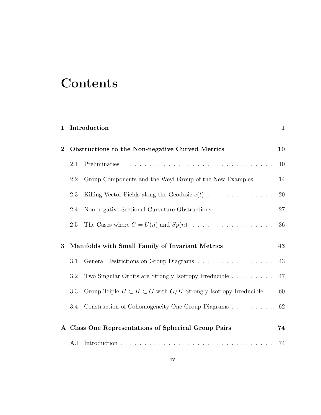# **Contents**

| 1                                                                   |     | Introduction                                                                  | $\mathbf{1}$ |
|---------------------------------------------------------------------|-----|-------------------------------------------------------------------------------|--------------|
| Obstructions to the Non-negative Curved Metrics<br>$\boldsymbol{2}$ |     |                                                                               | 10           |
|                                                                     | 2.1 |                                                                               | 10           |
|                                                                     | 2.2 | Group Components and the Weyl Group of the New Examples                       | 14           |
|                                                                     | 2.3 | Killing Vector Fields along the Geodesic $c(t)$                               | $20\,$       |
|                                                                     | 2.4 | Non-negative Sectional Curvature Obstructions $\ldots \ldots \ldots \ldots$   | 27           |
|                                                                     | 2.5 |                                                                               | 36           |
|                                                                     |     |                                                                               |              |
| 3                                                                   |     | Manifolds with Small Family of Invariant Metrics                              | 43           |
|                                                                     | 3.1 |                                                                               | 43           |
|                                                                     | 3.2 | Two Singular Orbits are Strongly Isotropy Irreducible                         | 47           |
|                                                                     | 3.3 | Group Triple $H \subset K \subset G$ with $G/K$ Strongly Isotropy Irreducible | 60           |
|                                                                     | 3.4 | Construction of Cohomogeneity One Group Diagrams                              | 62           |
|                                                                     |     | A Class One Representations of Spherical Group Pairs                          | 74           |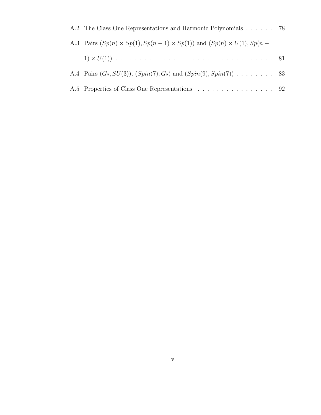| A.2 The Class One Representations and Harmonic Polynomials 78                             |  |
|-------------------------------------------------------------------------------------------|--|
| A.3 Pairs $(Sp(n) \times Sp(1), Sp(n-1) \times Sp(1))$ and $(Sp(n) \times U(1), Sp(n-1))$ |  |
|                                                                                           |  |
| A.4 Pairs $(G_2, SU(3)), (Spin(7), G_2)$ and $(Spin(9), Spin(7))$ 83                      |  |
| A.5 Properties of Class One Representations 92                                            |  |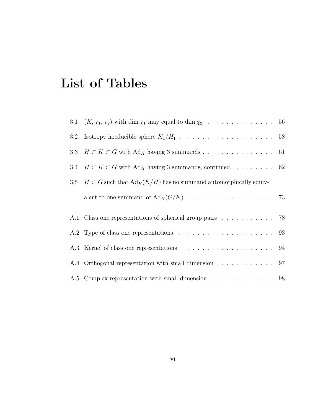# List of Tables

|         | 3.1 $(K, \chi_1, \chi_2)$ with dim $\chi_1$ may equal to dim $\chi_2$ 56             |  |
|---------|--------------------------------------------------------------------------------------|--|
| $3.2\,$ |                                                                                      |  |
|         | 3.3 $H \subset K \subset G$ with Ad <sub>H</sub> having 3 summands 61                |  |
|         | 3.4 $H \subset K \subset G$ with Ad <sub>H</sub> having 3 summands, continued. 62    |  |
|         | 3.5 $H \subset G$ such that $\text{Ad}_H(K/H)$ has no summand automorphically equiv- |  |
|         |                                                                                      |  |
|         | A.1 Class one representations of spherical group pairs 78                            |  |
|         |                                                                                      |  |
|         |                                                                                      |  |
|         | A.4 Orthogonal representation with small dimension 97                                |  |
|         | A.5 Complex representation with small dimension 98                                   |  |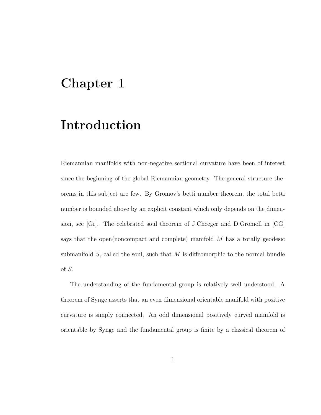## Chapter 1

## Introduction

Riemannian manifolds with non-negative sectional curvature have been of interest since the beginning of the global Riemannian geometry. The general structure theorems in this subject are few. By Gromov's betti number theorem, the total betti number is bounded above by an explicit constant which only depends on the dimension, see [Gr]. The celebrated soul theorem of J.Cheeger and D.Gromoll in [CG] says that the open(noncompact and complete) manifold M has a totally geodesic submanifold  $S$ , called the soul, such that M is diffeomorphic to the normal bundle of S.

The understanding of the fundamental group is relatively well understood. A theorem of Synge asserts that an even dimensional orientable manifold with positive curvature is simply connected. An odd dimensional positively curved manifold is orientable by Synge and the fundamental group is finite by a classical theorem of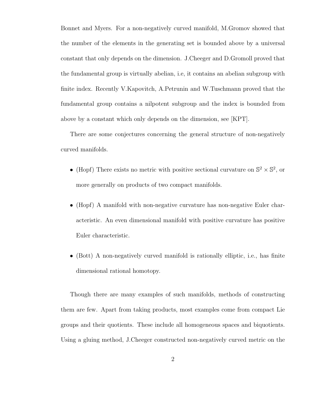Bonnet and Myers. For a non-negatively curved manifold, M.Gromov showed that the number of the elements in the generating set is bounded above by a universal constant that only depends on the dimension. J.Cheeger and D.Gromoll proved that the fundamental group is virtually abelian, i.e, it contains an abelian subgroup with finite index. Recently V.Kapovitch, A.Petrunin and W.Tuschmann proved that the fundamental group contains a nilpotent subgroup and the index is bounded from above by a constant which only depends on the dimension, see [KPT].

There are some conjectures concerning the general structure of non-negatively curved manifolds.

- (Hopf) There exists no metric with positive sectional curvature on  $\mathbb{S}^2 \times \mathbb{S}^2$ , or more generally on products of two compact manifolds.
- (Hopf) A manifold with non-negative curvature has non-negative Euler characteristic. An even dimensional manifold with positive curvature has positive Euler characteristic.
- (Bott) A non-negatively curved manifold is rationally elliptic, i.e., has finite dimensional rational homotopy.

Though there are many examples of such manifolds, methods of constructing them are few. Apart from taking products, most examples come from compact Lie groups and their quotients. These include all homogeneous spaces and biquotients. Using a gluing method, J.Cheeger constructed non-negatively curved metric on the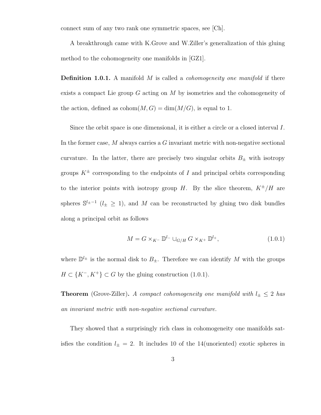connect sum of any two rank one symmetric spaces, see [Ch].

A breakthrough came with K.Grove and W.Ziller's generalization of this gluing method to the cohomogeneity one manifolds in [GZ1].

**Definition 1.0.1.** A manifold  $M$  is called a *cohomogeneity one manifold* if there exists a compact Lie group  $G$  acting on  $M$  by isometries and the cohomogeneity of the action, defined as  $\text{cohom}(M, G) = \dim(M/G)$ , is equal to 1.

Since the orbit space is one dimensional, it is either a circle or a closed interval I. In the former case,  $M$  always carries a  $G$  invariant metric with non-negative sectional curvature. In the latter, there are precisely two singular orbits  $B_{\pm}$  with isotropy groups  $K^{\pm}$  corresponding to the endpoints of I and principal orbits corresponding to the interior points with isotropy group H. By the slice theorem,  $K^{\pm}/H$  are spheres  $\mathbb{S}^{l_{\pm}-1}$  ( $l_{\pm} \geq 1$ ), and M can be reconstructed by gluing two disk bundles along a principal orbit as follows

$$
M = G \times_{K^-} \mathbb{D}^{l_-} \cup_{G/H} G \times_{K^+} \mathbb{D}^{l_+},
$$
\n(1.0.1)

where  $\mathbb{D}^{l_{\pm}}$  is the normal disk to  $B_{\pm}$ . Therefore we can identify M with the groups  $H \subset \{K^-, K^+\} \subset G$  by the gluing construction (1.0.1).

**Theorem** (Grove-Ziller). A compact cohomogeneity one manifold with  $l_{\pm} \leq 2$  has an invariant metric with non-negative sectional curvature.

They showed that a surprisingly rich class in cohomogeneity one manifolds satisfies the condition  $l_{\pm} = 2$ . It includes 10 of the 14(unoriented) exotic spheres in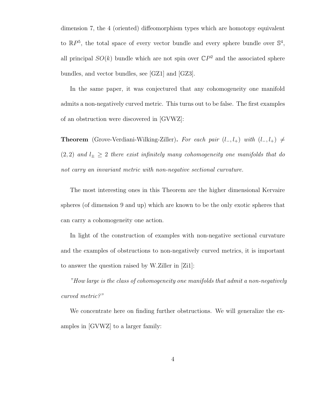dimension 7, the 4 (oriented) diffeomorphism types which are homotopy equivalent to  $\mathbb{R}P^5$ , the total space of every vector bundle and every sphere bundle over  $\mathbb{S}^4$ , all principal  $SO(k)$  bundle which are not spin over  $\mathbb{C}P^2$  and the associated sphere bundles, and vector bundles, see [GZ1] and [GZ3].

In the same paper, it was conjectured that any cohomogeneity one manifold admits a non-negatively curved metric. This turns out to be false. The first examples of an obstruction were discovered in [GVWZ]:

**Theorem** (Grove-Verdiani-Wilking-Ziller). For each pair  $(l_-, l_+)$  with  $(l_-, l_+) \neq$ (2, 2) and  $l_{\pm} \geq 2$  there exist infinitely many cohomogeneity one manifolds that do not carry an invariant metric with non-negative sectional curvature.

The most interesting ones in this Theorem are the higher dimensional Kervaire spheres (of dimension 9 and up) which are known to be the only exotic spheres that can carry a cohomogeneity one action.

In light of the construction of examples with non-negative sectional curvature and the examples of obstructions to non-negatively curved metrics, it is important to answer the question raised by W.Ziller in [Zi1]:

"How large is the class of cohomogeneity one manifolds that admit a non-negatively curved metric?"

We concentrate here on finding further obstructions. We will generalize the examples in [GVWZ] to a larger family: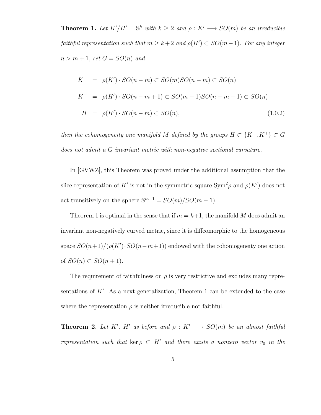**Theorem 1.** Let  $K'/H' = \mathbb{S}^k$  with  $k \geq 2$  and  $\rho : K' \longrightarrow SO(m)$  be an irreducible faithful representation such that  $m \geq k+2$  and  $\rho(H') \subset SO(m-1)$ . For any integer  $n > m + 1$ , set  $G = SO(n)$  and

$$
K^{-} = \rho(K') \cdot SO(n-m) \subset SO(m)SO(n-m) \subset SO(n)
$$
  
\n
$$
K^{+} = \rho(H') \cdot SO(n-m+1) \subset SO(m-1)SO(n-m+1) \subset SO(n)
$$
  
\n
$$
H = \rho(H') \cdot SO(n-m) \subset SO(n), \qquad (1.0.2)
$$

then the cohomogeneity one manifold M defined by the groups  $H \subset \{K^-, K^+\} \subset G$ does not admit a G invariant metric with non-negative sectional curvature.

In [GVWZ], this Theorem was proved under the additional assumption that the slice representation of K' is not in the symmetric square  $\text{Sym}^2 \rho$  and  $\rho(K')$  does not act transitively on the sphere  $\mathbb{S}^{m-1} = SO(m)/SO(m-1)$ .

Theorem 1 is optimal in the sense that if  $m = k+1$ , the manifold M does admit an invariant non-negatively curved metric, since it is diffeomorphic to the homogeneous space  $SO(n+1)/(\rho(K')\cdot SO(n-m+1))$  endowed with the cohomogeneity one action of  $SO(n) \subset SO(n+1)$ .

The requirement of faithfulness on  $\rho$  is very restrictive and excludes many representations of  $K'$ . As a next generalization, Theorem 1 can be extended to the case where the representation  $\rho$  is neither irreducible nor faithful.

**Theorem 2.** Let K', H' as before and  $\rho: K' \longrightarrow SO(m)$  be an almost faithful representation such that ker  $\rho \subset H'$  and there exists a nonzero vector  $v_0$  in the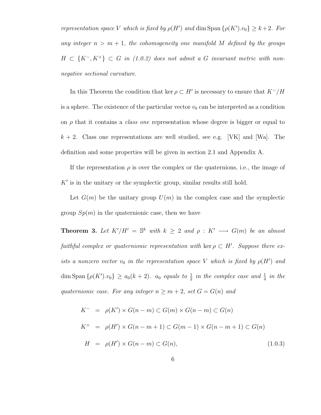representation space V which is fixed by  $\rho(H')$  and dim Span  $\{\rho(K')v_0\} \geq k+2$ . For any integer  $n > m + 1$ , the cohomogeneity one manifold M defined by the groups  $H \subset \{K^-, K^+\} \subset G$  in (1.0.2) does not admit a G invariant metric with nonnegative sectional curvature.

In this Theorem the condition that ker  $\rho \subset H'$  is necessary to ensure that  $K^-/H$ is a sphere. The existence of the particular vector  $v_0$  can be interpreted as a condition on  $\rho$  that it contains a *class one* representation whose degree is bigger or equal to  $k + 2$ . Class one representations are well studied, see e.g. [VK] and [Wa]. The definition and some properties will be given in section 2.1 and Appendix A.

If the representation  $\rho$  is over the complex or the quaternions, i.e., the image of  $K'$  is in the unitary or the symplectic group, similar results still hold.

Let  $G(m)$  be the unitary group  $U(m)$  in the complex case and the symplectic group  $Sp(m)$  in the quaternionic case, then we have

**Theorem 3.** Let  $K'/H' = \mathbb{S}^k$  with  $k \geq 2$  and  $\rho : K' \longrightarrow G(m)$  be an almost faithful complex or quaternionic representation with ker  $\rho \subset H'$ . Suppose there exists a nonzero vector  $v_0$  in the representation space V which is fixed by  $\rho(H')$  and dim Span  $\{\rho(K')\cdot v_0\} \ge a_0(k+2)$ .  $a_0$  equals to  $\frac{1}{2}$  in the complex case and  $\frac{1}{4}$  in the quaternionic case. For any integer  $n \ge m+2$ , set  $G = G(n)$  and

$$
K^- = \rho(K') \times G(n-m) \subset G(m) \times G(n-m) \subset G(n)
$$
  
\n
$$
K^+ = \rho(H') \times G(n-m+1) \subset G(m-1) \times G(n-m+1) \subset G(n)
$$
  
\n
$$
H = \rho(H') \times G(n-m) \subset G(n),
$$
\n(1.0.3)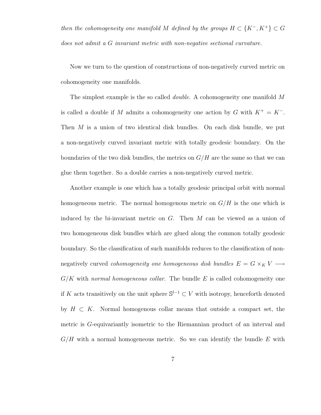then the cohomogeneity one manifold M defined by the groups  $H \subset {K^-, K^+} \subset G$ does not admit a G invariant metric with non-negative sectional curvature.

Now we turn to the question of constructions of non-negatively curved metric on cohomogeneity one manifolds.

The simplest example is the so called double. A cohomogeneity one manifold M is called a double if M admits a cohomogeneity one action by G with  $K^+ = K^-$ . Then  $M$  is a union of two identical disk bundles. On each disk bundle, we put a non-negatively curved invariant metric with totally geodesic boundary. On the boundaries of the two disk bundles, the metrics on  $G/H$  are the same so that we can glue them together. So a double carries a non-negatively curved metric.

Another example is one which has a totally geodesic principal orbit with normal homogeneous metric. The normal homogenous metric on  $G/H$  is the one which is induced by the bi-invariant metric on  $G$ . Then  $M$  can be viewed as a union of two homogeneous disk bundles which are glued along the common totally geodesic boundary. So the classification of such manifolds reduces to the classification of nonnegatively curved *cohomogeneity one homogeneous disk bundles*  $E = G \times_K V \longrightarrow$  $G/K$  with normal homogeneous collar. The bundle E is called cohomogeneity one if K acts transitively on the unit sphere  $\mathbb{S}^{l-1} \subset V$  with isotropy, henceforth denoted by  $H \subset K$ . Normal homogenous collar means that outside a compact set, the metric is G-equivariantly isometric to the Riemannian product of an interval and  $G/H$  with a normal homogeneous metric. So we can identify the bundle E with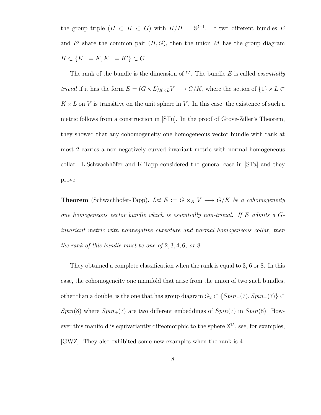the group triple  $(H \subset K \subset G)$  with  $K/H = \mathbb{S}^{l-1}$ . If two different bundles E and  $E'$  share the common pair  $(H, G)$ , then the union M has the group diagram  $H \subset \{K^- = K, K^+ = K'\} \subset G.$ 

The rank of the bundle is the dimension of  $V$ . The bundle  $E$  is called *essentially*  $trivial$  if it has the form  $E=(G\times L)_{K\times L} V\longrightarrow G/K,$  where the action of  $\{1\}\times L\subset$  $K \times L$  on V is transitive on the unit sphere in V. In this case, the existence of such a metric follows from a construction in [STu]. In the proof of Grove-Ziller's Theorem, they showed that any cohomogeneity one homogeneous vector bundle with rank at most 2 carries a non-negatively curved invariant metric with normal homogeneous collar. L.Schwachhöfer and K.Tapp considered the general case in [STa] and they prove

**Theorem** (Schwachhöfer-Tapp). Let  $E := G \times_K V \longrightarrow G/K$  be a cohomogeneity one homogeneous vector bundle which is essentially non-trivial. If E admits a Ginvariant metric with nonnegative curvature and normal homogeneous collar, then the rank of this bundle must be one of  $2, 3, 4, 6$ , or 8.

They obtained a complete classification when the rank is equal to 3, 6 or 8. In this case, the cohomogeneity one manifold that arise from the union of two such bundles, other than a double, is the one that has group diagram  $G_2 \subset \{Spin_+(7), Spin_-(7)\} \subset$  $Spin(8)$  where  $Spin_{+}(7)$  are two different embeddings of  $Spin(7)$  in  $Spin(8)$ . However this manifold is equivariantly diffeomorphic to the sphere  $\mathbb{S}^{15}$ , see, for examples, [GWZ]. They also exhibited some new examples when the rank is 4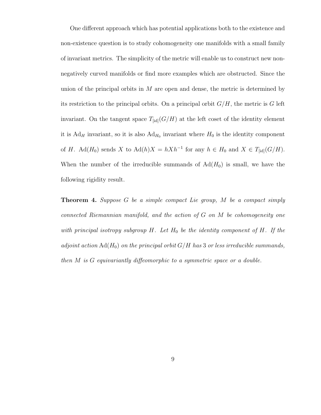One different approach which has potential applications both to the existence and non-existence question is to study cohomogeneity one manifolds with a small family of invariant metrics. The simplicity of the metric will enable us to construct new nonnegatively curved manifolds or find more examples which are obstructed. Since the union of the principal orbits in  $M$  are open and dense, the metric is determined by its restriction to the principal orbits. On a principal orbit  $G/H$ , the metric is G left invariant. On the tangent space  $T_{\text{fid}}(G/H)$  at the left coset of the identity element it is  $Ad_H$  invariant, so it is also  $Ad_{H_0}$  invariant where  $H_0$  is the identity component of H. Ad( $H_0$ ) sends X to Ad( $h$ ) $X = hXh^{-1}$  for any  $h \in H_0$  and  $X \in T_{\text{fid}}(G/H)$ . When the number of the irreducible summands of  $\text{Ad}(H_0)$  is small, we have the following rigidity result.

**Theorem 4.** Suppose  $G$  be a simple compact Lie group,  $M$  be a compact simply connected Riemannian manifold, and the action of G on M be cohomogeneity one with principal isotropy subgroup  $H$ . Let  $H_0$  be the identity component of  $H$ . If the adjoint action  $\text{Ad}(H_0)$  on the principal orbit  $G/H$  has 3 or less irreducible summands, then M is G equivariantly diffeomorphic to a symmetric space or a double.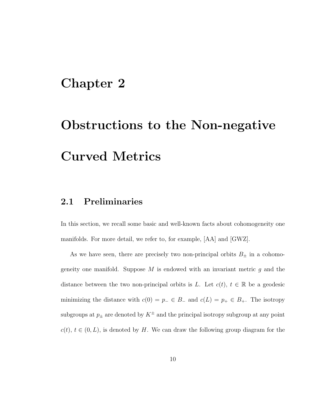## Chapter 2

# Obstructions to the Non-negative Curved Metrics

### 2.1 Preliminaries

In this section, we recall some basic and well-known facts about cohomogeneity one manifolds. For more detail, we refer to, for example, [AA] and [GWZ].

As we have seen, there are precisely two non-principal orbits  $B_{\pm}$  in a cohomogeneity one manifold. Suppose  $M$  is endowed with an invariant metric  $g$  and the distance between the two non-principal orbits is L. Let  $c(t)$ ,  $t \in \mathbb{R}$  be a geodesic minimizing the distance with  $c(0) = p_-\in B_-\text{ and } c(L) = p_+\in B_+\text{.}$  The isotropy subgroups at  $p_{\pm}$  are denoted by  $K^{\pm}$  and the principal isotropy subgroup at any point  $c(t), t \in (0, L)$ , is denoted by H. We can draw the following group diagram for the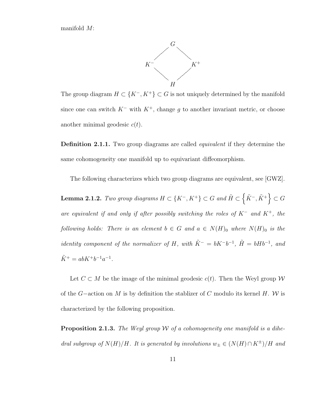manifold M:



The group diagram  $H \subset \{K^-, K^+\} \subset G$  is not uniquely determined by the manifold since one can switch  $K^-$  with  $K^+$ , change g to another invariant metric, or choose another minimal geodesic  $c(t)$ .

Definition 2.1.1. Two group diagrams are called *equivalent* if they determine the same cohomogeneity one manifold up to equivariant diffeomorphism.

The following characterizes which two group diagrams are equivalent, see [GWZ].

Lemma 2.1.2. Two group diagrams  $H \subset \{K^-,K^+\} \subset G$  and  $\tilde{H} \subset \left\{\tilde{K}^-, \tilde{K}^+\right\} \subset G$ are equivalent if and only if after possibly switching the roles of  $K^-$  and  $K^+$ , the following holds: There is an element  $b \in G$  and  $a \in N(H)$ <sub>0</sub> where  $N(H)$ <sub>0</sub> is the *identity component of the normalizer of H, with*  $\tilde{K}^- = bK^-b^{-1}$ ,  $\tilde{H} = bHb^{-1}$ , and  $\tilde{K}^+ = abK^+b^{-1}a^{-1}.$ 

Let  $C \subset M$  be the image of the minimal geodesic  $c(t)$ . Then the Weyl group W of the  $G$ -action on M is by definition the stablizer of C modulo its kernel H. W is characterized by the following proposition.

**Proposition 2.1.3.** The Weyl group W of a cohomogeneity one manifold is a dihedral subgroup of  $N(H)/H$ . It is generated by involutions  $w_{\pm} \in (N(H) \cap K^{\pm})/H$  and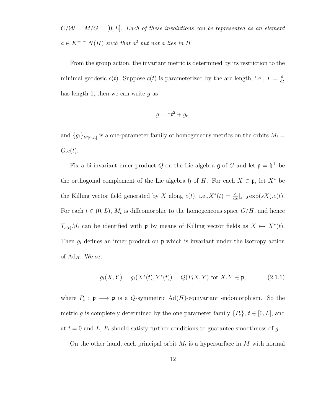$C/W = M/G = [0, L]$ . Each of these involutions can be represented as an element  $a \in K^{\pm} \cap N(H)$  such that  $a^2$  but not a lies in H.

From the group action, the invariant metric is determined by its restriction to the minimal geodesic  $c(t)$ . Suppose  $c(t)$  is parameterized by the arc length, i.e.,  $T = \frac{d}{dt}$ dt has length 1, then we can write  $q$  as

$$
g = \mathrm{d}t^2 + g_t,
$$

and  ${g_t}_{t\in[0,L]}$  is a one-parameter family of homogeneous metrics on the orbits  $M_t =$  $G.c(t)$ .

Fix a bi-invariant inner product Q on the Lie algebra  $\mathfrak g$  of G and let  $\mathfrak p = \mathfrak h^{\perp}$  be the orthogonal complement of the Lie algebra h of H. For each  $X \in \mathfrak{p}$ , let  $X^*$  be the Killing vector field generated by X along  $c(t)$ , i.e., $X^*(t) = \frac{d}{ds}|_{s=0} \exp(sX) \cdot c(t)$ . For each  $t \in (0, L)$ ,  $M_t$  is diffeomorphic to the homogeneous space  $G/H$ , and hence  $T_{c(t)}M_t$  can be identified with p by means of Killing vector fields as  $X \mapsto X^*(t)$ . Then  $g_t$  defines an inner product on  $\mathfrak p$  which is invariant under the isotropy action of  $Ad_H$ . We set

$$
g_t(X, Y) = g_t(X^*(t), Y^*(t)) = Q(P_t X, Y) \text{ for } X, Y \in \mathfrak{p},\tag{2.1.1}
$$

where  $P_t: \mathfrak{p} \longrightarrow \mathfrak{p}$  is a Q-symmetric Ad(H)-equivariant endomorphism. So the metric g is completely determined by the one parameter family  $\{P_t\}, t \in [0, L]$ , and at  $t = 0$  and L,  $P_t$  should satisfy further conditions to guarantee smoothness of g.

On the other hand, each principal orbit  $M_t$  is a hypersurface in M with normal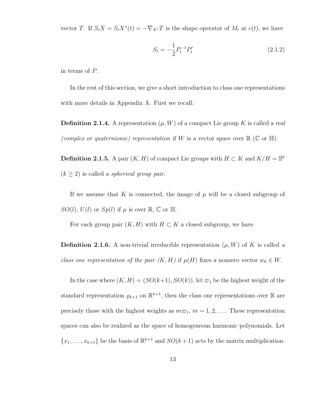vector T. If  $S_t X = S_t X^*(t) = -\nabla_{X^*} T$  is the shape operator of  $M_t$  at  $c(t)$ , we have

$$
S_t = -\frac{1}{2}P_t^{-1}P_t'
$$
\n(2.1.2)

in terms of P.

In the rest of this section, we give a short introduction to class one representations with more details in Appendix A. First we recall:

**Definition 2.1.4.** A representation  $(\mu, W)$  of a compact Lie group K is called a real (complex or quaternionic) representation if W is a vector space over  $\mathbb{R}$  (C or H).

**Definition 2.1.5.** A pair  $(K, H)$  of compact Lie groups with  $H \subset K$  and  $K/H = \mathbb{S}^k$  $(k \geq 2)$  is called a *spherical group pair.* 

If we assume that K is connected, the image of  $\mu$  will be a closed subgroup of  $SO(l), U(l)$  or  $Sp(l)$  if  $\mu$  is over  $\mathbb{R}, \mathbb{C}$  or  $\mathbb{H}.$ 

For each group pair  $(K, H)$  with  $H \subset K$  a closed subgroup, we have

**Definition 2.1.6.** A non-trivial irreducible representation  $(\mu, W)$  of K is called a class one representation of the pair  $(K, H)$  if  $\mu(H)$  fixes a nonzero vector  $w_0 \in W$ .

In the case where  $(K, H) = (SO(k+1), SO(k))$ , let  $\varpi_1$  be the highest weight of the standard representation  $\varrho_{k+1}$  on  $\mathbb{R}^{k+1}$ , then the class one representations over  $\mathbb R$  are precisely those with the highest weights as  $m\varpi_1$ ,  $m = 1, 2, \ldots$ . These representation spaces can also be realized as the space of homogeneous harmonic polynomials. Let  $\{x_1, \ldots, x_{k+1}\}\)$  be the basis of  $\mathbb{R}^{k+1}$  and  $SO(k+1)$  acts by the matrix multiplication.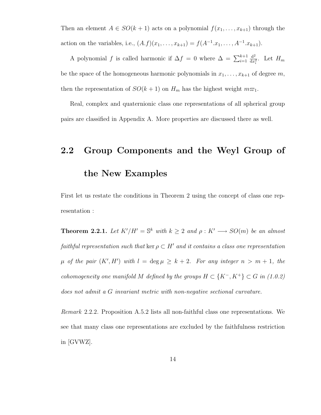Then an element  $A \in SO(k + 1)$  acts on a polynomial  $f(x_1, \ldots, x_{k+1})$  through the action on the variables, i.e.,  $(A.f)(x_1, \ldots, x_{k+1}) = f(A^{-1}.x_1, \ldots, A^{-1}.x_{k+1}).$ 

A polynomial f is called harmonic if  $\Delta f = 0$  where  $\Delta = \sum_{i=1}^{k+1}$  $d^2$  $\frac{d^2}{dx_i^2}$ . Let  $H_m$ be the space of the homogeneous harmonic polynomials in  $x_1, \ldots, x_{k+1}$  of degree m, then the representation of  $SO(k+1)$  on  $H_m$  has the highest weight  $m\varpi_1$ .

Real, complex and quaternionic class one representations of all spherical group pairs are classified in Appendix A. More properties are discussed there as well.

# 2.2 Group Components and the Weyl Group of the New Examples

First let us restate the conditions in Theorem 2 using the concept of class one representation :

**Theorem 2.2.1.** Let  $K'/H' = \mathbb{S}^k$  with  $k \geq 2$  and  $\rho : K' \longrightarrow SO(m)$  be an almost faithful representation such that ker  $\rho \subset H'$  and it contains a class one representation  $\mu$  of the pair  $(K', H')$  with  $l = \deg \mu \geq k + 2$ . For any integer  $n > m + 1$ , the cohomogeneity one manifold M defined by the groups  $H \subset \{K^-, K^+\} \subset G$  in (1.0.2) does not admit a G invariant metric with non-negative sectional curvature.

Remark 2.2.2. Proposition A.5.2 lists all non-faithful class one representations. We see that many class one representations are excluded by the faithfulness restriction in [GVWZ].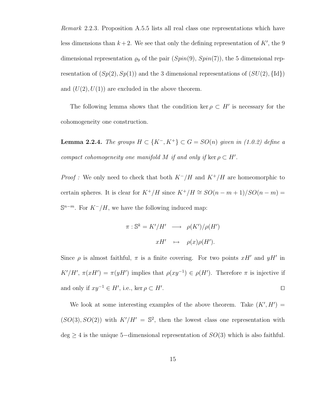Remark 2.2.3. Proposition A.5.5 lists all real class one representations which have less dimensions than  $k + 2$ . We see that only the defining representation of K', the 9 dimensional representation  $\varrho_9$  of the pair  $(Spin(9), Spin(7))$ , the 5 dimensional representation of  $(Sp(2), Sp(1))$  and the 3 dimensional representations of  $(SU(2), \{Id\})$ and  $(U(2), U(1))$  are excluded in the above theorem.

The following lemma shows that the condition ker  $\rho \subset H'$  is necessary for the cohomogeneity one construction.

**Lemma 2.2.4.** The groups  $H \subset \{K^-, K^+\} \subset G = SO(n)$  given in (1.0.2) define a compact cohomogeneity one manifold M if and only if ker  $\rho \subset H'$ .

*Proof* : We only need to check that both  $K^-/H$  and  $K^+/H$  are homeomorphic to certain spheres. It is clear for  $K^+/H$  since  $K^+/H \cong SO(n-m+1)/SO(n-m)$  =  $\mathbb{S}^{n-m}$ . For  $K^-/H$ , we have the following induced map:

$$
\pi : \mathbb{S}^k = K'/H' \longrightarrow \rho(K')/\rho(H')
$$
  

$$
xH' \longrightarrow \rho(x)\rho(H').
$$

Since  $\rho$  is almost faithful,  $\pi$  is a finite covering. For two points  $xH'$  and  $yH'$  in K'/H',  $\pi(xH') = \pi(yH')$  implies that  $\rho(xy^{-1}) \in \rho(H')$ . Therefore  $\pi$  is injective if and only if  $xy^{-1} \in H'$ , i.e., ker  $\rho \subset H'$ . The contract of the contract of the contract of the contract of the contract of the contract of the contract of the contract of the contract of the contract of the contract of the contract of the contract of the contract

We look at some interesting examples of the above theorem. Take  $(K', H') =$  $(SO(3), SO(2))$  with  $K'/H' = \mathbb{S}^2$ , then the lowest class one representation with  $\text{deg} \geq 4$  is the unique 5-dimensional representation of  $SO(3)$  which is also faithful.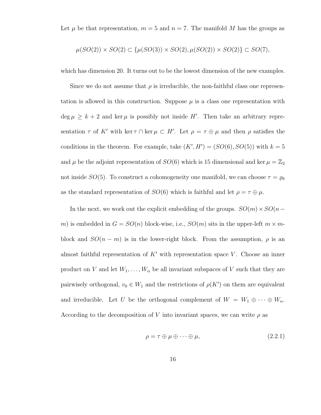Let  $\mu$  be that representation,  $m = 5$  and  $n = 7$ . The manifold M has the groups as

$$
\mu(SO(2)) \times SO(2) \subset {\mu(SO(3)) \times SO(2), \mu(SO(2)) \times SO(2)} \subset SO(7),
$$

which has dimension 20. It turns out to be the lowest dimension of the new examples.

Since we do not assume that  $\rho$  is irreducible, the non-faithful class one representation is allowed in this construction. Suppose  $\mu$  is a class one representation with  $\deg \mu \geq k+2$  and ker  $\mu$  is possibly not inside H'. Then take an arbitrary representation  $\tau$  of K' with ker  $\tau \cap \ker \mu \subset H'$ . Let  $\rho = \tau \oplus \mu$  and then  $\rho$  satisfies the conditions in the theorem. For example, take  $(K', H') = (SO(6), SO(5))$  with  $k = 5$ and  $\mu$  be the adjoint representation of  $SO(6)$  which is 15 dimensional and ker  $\mu = \mathbb{Z}_2$ not inside  $SO(5)$ . To construct a cohomogeneity one manifold, we can choose  $\tau = \varrho_6$ as the standard representation of  $SO(6)$  which is faithful and let  $\rho = \tau \oplus \mu$ .

In the next, we work out the explicit embedding of the groups.  $SO(m) \times SO(n$ m) is embedded in  $G = SO(n)$  block-wise, i.e.,  $SO(m)$  sits in the upper-left  $m \times m$ block and  $SO(n - m)$  is in the lower-right block. From the assumption,  $\rho$  is an almost faithful representation of  $K'$  with representation space V. Choose an inner product on V and let  $W_1, \ldots, W_\alpha$  be all invariant subspaces of V such that they are pairwisely orthogonal,  $v_0 \in W_1$  and the restrictions of  $\rho(K')$  on them are equivalent and irreducible. Let U be the orthogonal complement of  $W = W_1 \oplus \cdots \oplus W_\alpha$ . According to the decomposition of V into invariant spaces, we can write  $\rho$  as

$$
\rho = \tau \oplus \mu \oplus \cdots \oplus \mu,\tag{2.2.1}
$$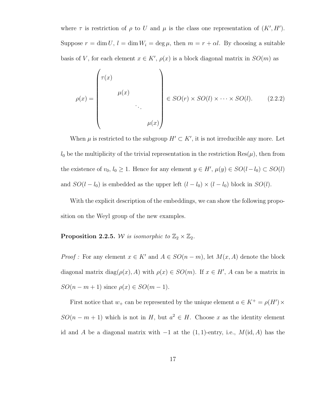where  $\tau$  is restriction of  $\rho$  to U and  $\mu$  is the class one representation of  $(K', H')$ . Suppose  $r = \dim U$ ,  $l = \dim W_i = \deg \mu$ , then  $m = r + \alpha l$ . By choosing a suitable basis of V, for each element  $x \in K'$ ,  $\rho(x)$  is a block diagonal matrix in  $SO(m)$  as

$$
\rho(x) = \begin{pmatrix}\n\tau(x) & & & \\
& \mu(x) & & \\
& & \ddots & \\
& & & \mu(x)\n\end{pmatrix} \in SO(r) \times SO(l) \times \cdots \times SO(l). \qquad (2.2.2)
$$

When  $\mu$  is restricted to the subgroup  $H' \subset K'$ , it is not irreducible any more. Let  $l_0$  be the multiplicity of the trivial representation in the restriction  $\text{Res}(\mu)$ , then from the existence of  $v_0, l_0 \geq 1$ . Hence for any element  $y \in H', \mu(y) \in SO(l-l_0) \subset SO(l)$ and  $SO(l - l_0)$  is embedded as the upper left  $(l - l_0) \times (l - l_0)$  block in  $SO(l)$ .

With the explicit description of the embeddings, we can show the following proposition on the Weyl group of the new examples.

#### **Proposition 2.2.5.** W is isomorphic to  $\mathbb{Z}_2 \times \mathbb{Z}_2$ .

*Proof*: For any element  $x \in K'$  and  $A \in SO(n-m)$ , let  $M(x, A)$  denote the block diagonal matrix diag( $\rho(x)$ , A) with  $\rho(x) \in SO(m)$ . If  $x \in H'$ , A can be a matrix in  $SO(n-m+1)$  since  $\rho(x) \in SO(m-1)$ .

First notice that  $w_+$  can be represented by the unique element  $a \in K^+ = \rho(H') \times$  $SO(n-m+1)$  which is not in H, but  $a^2 \in H$ . Choose x as the identity element id and A be a diagonal matrix with  $-1$  at the  $(1, 1)$ -entry, i.e.,  $M(\mathrm{id}, A)$  has the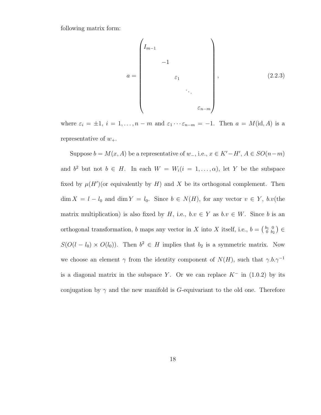following matrix form:

$$
a = \begin{pmatrix} I_{m-1} & & & & \\ & -1 & & & \\ & & \varepsilon_1 & & \\ & & & \ddots & \\ & & & & \varepsilon_{n-m} \end{pmatrix}, \qquad (2.2.3)
$$

where  $\varepsilon_i = \pm 1$ ,  $i = 1, ..., n - m$  and  $\varepsilon_1 \cdots \varepsilon_{n-m} = -1$ . Then  $a = M(\text{id}, A)$  is a representative of  $w_+$ .

Suppose  $b = M(x, A)$  be a representative of  $w_-, i.e., x \in K'-H', A \in SO(n-m)$ and  $b^2$  but not  $b \in H$ . In each  $W = W_i(i = 1, ..., \alpha)$ , let Y be the subspace fixed by  $\mu(H')$  (or equivalently by H) and X be its orthogonal complement. Then  $\dim X = l - l_0$  and  $\dim Y = l_0$ . Since  $b \in N(H)$ , for any vector  $v \in Y$ ,  $b.v$  (the matrix multiplication) is also fixed by H, i.e.,  $b.v \in Y$  as  $b.v \in W$ . Since b is an orthogonal transformation, b maps any vector in X into X itself, i.e.,  $b = \begin{pmatrix} b_1 & 0 \\ 0 & b_2 \end{pmatrix}$  $\left(\begin{smallmatrix} b_1 & 0 \ 0 & b_2 \end{smallmatrix}\right) \in$  $S(O(l - l_0) \times O(l_0))$ . Then  $b^2 \in H$  implies that  $b_2$  is a symmetric matrix. Now we choose an element  $\gamma$  from the identity component of  $N(H)$ , such that  $\gamma.b.\gamma^{-1}$ is a diagonal matrix in the subspace Y. Or we can replace  $K^-$  in (1.0.2) by its conjugation by  $\gamma$  and the new manifold is G-equivariant to the old one. Therefore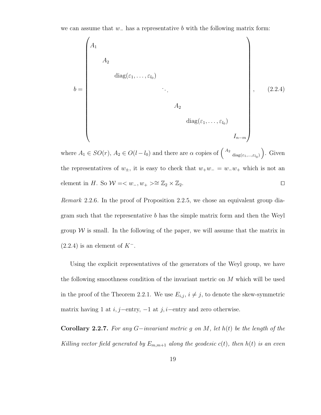we can assume that  $w_-\$  has a representative b with the following matrix form:

$$
b = \begin{pmatrix} A_1 & & & & & \\ & A_2 & & & & \\ & & \text{diag}(\varepsilon_1, \dots, \varepsilon_{l_0}) & & & \\ & & & \ddots & & \\ & & & & A_2 & & \\ & & & & & \text{diag}(\varepsilon_1, \dots, \varepsilon_{l_0}) & \\ & & & & & & I_{n-m} \end{pmatrix}, \qquad (2.2.4)
$$

where  $A_1 \in SO(r)$ ,  $A_2 \in O(l-l_0)$  and there are  $\alpha$  copies of  $\begin{pmatrix} A_2 \end{pmatrix}$  $_{diag(\varepsilon_1,...,\varepsilon_{l_0})}$ ). Given the representatives of  $w_{\pm}$ , it is easy to check that  $w_{+}w_{-} = w_{-}w_{+}$  which is not an element in H. So  $W = \langle w_-, w_+ \rangle \cong \mathbb{Z}_2 \times \mathbb{Z}_2$ .

Remark 2.2.6. In the proof of Proposition 2.2.5, we chose an equivalent group diagram such that the representative b has the simple matrix form and then the Weyl group  $W$  is small. In the following of the paper, we will assume that the matrix in  $(2.2.4)$  is an element of  $K^-$ .

Using the explicit representatives of the generators of the Weyl group, we have the following smoothness condition of the invariant metric on M which will be used in the proof of the Theorem 2.2.1. We use  $E_{i,j}$ ,  $i \neq j$ , to denote the skew-symmetric matrix having 1 at  $i, j$ −entry, −1 at  $j, i$ −entry and zero otherwise.

**Corollary 2.2.7.** For any  $G$ −invariant metric g on M, let  $h(t)$  be the length of the Killing vector field generated by  $E_{m,m+1}$  along the geodesic  $c(t)$ , then  $h(t)$  is an even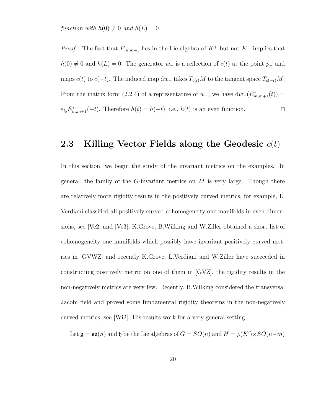function with  $h(0) \neq 0$  and  $h(L) = 0$ .

*Proof* : The fact that  $E_{m,m+1}$  lies in the Lie algebra of  $K^+$  but not  $K^-$  implies that  $h(0) \neq 0$  and  $h(L) = 0$ . The generator w<sub>-</sub> is a reflection of  $c(t)$  at the point p<sub>-</sub> and maps  $c(t)$  to  $c(-t)$ . The induced map dw<sub>−</sub> takes  $T_{c(t)}M$  to the tangent space  $T_{c(-t)}M$ . From the matrix form (2.2.4) of a representative of  $w_-,$  we have  $dw_-(E^*_{m,m+1}(t)) =$  $\varepsilon_{l_0} E_{m,m+1}^*(-t)$ . Therefore  $h(t) = h(-t)$ , i.e.,  $h(t)$  is an even function.

#### 2.3 Killing Vector Fields along the Geodesic  $c(t)$

In this section, we begin the study of the invariant metrics on the examples. In general, the family of the  $G$ -invariant metrics on  $M$  is very large. Though there are relatively more rigidity results in the positively curved metrics, for example, L. Verdiani classified all positively curved cohomogeneity one manifolds in even dimensions, see [Ve2] and [Ve3], K.Grove, B.Wilking and W.Ziller obtained a short list of cohomogeneity one manifolds which possibly have invariant positively curved metrics in [GVWZ] and recently K.Grove, L.Verdiani and W.Ziller have succeeded in constructing positively metric on one of them in [GVZ], the rigidity results in the non-negatively metrics are very few. Recently, B.Wilking considered the transversal Jacobi field and proved some fundamental rigidity theorems in the non-negatively curved metrics, see [Wi2]. His results work for a very general setting.

Let  $\mathfrak{g} = \mathfrak{so}(n)$  and  $\mathfrak{h}$  be the Lie algebras of  $G = SO(n)$  and  $H = \rho(K') \times SO(n-m)$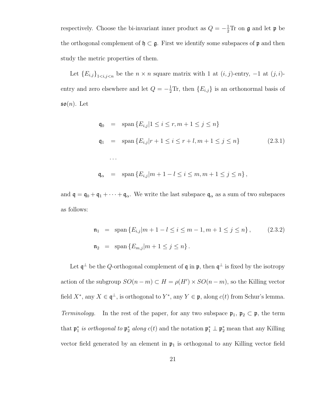respectively. Choose the bi-invariant inner product as  $Q = -\frac{1}{2}Tr$  on  $\mathfrak g$  and let  $\mathfrak p$  be the orthogonal complement of  $\mathfrak{h} \subset \mathfrak{g}$ . First we identify some subspaces of  $\mathfrak{p}$  and then study the metric properties of them.

Let  ${E_{i,j}}_{1 \le i,j \le n}$  be the  $n \times n$  square matrix with 1 at  $(i, j)$ -entry, -1 at  $(j, i)$ entry and zero elsewhere and let  $Q = -\frac{1}{2}\text{Tr}$ , then  $\{E_{i,j}\}\$ is an orthonormal basis of  $\mathfrak{so}(n)$ . Let

$$
\begin{array}{rcl}\n\mathfrak{q}_0 & = & \text{span}\left\{E_{i,j}|1 \leq i \leq r, m+1 \leq j \leq n\right\} \\
\mathfrak{q}_1 & = & \text{span}\left\{E_{i,j}|r+1 \leq i \leq r+l, m+1 \leq j \leq n\right\} \\
& \dots \\
\mathfrak{q}_\alpha & = & \text{span}\left\{E_{i,j}|m+1-l \leq i \leq m, m+1 \leq j \leq n\right\},\n\end{array} \tag{2.3.1}
$$

and  $\mathfrak{q} = \mathfrak{q}_0 + \mathfrak{q}_1 + \cdots + \mathfrak{q}_\alpha$ . We write the last subspace  $\mathfrak{q}_\alpha$  as a sum of two subspaces as follows:

$$
\begin{array}{lll} \mathfrak{n}_1 & = & \text{span}\left\{E_{i,j}|m+1-l \le i \le m-1, m+1 \le j \le n\right\}, \\\\ \mathfrak{n}_2 & = & \text{span}\left\{E_{m,j}|m+1 \le j \le n\right\}.\end{array} \tag{2.3.2}
$$

Let  $\mathfrak{q}^{\perp}$  be the Q-orthogonal complement of  $\mathfrak{q}$  in  $\mathfrak{p}$ , then  $\mathfrak{q}^{\perp}$  is fixed by the isotropy action of the subgroup  $SO(n-m) \subset H = \rho(H') \times SO(n-m)$ , so the Killing vector field  $X^*$ , any  $X \in \mathfrak{q}^{\perp}$ , is orthogonal to  $Y^*$ , any  $Y \in \mathfrak{p}$ , along  $c(t)$  from Schur's lemma. Terminology. In the rest of the paper, for any two subspace  $\mathfrak{p}_1, \mathfrak{p}_2 \subset \mathfrak{p}$ , the term that  $\mathfrak{p}_1^*$  is orthogonal to  $\mathfrak{p}_2^*$  along  $c(t)$  and the notation  $\mathfrak{p}_1^* \perp \mathfrak{p}_2^*$  mean that any Killing vector field generated by an element in  $\mathfrak{p}_1$  is orthogonal to any Killing vector field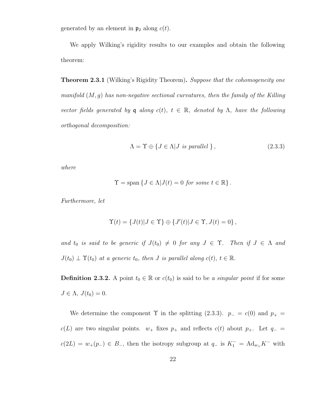generated by an element in  $\mathfrak{p}_2$  along  $c(t)$ .

We apply Wilking's rigidity results to our examples and obtain the following theorem:

**Theorem 2.3.1** (Wilking's Rigidity Theorem). Suppose that the cohomogeneity one manifold  $(M, q)$  has non-negative sectional curvatures, then the family of the Killing vector fields generated by q along  $c(t)$ ,  $t \in \mathbb{R}$ , denoted by  $\Lambda$ , have the following orthogonal decomposition:

$$
\Lambda = \Upsilon \oplus \{ J \in \Lambda | J \text{ is parallel } \},\tag{2.3.3}
$$

where

$$
\Upsilon = \text{span}\left\{J \in \Lambda | J(t) = 0 \text{ for some } t \in \mathbb{R}\right\}.
$$

Furthermore, let

$$
\Upsilon(t) = \{J(t)|J \in \Upsilon\} \oplus \{J'(t)|J \in \Upsilon, J(t) = 0\},\
$$

and  $t_0$  is said to be generic if  $J(t_0) \neq 0$  for any  $J \in \Upsilon$ . Then if  $J \in \Lambda$  and  $J(t_0) \perp \Upsilon(t_0)$  at a generic  $t_0$ , then J is parallel along  $c(t)$ ,  $t \in \mathbb{R}$ .

**Definition 2.3.2.** A point  $t_0 \in \mathbb{R}$  or  $c(t_0)$  is said to be a singular point if for some  $J \in \Lambda$ ,  $J(t_0) = 0$ .

We determine the component  $\Upsilon$  in the splitting (2.3.3).  $p_-=c(0)$  and  $p_+=$  $c(L)$  are two singular points.  $w_+$  fixes  $p_+$  and reflects  $c(t)$  about  $p_+$ . Let  $q_$  $c(2L) = w_{+}(p_{-}) \in B_{-}$ , then the isotropy subgroup at  $q_{-}$  is  $K_{1}^{-} = \text{Ad}_{w_{+}} K^{-}$  with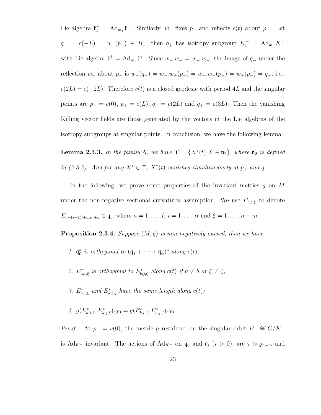Lie algebra  $\mathfrak{k}_1^- = \text{Ad}_{w_+} \mathfrak{k}^-$ . Similarly,  $w_-$  fixes  $p_-\,$  and reflects  $c(t)$  about  $p_-\,$ . Let  $q_{+} = c(-L) = w_{-}(p_{+}) \in B_{+}$ , then  $q_{+}$  has isotropy subgroup  $K_{1}^{+} = \text{Ad}_{w_{-}}K^{+}$ with Lie algebra  $\mathfrak{k}_1^+ = \text{Ad}_{w_-} \mathfrak{k}^+$ . Since  $w_-, w_+ = w_+, w_-,$  the image of  $q_-$  under the reflection w<sub>-</sub> about p<sub>-</sub> is  $w_-(q_-) = w_-.w_+(p_-) = w_+.w_-(p_-) = w_+(p_-) = q_-.$  i.e.,  $c(2L) = c(-2L)$ . Therefore  $c(t)$  is a closed geodesic with period 4L and the singular points are  $p_ - = c(0), p_ + = c(L), q_ - = c(2L)$  and  $q_ + = c(3L)$ . Then the vanishing Killing vector fields are those generated by the vectors in the Lie algebras of the isotropy subgroups at singular points. In conclusion, we have the following lemma:

**Lemma 2.3.3.** In the family  $\Lambda$ , we have  $\Upsilon = \{X^*(t) | X \in \mathfrak{n}_2\}$ , where  $\mathfrak{n}_2$  is defined in (2.3.2). And for any  $X^* \in \Upsilon$ ,  $X^*(t)$  vanishes simultaneously at  $p_+$  and  $q_+$ .

In the following, we prove some properties of the invariant metrics  $g$  on  $M$ under the non-negative sectional curvatures assumption. We use  $E_{a,i,\xi}$  to denote  $E_{r+(i-1)l+a,m+\xi} \in \mathfrak{q}_i$ , where  $a=1,\ldots,l; i=1,\ldots,\alpha$  and  $\xi=1,\ldots,n-m$ .

**Proposition 2.3.4.** Suppose  $(M, g)$  is non-negatively curved, then we have

- 1.  $\mathfrak{q}_0^*$  is orthogonal to  $(\mathfrak{q}_1 + \cdots + \mathfrak{q}_\alpha)^*$  along  $c(t)$ ;
- 2.  $E_{a,i,\xi}^*$  is orthogonal to  $E_{b,j,\zeta}^*$  along  $c(t)$  if  $a \neq b$  or  $\xi \neq \zeta$ ;
- 3.  $E_{a,i,\xi}^*$  and  $E_{a,i,\zeta}^*$  have the same length along  $c(t)$ ;
- 4.  $g(E^*_{a,i,\xi}, E^*_{a,j,\xi})_{c(0)} = g(E^*_{b,i,\zeta}, E^*_{b,j,\zeta})_{c(0)}.$

*Proof*: At  $p_ - = c(0)$ , the metric g restricted on the singular orbit  $B_ - \cong G/K^$ is Ad<sub>K</sub>− invariant. The actions of Ad<sub>K</sub>− on  $\mathfrak{q}_0$  and  $\mathfrak{q}_i$  (i > 0), are  $\tau \otimes \varrho_{n-m}$  and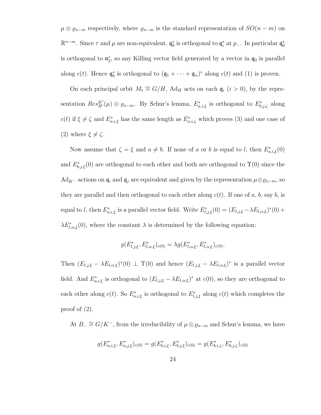$\mu \otimes \varrho_{n-m}$  respectively, where  $\varrho_{n-m}$  is the standard representation of  $SO(n-m)$  on  $\mathbb{R}^{n-m}$ . Since τ and μ are non-equivalent,  $\mathfrak{q}_0^*$  is orthogonal to  $\mathfrak{q}_i^*$  at  $p_$ . In particular  $\mathfrak{q}_0^*$ is orthogonal to  $\mathfrak{n}_2^*$ , so any Killing vector field generated by a vector in  $\mathfrak{q}_0$  is parallel along  $c(t)$ . Hence  $\mathfrak{q}_0^*$  is orthogonal to  $(\mathfrak{q}_1 + \cdots + \mathfrak{q}_\alpha)^*$  along  $c(t)$  and (1) is proven.

On each principal orbit  $M_t \cong G/H$ , Ad<sub>H</sub> acts on each  $\mathfrak{q}_i$   $(i > 0)$ , by the representation  $Res_{H'}^{K'}(\mu) \otimes \varrho_{n-m}$ . By Schur's lemma,  $E_{a,i,\xi}^*$  is orthogonal to  $E_{b,j,\zeta}^*$  along  $c(t)$  if  $\xi \neq \zeta$  and  $E^*_{a,i,\xi}$  has the same length as  $E^*_{a,i,\zeta}$  which proves (3) and one case of (2) where  $\xi \neq \zeta$ .

Now assume that  $\zeta = \xi$  and  $a \neq b$ . If none of a or b is equal to l, then  $E^*_{a,i,\xi}(0)$ and  $E_{b,j,\xi}^*(0)$  are orthogonal to each other and both are orthogonal to  $\Upsilon(0)$  since the Ad<sub>K</sub>− actions on  $\mathfrak{q}_i$  and  $\mathfrak{q}_j$  are equivalent and given by the representation  $\mu \otimes \varrho_{n-m}$ , so they are parallel and then orthogonal to each other along  $c(t)$ . If one of a, b, say b, is equal to l, then  $E^*_{a,i,\xi}$  is a parallel vector field. Write  $E^*_{l,j,\xi}(0) = (E_{l,j,\xi} - \lambda E_{l,\alpha,\xi})^*(0) +$  $\lambda E_{l,\alpha,\xi}^{*}(0)$ , where the constant  $\lambda$  is determined by the following equation:

$$
g(E_{l,j,\xi}^*, E_{l,\alpha,\xi}^*)_{c(0)} = \lambda g(E_{l,\alpha,\xi}^*, E_{l,\alpha,\xi}^*)_{c(0)}.
$$

Then  $(E_{l,j,\xi} - \lambda E_{l,\alpha,\xi})^*(0) \perp \Upsilon(0)$  and hence  $(E_{l,j,\xi} - \lambda E_{l,\alpha,\xi})^*$  is a parallel vector field. And  $E_{a,i,\xi}^*$  is orthogonal to  $(E_{l,j,\xi}-\lambda E_{l,\alpha,\xi})^*$  at  $c(0)$ , so they are orthogonal to each other along  $c(t)$ . So  $E_{a,i,\xi}^*$  is orthogonal to  $E_{l,j,\xi}^*$  along  $c(t)$  which completes the proof of  $(2)$ .

At  $B_-\cong G/K^-$ , from the irreducibility of  $\mu\otimes\rho_{n-m}$  and Schur's lemma, we have

$$
g(E_{a,i,\xi}^*, E_{a,j,\xi}^*)_{c(0)} = g(E_{b,i,\xi}^*, E_{b,j,\xi}^*)_{c(0)} = g(E_{b,i,\zeta}^*, E_{b,j,\zeta}^*)_{c(0)}
$$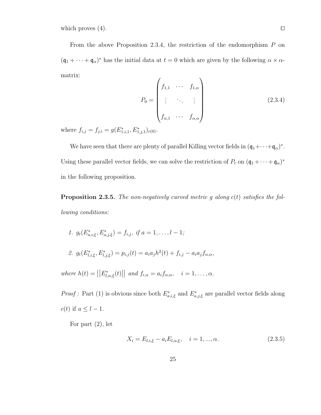which proves (4).  $\Box$ 

From the above Proposition 2.3.4, the restriction of the endomorphism  $P$  on  $(\mathfrak{q}_1 + \cdots + \mathfrak{q}_\alpha)^*$  has the initial data at  $t = 0$  which are given by the following  $\alpha \times \alpha$ matrix:  $\overline{ }$  $\overline{ }$ 

$$
P_0 = \begin{pmatrix} f_{1,1} & \cdots & f_{1,\alpha} \\ \vdots & \ddots & \vdots \\ f_{\alpha,1} & \cdots & f_{\alpha,\alpha} \end{pmatrix}
$$
 (2.3.4)

where  $f_{i,j} = f_{j,i} = g(E_{1,i,1}^*, E_{1,j,1}^*)_{c(0)}$ .

We have seen that there are plenty of parallel Killing vector fields in  $(\mathfrak{q}_1 + \cdots + \mathfrak{q}_\alpha)^*$ . Using these parallel vector fields, we can solve the restriction of  $P_t$  on  $(\mathfrak{q}_1 + \cdots + \mathfrak{q}_\alpha)^*$ in the following proposition.

**Proposition 2.3.5.** The non-negatively curved metric g along  $c(t)$  satisfies the following conditions:

1.  $g_t(E^*_{a,i,\xi}, E^*_{a,j,\xi}) = f_{i,j}, \text{ if } a = 1, \ldots, l-1;$ 

2. 
$$
g_t(E_{l,i,\xi}^*, E_{l,j,\xi}^*) = p_{i,j}(t) = a_i a_j h^2(t) + f_{i,j} - a_i a_j f_{\alpha,\alpha}
$$

where  $h(t) = ||E^*_{l,\alpha,\xi}(t)||$  and  $f_{i,\alpha} = a_i f_{\alpha,\alpha}, \quad i = 1,\ldots,\alpha.$ 

*Proof*: Part (1) is obvious since both  $E_{a,i,\xi}^*$  and  $E_{a,j,\xi}^*$  are parallel vector fields along  $c(t)$  if  $a \leq l-1$ .

For part  $(2)$ , let

$$
X_i = E_{l,i,\xi} - a_i E_{l,\alpha,\xi}, \quad i = 1, ..., \alpha.
$$
 (2.3.5)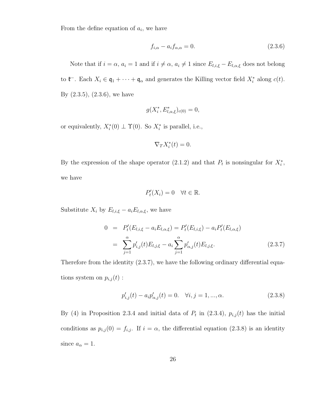From the define equation of  $a_i$ , we have

$$
f_{i,\alpha} - a_i f_{\alpha,\alpha} = 0. \tag{2.3.6}
$$

Note that if  $i = \alpha$ ,  $a_i = 1$  and if  $i \neq \alpha$ ,  $a_i \neq 1$  since  $E_{l,i,\xi} - E_{l,\alpha,\xi}$  does not belong to  $\mathfrak{k}^-$ . Each  $X_i \in \mathfrak{q}_1 + \cdots + \mathfrak{q}_\alpha$  and generates the Killing vector field  $X_i^*$  along  $c(t)$ . By (2.3.5), (2.3.6), we have

$$
g(X_i^*, E_{l,\alpha,\xi}^*)_{c(0)} = 0,
$$

or equivalently,  $X_i^*(0) \perp \Upsilon(0)$ . So  $X_i^*$  is parallel, i.e.,

$$
\nabla _{T}X_{i}^{\ast }(t)=0.
$$

By the expression of the shape operator (2.1.2) and that  $P_t$  is nonsingular for  $X_i^*$ , we have

$$
P'_t(X_i) = 0 \quad \forall t \in \mathbb{R}.
$$

Substitute  $X_i$  by  $E_{l,i,\xi} - a_i E_{l,\alpha,\xi}$ , we have

$$
0 = P'_{t}(E_{l,i,\xi} - a_{i}E_{l,\alpha,\xi}) = P'_{t}(E_{l,i,\xi}) - a_{i}P'_{t}(E_{l,\alpha,\xi})
$$
  

$$
= \sum_{j=1}^{\alpha} p'_{i,j}(t)E_{l,j,\xi} - a_{i} \sum_{j=1}^{\alpha} p'_{\alpha,j}(t)E_{l,j,\xi}.
$$
 (2.3.7)

Therefore from the identity (2.3.7), we have the following ordinary differential equations system on  $p_{i,j}(t)$  :

$$
p'_{i,j}(t) - a_i p'_{\alpha,j}(t) = 0. \quad \forall i, j = 1, ..., \alpha.
$$
 (2.3.8)

By (4) in Proposition 2.3.4 and initial data of  $P_t$  in (2.3.4),  $p_{i,j}(t)$  has the initial conditions as  $p_{i,j}(0) = f_{i,j}$ . If  $i = \alpha$ , the differential equation (2.3.8) is an identity since  $a_{\alpha} = 1$ .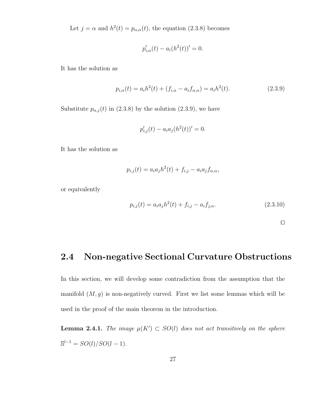Let  $j = \alpha$  and  $h^2(t) = p_{\alpha,\alpha}(t)$ , the equation (2.3.8) becomes

$$
p'_{i,\alpha}(t) - a_i(h^2(t))' = 0.
$$

It has the solution as

$$
p_{i,\alpha}(t) = a_i h^2(t) + (f_{i,\alpha} - a_i f_{\alpha,\alpha}) = a_i h^2(t).
$$
 (2.3.9)

Substitute  $p_{\alpha,j}(t)$  in (2.3.8) by the solution (2.3.9), we have

$$
p'_{i,j}(t) - a_i a_j (h^2(t))' = 0.
$$

It has the solution as

$$
p_{i,j}(t) = a_i a_j h^2(t) + f_{i,j} - a_i a_j f_{\alpha,\alpha},
$$

or equivalently

$$
p_{i,j}(t) = a_i a_j h^2(t) + f_{i,j} - a_i f_{j,\alpha}.
$$
\n(2.3.10)

 $\Box$ 

## 2.4 Non-negative Sectional Curvature Obstructions

In this section, we will develop some contradiction from the assumption that the manifold  $(M, g)$  is non-negatively curved. First we list some lemmas which will be used in the proof of the main theorem in the introduction.

**Lemma 2.4.1.** The image  $\mu(K') \subset SO(l)$  does not act transitively on the sphere  $\mathbb{S}^{l-1} = SO(l)/SO(l-1).$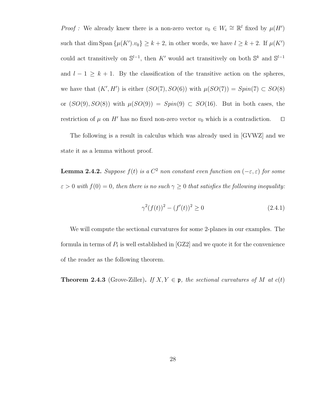*Proof*: We already knew there is a non-zero vector  $v_0 \in W_i \cong \mathbb{R}^l$  fixed by  $\mu(H')$ such that dim Span  $\{\mu(K')\ldotp v_0\} \geq k+2$ , in other words, we have  $l \geq k+2$ . If  $\mu(K')$ could act transitively on  $\mathbb{S}^{l-1}$ , then K' would act transitively on both  $\mathbb{S}^k$  and  $\mathbb{S}^{l-1}$ and  $l - 1 \geq k + 1$ . By the classification of the transitive action on the spheres, we have that  $(K', H')$  is either  $(SO(7), SO(6))$  with  $\mu(SO(7)) = Spin(7) \subset SO(8)$ or  $(SO(9), SO(8))$  with  $\mu(SO(9)) = Spin(9) \subset SO(16)$ . But in both cases, the restriction of  $\mu$  on H' has no fixed non-zero vector  $v_0$  which is a contradiction.  $\Box$ 

The following is a result in calculus which was already used in [GVWZ] and we state it as a lemma without proof.

**Lemma 2.4.2.** Suppose  $f(t)$  is a  $C^2$  non constant even function on  $(-\varepsilon, \varepsilon)$  for some  $\varepsilon > 0$  with  $f(0) = 0$ , then there is no such  $\gamma \geq 0$  that satisfies the following inequality:

$$
\gamma^2 (f(t))^2 - (f'(t))^2 \ge 0 \tag{2.4.1}
$$

We will compute the sectional curvatures for some 2-planes in our examples. The formula in terms of  $P_t$  is well established in [GZ2] and we quote it for the convenience of the reader as the following theorem.

**Theorem 2.4.3** (Grove-Ziller). If  $X, Y \in \mathfrak{p}$ , the sectional curvatures of M at  $c(t)$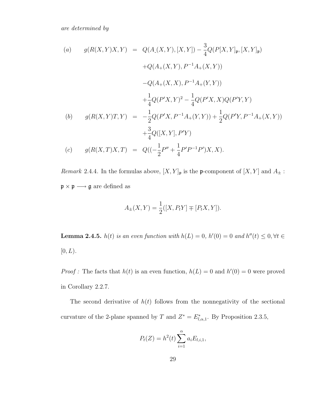are determined by

(a) 
$$
g(R(X,Y)X,Y) = Q(A_{-}(X,Y), [X,Y]) - \frac{3}{4}Q(P[X,Y]_{p}, [X,Y]_{p})
$$
  
\t $+Q(A_{+}(X,Y), P^{-1}A_{+}(X,Y))$   
\t $-Q(A_{+}(X,X), P^{-1}A_{+}(Y,Y))$   
\t $+ \frac{1}{4}Q(P'X,Y)^{2} - \frac{1}{4}Q(P'X,X)Q(P'Y,Y)$   
(b)  $g(R(X,Y)T,Y) = -\frac{1}{2}Q(P'X,P^{-1}A_{+}(Y,Y)) + \frac{1}{2}Q(P'Y,P^{-1}A_{+}(X,Y))$   
\t $+ \frac{3}{4}Q([X,Y], P'Y)$   
(c)  $g(R(X,T)X,T) = Q((-\frac{1}{2}P'' + \frac{1}{4}P'P^{-1}P')X,X).$ 

Remark 2.4.4. In the formulas above,  $[X, Y]_{\mathfrak{p}}$  is the p-component of  $[X, Y]$  and  $A_{\pm}$ :  $\mathfrak{p}\times\mathfrak{p}\longrightarrow\mathfrak{g}$  are defined as

$$
A_{\pm}(X,Y) = \frac{1}{2}([X,P_tY] \mp [P_tX,Y]).
$$

**Lemma 2.4.5.**  $h(t)$  is an even function with  $h(L) = 0$ ,  $h'(0) = 0$  and  $h''(t) \leq 0, \forall t \in$  $[0, L)$ .

*Proof*: The facts that  $h(t)$  is an even function,  $h(L) = 0$  and  $h'(0) = 0$  were proved in Corollary 2.2.7.

The second derivative of  $h(t)$  follows from the nonnegativity of the sectional curvature of the 2-plane spanned by T and  $Z^* = E^*_{l,\alpha,1}$ . By Proposition 2.3.5,

$$
P_t(Z) = h^2(t) \sum_{i=1}^{\alpha} a_i E_{l,i,1},
$$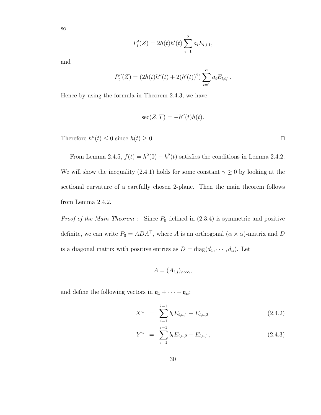so

$$
P'_{t}(Z) = 2h(t)h'(t)\sum_{i=1}^{\alpha} a_{i}E_{l,i,1},
$$

and

$$
P''_t(Z) = (2h(t)h''(t) + 2(h'(t))^2) \sum_{i=1}^{\alpha} a_i E_{l,i,1}.
$$

Hence by using the formula in Theorem 2.4.3, we have

$$
\sec(Z, T) = -h''(t)h(t).
$$

Therefore  $h''(t) \leq 0$  since  $h(t) \geq 0$ .

From Lemma 2.4.5,  $f(t) = h^2(0) - h^2(t)$  satisfies the conditions in Lemma 2.4.2. We will show the inequality (2.4.1) holds for some constant  $\gamma \geq 0$  by looking at the sectional curvature of a carefully chosen 2-plane. Then the main theorem follows from Lemma 2.4.2.

*Proof of the Main Theorem :* Since  $P_0$  defined in  $(2.3.4)$  is symmetric and positive definite, we can write  $P_0 = ADA^{\top}$ , where A is an orthogonal  $(\alpha \times \alpha)$ -matrix and D is a diagonal matrix with positive entries as  $D = diag(d_1, \dots, d_\alpha)$ . Let

$$
A=(A_{i,j})_{\alpha\times\alpha},
$$

and define the following vectors in  $q_1 + \cdots + q_\alpha$ :

$$
X^u = \sum_{i=1}^{l-1} b_i E_{i,u,1} + E_{l,u,2}
$$
 (2.4.2)

$$
Y^u = \sum_{i=1}^{l-1} b_i E_{i,u,2} + E_{l,u,1}, \qquad (2.4.3)
$$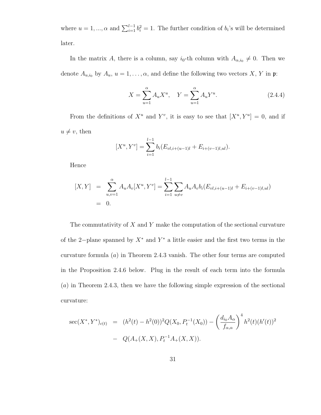where  $u = 1, ..., \alpha$  and  $\sum_{i=1}^{l-1} b_i^2 = 1$ . The further condition of  $b_i$ 's will be determined later.

In the matrix A, there is a column, say  $i_0$ -th column with  $A_{\alpha,i_0} \neq 0$ . Then we denote  $A_{u,i_0}$  by  $A_u$ ,  $u = 1, \ldots, \alpha$ , and define the following two vectors X, Y in  $\mathfrak{p}$ :

$$
X = \sum_{u=1}^{\alpha} A_u X^u, \quad Y = \sum_{u=1}^{\alpha} A_u Y^u.
$$
 (2.4.4)

From the definitions of  $X^u$  and  $Y^v$ , it is easy to see that  $[X^u, Y^u] = 0$ , and if  $u \neq v$ , then

$$
[X^u, Y^v] = \sum_{i=1}^{l-1} b_i (E_{vl,i+(u-1)l} + E_{i+(v-1)l,ul}).
$$

Hence

$$
[X,Y] = \sum_{u,v=1}^{\alpha} A_u A_v [X^u, Y^v] = \sum_{i=1}^{l-1} \sum_{u \neq v} A_u A_v b_i (E_{vl,i+(u-1)l} + E_{i+(v-1)l,ul})
$$
  
= 0.

The commutativity of  $X$  and  $Y$  make the computation of the sectional curvature of the 2-plane spanned by  $X^*$  and  $Y^*$  a little easier and the first two terms in the curvature formula  $(a)$  in Theorem 2.4.3 vanish. The other four terms are computed in the Proposition 2.4.6 below. Plug in the result of each term into the formula (a) in Theorem 2.4.3, then we have the following simple expression of the sectional curvature:

$$
\sec(X^*, Y^*)_{c(t)} = (h^2(t) - h^2(0))^2 Q(X_0, P_t^{-1}(X_0)) - \left(\frac{d_{i_0} A_\alpha}{f_{\alpha,\alpha}}\right)^4 h^2(t) (h'(t))^2 - Q(A_+(X, X), P_t^{-1} A_+(X, X)).
$$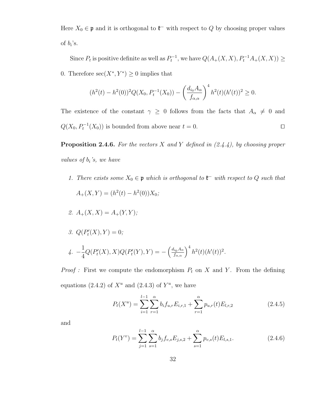Here  $X_0 \in \mathfrak{p}$  and it is orthogonal to  $\mathfrak{k}^-$  with respect to Q by choosing proper values of  $b_i$ 's.

Since  $P_t$  is positive definite as well as  $P_t^{-1}$ , we have  $Q(A_+(X,X), P_t^{-1}A_+(X,X)) \ge$ 0. Therefore  $\sec(X^*, Y^*) \geq 0$  implies that

$$
(h^{2}(t) - h^{2}(0))^{2} Q(X_{0}, P_{t}^{-1}(X_{0})) - \left(\frac{d_{i_{0}} A_{\alpha}}{f_{\alpha,\alpha}}\right)^{4} h^{2}(t) (h'(t))^{2} \geq 0.
$$

The existence of the constant  $\gamma \geq 0$  follows from the facts that  $A_{\alpha} \neq 0$  and  $Q(X_0, P_t^{-1}(X_0))$  is bounded from above near  $t = 0$ .

**Proposition 2.4.6.** For the vectors X and Y defined in  $(2.4.4)$ , by choosing proper values of  $b_i$ 's, we have

1. There exists some  $X_0 \in \mathfrak{p}$  which is orthogonal to  $\mathfrak{k}^-$  with respect to Q such that  $A_+(X,Y) = (h^2(t) - h^2(0))X_0;$ 

2. 
$$
A_{+}(X, X) = A_{+}(Y, Y);
$$

3.  $Q(P'_t(X), Y) = 0;$  $\frac{1}{4}$ .  $-\frac{1}{4}$ 4  $Q(P'_t(X), X)Q(P'_t(Y), Y) = -\left(\frac{d_{i_0}A_{\alpha}}{f_{\alpha,\alpha}}\right)^4 h^2(t)(h'(t))^2.$ 

*Proof*: First we compute the endomorphism  $P_t$  on X and Y. From the defining equations (2.4.2) of  $X^u$  and (2.4.3) of  $Y^u$ , we have

$$
P_t(X^u) = \sum_{i=1}^{l-1} \sum_{r=1}^{\alpha} b_i f_{u,r} E_{i,r,1} + \sum_{r=1}^{\alpha} p_{u,r}(t) E_{l,r,2}
$$
 (2.4.5)

and

$$
P_t(Y^v) = \sum_{j=1}^{l-1} \sum_{s=1}^{\alpha} b_j f_{v,s} E_{j,s,2} + \sum_{s=1}^{\alpha} p_{v,s}(t) E_{l,s,1}.
$$
 (2.4.6)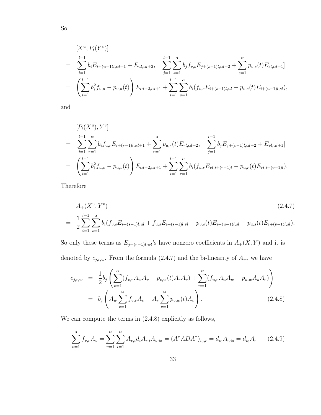$$
[X^{u}, P_{t}(Y^{v})]
$$
\n
$$
= \left[\sum_{i=1}^{l-1} b_{i} E_{i+(u-1)l, \alpha l+1} + E_{ul, \alpha l+2}, \sum_{j=1}^{l-1} \sum_{s=1}^{\alpha} b_{j} f_{v,s} E_{j+(s-1)l, \alpha l+2} + \sum_{s=1}^{\alpha} p_{v,s}(t) E_{sl, \alpha l+1}\right]
$$
\n
$$
= \left(\sum_{i=1}^{l-1} b_{i}^{2} f_{v,u} - p_{v,u}(t)\right) E_{\alpha l+2, \alpha l+1} + \sum_{i=1}^{l-1} \sum_{s=1}^{\alpha} b_{i} (f_{v,s} E_{i+(s-1)l,ul} - p_{v,s}(t) E_{i+(u-1)l,sl}),
$$

and

$$
[P_t(X^u), Y^v]
$$
  
= 
$$
[\sum_{i=1}^{l-1} \sum_{r=1}^{\alpha} b_i f_{u,r} E_{i+(r-1)l, \alpha l+1} + \sum_{r=1}^{\alpha} p_{u,r}(t) E_{rl, \alpha l+2}, \sum_{j=1}^{l-1} b_j E_{j+(v-1)l, \alpha l+2} + E_{vl, \alpha l+1}]
$$
  
= 
$$
\left(\sum_{i=1}^{l-1} b_i^2 f_{u,v} - p_{u,v}(t)\right) E_{\alpha l+2, \alpha l+1} + \sum_{i=1}^{l-1} \sum_{r=1}^{\alpha} b_i (f_{u,r} E_{vl,i+(r-1)l} - p_{u,r}(t) E_{rl,i+(v-1)l}).
$$

Therefore

$$
A_{+}(X^{u}, Y^{v})
$$
\n
$$
= \frac{1}{2} \sum_{i=1}^{l-1} \sum_{s=1}^{\alpha} b_{i}(f_{v,s}E_{i+(s-1)l,ul} + f_{u,s}E_{i+(s-1)l,vl} - p_{v,s}(t)E_{i+(u-1)l,sl} - p_{u,s}(t)E_{i+(v-1)l,sl}).
$$
\n(2.4.7)

So only these terms as  $E_{j+(r-1)l,wl}$ 's have nonzero coefficients in  $A_+(X, Y)$  and it is denoted by  $c_{j,r,w}$ . From the formula (2.4.7) and the bi-linearity of  $A_+$ , we have

$$
c_{j,r,w} = \frac{1}{2}b_j \left( \sum_{v=1}^{\alpha} (f_{v,r}A_wA_v - p_{v,w}(t)A_rA_v) + \sum_{u=1}^{\alpha} (f_{u,r}A_uA_w - p_{u,w}A_uA_r) \right)
$$
  
=  $b_j \left( A_w \sum_{v=1}^{\alpha} f_{v,r}A_v - A_r \sum_{v=1}^{\alpha} p_{v,w}(t)A_v \right).$  (2.4.8)

We can compute the terms in (2.4.8) explicitly as follows,

$$
\sum_{v=1}^{\alpha} f_{v,r} A_v = \sum_{v=1}^{\alpha} \sum_{i=1}^{\alpha} A_{v,i} d_i A_{r,i} A_{v,i_0} = (A^{\tau} A D A^{\tau})_{i_0,r} = d_{i_0} A_{r,i_0} = d_{i_0} A_r \qquad (2.4.9)
$$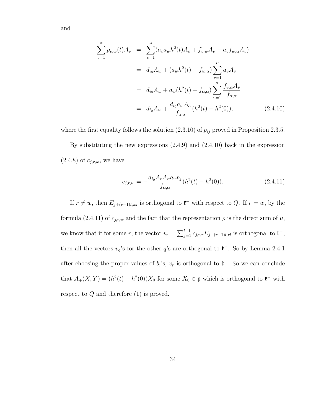$$
\sum_{v=1}^{\alpha} p_{v,w}(t) A_v = \sum_{v=1}^{\alpha} (a_v a_w h^2(t) A_v + f_{v,w} A_v - a_v f_{w,\alpha} A_v)
$$
  
=  $d_{i_0} A_w + (a_w h^2(t) - f_{w,\alpha}) \sum_{v=1}^{\alpha} a_v A_v$   
=  $d_{i_0} A_w + a_w (h^2(t) - f_{\alpha,\alpha}) \sum_{v=1}^{\alpha} \frac{f_{v,\alpha} A_v}{f_{\alpha,\alpha}}$   
=  $d_{i_0} A_w + \frac{d_{i_0} a_w A_\alpha}{f_{\alpha,\alpha}} (h^2(t) - h^2(0)),$  (2.4.10)

where the first equality follows the solution  $(2.3.10)$  of  $p_{ij}$  proved in Proposition 2.3.5.

By substituting the new expressions (2.4.9) and (2.4.10) back in the expression  $(2.4.8)$  of  $c_{j,r,w}$ , we have

$$
c_{j,r,w} = -\frac{d_{i_0}A_rA_\alpha a_w b_j}{f_{\alpha,\alpha}}(h^2(t) - h^2(0)).
$$
\n(2.4.11)

If  $r \neq w$ , then  $E_{j+(r-1)l,wl}$  is orthogonal to  $\mathfrak{k}^-$  with respect to Q. If  $r = w$ , by the formula (2.4.11) of  $c_{j,r,w}$  and the fact that the representation  $\rho$  is the direct sum of  $\mu$ , we know that if for some r, the vector  $v_r = \sum_{j=1}^{l-1} c_{j,r,r} E_{j+(r-1)l,rl}$  is orthogonal to  $\mathfrak{k}^-$ , then all the vectors  $v_q$ 's for the other q's are orthogonal to  $\mathfrak{k}^-$ . So by Lemma 2.4.1 after choosing the proper values of  $b_i$ 's,  $v_r$  is orthogonal to  $\mathfrak{k}^-$ . So we can conclude that  $A_+(X,Y) = (h^2(t) - h^2(0))X_0$  for some  $X_0 \in \mathfrak{p}$  which is orthogonal to  $\mathfrak{k}^-$  with respect to  $Q$  and therefore  $(1)$  is proved.

34

and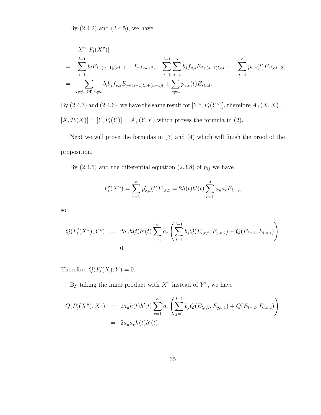By  $(2.4.2)$  and  $(2.4.5)$ , we have

$$
[X^{u}, P_{t}(X^{v})]
$$
\n
$$
= \left[\sum_{i=1}^{l-1} b_{i} E_{i+(u-1)l, \alpha l+1} + E_{ul, \alpha l+2}, \sum_{j=1}^{l-1} \sum_{s=1}^{\alpha} b_{j} f_{v,s} E_{j+(s-1)l, \alpha l+1} + \sum_{s=1}^{\alpha} p_{v,s}(t) E_{s l, \alpha l+2}\right]
$$
\n
$$
= \sum_{i \neq j, \text{ or } u \neq s} b_{i} b_{j} f_{v,s} E_{j+(s-1)l, i+(u-1)l} + \sum_{s \neq u} p_{v,s}(t) E_{s l, u l}.
$$

By  $(2.4.3)$  and  $(2.4.6)$ , we have the same result for  $[Y^u, P_t(Y^v)]$ , therefore  $A_+(X, X)$  =  $\left[ X, P_t(X) \right] = \left[ Y, P_t(Y) \right] = A_+(Y,Y)$  which proves the formula in (2).

Next we will prove the formulas in (3) and (4) which will finish the proof of the proposition.

By (2.4.5) and the differential equation (2.3.8) of  $p_{ij}$  we have

$$
P'_{t}(X^{u}) = \sum_{r=1}^{\alpha} p'_{r,u}(t) E_{l,r,2} = 2h(t)h'(t) \sum_{r=1}^{\alpha} a_{u} a_{r} E_{l,r,2},
$$

so

$$
Q(P'_t(X^u), Y^v) = 2a_u h(t)h'(t) \sum_{r=1}^{\alpha} a_r \left( \sum_{j=1}^{l-1} b_j Q(E_{l,r,2}, E_{j,v,2}) + Q(E_{l,r,2}, E_{l,v,1}) \right)
$$
  
= 0.

Therefore  $Q(P'_t(X), Y) = 0$ .

By taking the inner product with  $X^v$  instead of  $Y^v$ , we have

$$
Q(P'_t(X^u), X^v) = 2a_u h(t)h'(t) \sum_{r=1}^{\alpha} a_r \left( \sum_{j=1}^{l-1} b_j Q(E_{l,r,2}, E_{j,v,1}) + Q(E_{l,r,2}, E_{l,v,2}) \right)
$$
  
= 2a\_u a\_v h(t)h'(t).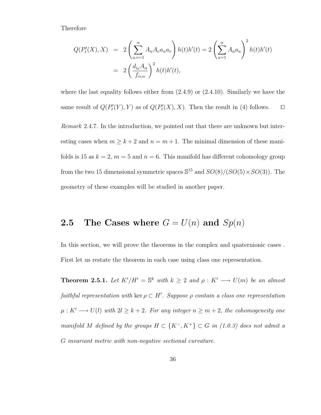#### Therefore

$$
Q(P'_t(X), X) = 2\left(\sum_{u,v=1}^{\alpha} A_u A_v a_u a_v\right) h(t)h'(t) = 2\left(\sum_{u=1}^{\alpha} A_u a_u\right)^2 h(t)h'(t)
$$

$$
= 2\left(\frac{d_{i_0} A_\alpha}{f_{\alpha,\alpha}}\right)^2 h(t)h'(t),
$$

where the last equality follows either from  $(2.4.9)$  or  $(2.4.10)$ . Similarly we have the same result of  $Q(P'_t(Y), Y)$  as of  $Q(P'_t(X), X)$ . Then the result in (4) follows.  $\Box$ 

Remark 2.4.7. In the introduction, we pointed out that there are unknown but interesting cases when  $m \geq k+2$  and  $n = m+1$ . The minimal dimension of these manifolds is 15 as  $k = 2$ ,  $m = 5$  and  $n = 6$ . This manifold has different cohomology group from the two 15 dimensional symmetric spaces  $\mathbb{S}^{15}$  and  $SO(8)/(SO(5) \times SO(3))$ . The geometry of these examples will be studied in another paper.

### **2.5** The Cases where  $G = U(n)$  and  $Sp(n)$

In this section, we will prove the theorems in the complex and quaternionic cases . First let us restate the theorem in each case using class one representation.

**Theorem 2.5.1.** Let  $K'/H' = \mathbb{S}^k$  with  $k \geq 2$  and  $\rho : K' \longrightarrow U(m)$  be an almost faithful representation with ker  $\rho \subset H'$ . Suppose  $\rho$  contain a class one representation  $\mu: K' \longrightarrow U(l)$  with  $2l \geq k+2$ . For any integer  $n \geq m+2$ , the cohomogeneity one manifold M defined by the groups  $H \subset \{K^-, K^+\} \subset G$  in (1.0.3) does not admit a G invariant metric with non-negative sectional curvature.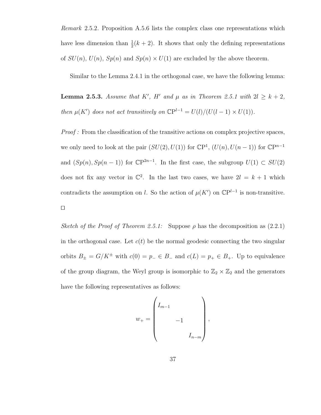Remark 2.5.2. Proposition A.5.6 lists the complex class one representations which have less dimension than  $\frac{1}{2}(k+2)$ . It shows that only the defining representations of  $SU(n)$ ,  $U(n)$ ,  $Sp(n)$  and  $Sp(n) \times U(1)$  are excluded by the above theorem.

Similar to the Lemma 2.4.1 in the orthogonal case, we have the following lemma:

**Lemma 2.5.3.** Assume that K', H' and  $\mu$  as in Theorem 2.5.1 with  $2l \geq k+2$ , then  $\mu(K')$  does not act transitively on  $\mathbb{C}P^{l-1} = U(l)/(U(l-1) \times U(1)).$ 

Proof : From the classification of the transitive actions on complex projective spaces, we only need to look at the pair  $(SU(2), U(1))$  for  $\mathbb{C}P^1$ ,  $(U(n), U(n-1))$  for  $\mathbb{C}P^{n-1}$ and  $(Sp(n), Sp(n-1))$  for  $\mathbb{C}P^{2n-1}$ . In the first case, the subgroup  $U(1) \subset SU(2)$ does not fix any vector in  $\mathbb{C}^2$ . In the last two cases, we have  $2l = k + 1$  which contradicts the assumption on l. So the action of  $\mu(K')$  on  $\mathbb{C}P^{l-1}$  is non-transitive.  $\Box$ 

Sketch of the Proof of Theorem 2.5.1: Suppose  $\rho$  has the decomposition as (2.2.1) in the orthogonal case. Let  $c(t)$  be the normal geodesic connecting the two singular orbits  $B_{\pm} = G/K^{\pm}$  with  $c(0) = p_{-} \in B_{-}$  and  $c(L) = p_{+} \in B_{+}$ . Up to equivalence of the group diagram, the Weyl group is isomorphic to  $\mathbb{Z}_2 \times \mathbb{Z}_2$  and the generators have the following representatives as follows:

$$
w_{+} = \begin{pmatrix} I_{m-1} & & & \\ & -1 & & \\ & & -1 & \\ & & & I_{n-m} \end{pmatrix},
$$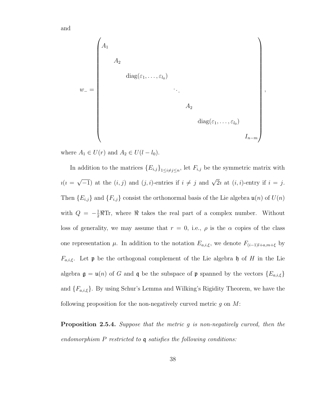w<sup>−</sup> = A<sup>1</sup> A<sup>2</sup> diag(ε1, . . . , ε<sup>l</sup><sup>0</sup> ) . . . A<sup>2</sup> diag(ε1, . . . , ε<sup>l</sup><sup>0</sup> ) In−<sup>m</sup> 

,

where  $A_1 \in U(r)$  and  $A_2 \in U(l - l_0)$ .

and

In addition to the matrices  ${E_{i,j}}_{1\leq i\neq j\leq n}$ , let  $F_{i,j}$  be the symmetric matrix with  $i(i =$  $\sqrt{-1}$ ) at the  $(i, j)$  and  $(j, i)$ -entries if  $i \neq j$  and  $\sqrt{2}i$  at  $(i, i)$ -entry if  $i = j$ . Then  ${E_{i,j}}$  and  ${F_{i,j}}$  consist the orthonormal basis of the Lie algebra  $\mathfrak{u}(n)$  of  $U(n)$ with  $Q = -\frac{1}{2}\Re$ Tr, where  $\Re$  takes the real part of a complex number. Without loss of generality, we may assume that  $r = 0$ , i.e.,  $\rho$  is the  $\alpha$  copies of the class one representation  $\mu$ . In addition to the notation  $E_{a,i,\xi}$ , we denote  $F_{(i-1)l+a,m+\xi}$  by  $F_{a,i,\xi}$ . Let **p** be the orthogonal complement of the Lie algebra h of H in the Lie algebra  $\mathfrak{g} = \mathfrak{u}(n)$  of G and  $\mathfrak{q}$  be the subspace of  $\mathfrak{p}$  spanned by the vectors  $\{E_{a,i,\xi}\}\$ and  ${F_{a,i,\xi}}$ . By using Schur's Lemma and Wilking's Rigidity Theorem, we have the following proposition for the non-negatively curved metric  $q$  on  $M$ :

Proposition 2.5.4. Suppose that the metric g is non-negatively curved, then the endomorphism P restricted to q satisfies the following conditions:

38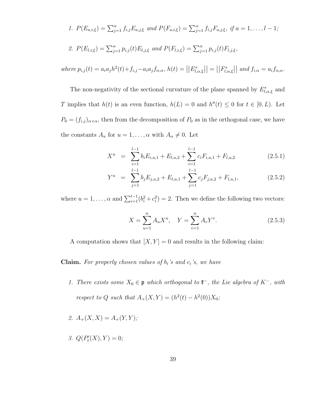1. 
$$
P(E_{a,i,\xi}) = \sum_{j=1}^{\alpha} f_{i,j} E_{a,j,\xi}
$$
 and  $P(F_{a,i,\xi}) = \sum_{j=1}^{\alpha} f_{i,j} F_{a,j,\xi}$ , if  $a = 1, ..., l-1$ ;  
\n2.  $P(F_{a,i}) = \sum_{j=1}^{\alpha} f_{i,j} F_{a,j,\xi}$  (i)

2. 
$$
P(E_{l,i,\xi}) = \sum_{j=1}^{\alpha} p_{i,j}(t) E_{l,j,\xi}
$$
 and  $P(F_{l,i,\xi}) = \sum_{j=1}^{\alpha} p_{i,j}(t) F_{l,j,\xi}$ ,

 $where p_{i,j}(t) = a_i a_j h^2(t) + f_{i,j} - a_i a_j f_{\alpha,\alpha}, h(t) = ||E^*_{l,\alpha,\xi}|| = ||F^*_{l,\alpha,\xi}||$  and  $f_{i,\alpha} = a_i f_{\alpha,\alpha}$ .

The non-negativity of the sectional curvature of the plane spanned by  $E_{l,\alpha,\xi}^*$  and T implies that  $h(t)$  is an even function,  $h(L) = 0$  and  $h''(t) \leq 0$  for  $t \in [0, L)$ . Let  $P_0 = (f_{i,j})_{\alpha \times \alpha}$ , then from the decomposition of  $P_0$  as in the orthogonal case, we have the constants  $A_u$  for  $u = 1, \ldots, \alpha$  with  $A_\alpha \neq 0$ . Let

$$
X^{u} = \sum_{i=1}^{l-1} b_{i} E_{i,u,1} + E_{l,u,2} + \sum_{i=1}^{l-1} c_{i} F_{i,u,1} + F_{l,u,2}
$$
 (2.5.1)

$$
Y^u = \sum_{j=1}^{l-1} b_j E_{j,u,2} + E_{l,u,1} + \sum_{j=1}^{l-1} c_j F_{j,u,2} + F_{l,u,1},
$$
 (2.5.2)

where  $u = 1, ..., \alpha$  and  $\sum_{i=1}^{l-1} (b_i^2 + c_i^2) = 2$ . Then we define the following two vectors:

$$
X = \sum_{u=1}^{\alpha} A_u X^u, \quad Y = \sum_{v=1}^{\alpha} A_v Y^v.
$$
 (2.5.3)

A computation shows that  $[X, Y] = 0$  and results in the following claim:

**Claim.** For properly chosen values of  $b_i$ 's and  $c_i$ 's, we have

- 1. There exists some  $X_0 \in \mathfrak{p}$  which orthogonal to  $\mathfrak{k}^-$ , the Lie algebra of  $K^-$ , with respect to Q such that  $A_+(X,Y) = (h^2(t) - h^2(0))X_0;$
- 2.  $A_{+}(X, X) = A_{+}(Y, Y);$
- 3.  $Q(P'_t(X), Y) = 0;$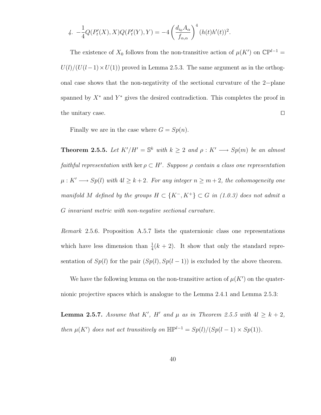4. 
$$
-\frac{1}{4}Q(P'_t(X),X)Q(P'_t(Y),Y) = -4\left(\frac{d_{i_0}A_{\alpha}}{f_{\alpha,\alpha}}\right)^4 (h(t)h'(t))^2.
$$

The existence of  $X_0$  follows from the non-transitive action of  $\mu(K')$  on  $\mathbb{C}P^{l-1}$  =  $U(l)/(U(l-1) \times U(1))$  proved in Lemma 2.5.3. The same argument as in the orthogonal case shows that the non-negativity of the sectional curvature of the 2−plane spanned by  $X^*$  and  $Y^*$  gives the desired contradiction. This completes the proof in the unitary case.  $\square$ 

Finally we are in the case where  $G = Sp(n)$ .

**Theorem 2.5.5.** Let  $K'/H' = \mathbb{S}^k$  with  $k \geq 2$  and  $\rho : K' \longrightarrow Sp(m)$  be an almost faithful representation with ker  $\rho \subset H'$ . Suppose  $\rho$  contain a class one representation  $\mu: K' \longrightarrow Sp(l)$  with  $4l \geq k+2$ . For any integer  $n \geq m+2$ , the cohomogeneity one manifold M defined by the groups  $H \subset \{K^-, K^+\} \subset G$  in (1.0.3) does not admit a G invariant metric with non-negative sectional curvature.

Remark 2.5.6. Proposition A.5.7 lists the quaternionic class one representations which have less dimension than  $\frac{1}{4}(k+2)$ . It show that only the standard representation of  $Sp(l)$  for the pair  $(Sp(l), Sp(l-1))$  is excluded by the above theorem.

We have the following lemma on the non-transitive action of  $\mu(K')$  on the quaternionic projective spaces which is analogue to the Lemma 2.4.1 and Lemma 2.5.3:

**Lemma 2.5.7.** Assume that K', H' and  $\mu$  as in Theorem 2.5.5 with  $4l \geq k+2$ , then  $\mu(K')$  does not act transitively on  $\mathbb{H}P^{l-1} = Sp(l)/(Sp(l-1) \times Sp(1)).$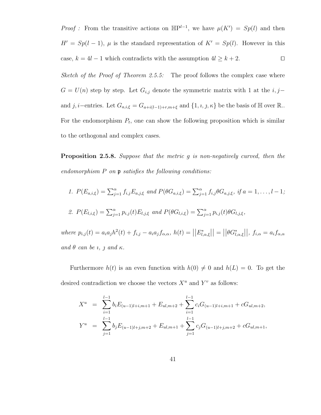*Proof*: From the transitive actions on  $\mathbb{HP}^{l-1}$ , we have  $\mu(K') = Sp(l)$  and then  $H' = Sp(l-1)$ ,  $\mu$  is the standard representation of  $K' = Sp(l)$ . However in this case,  $k = 4l - 1$  which contradicts with the assumption  $4l \geq k + 2$ .  $\Box$ 

Sketch of the Proof of Theorem 2.5.5: The proof follows the complex case where  $G = U(n)$  step by step. Let  $G_{i,j}$  denote the symmetric matrix with 1 at the  $i, j$ and j, i–entries. Let  $G_{a,i,\xi} = G_{a+i(l-1)+r,m+\xi}$  and  $\{1, i, j, \kappa\}$  be the basis of  $\mathbb H$  over  $\mathbb R$ . For the endomorphism  $P_t$ , one can show the following proposition which is similar to the orthogonal and complex cases.

Proposition 2.5.8. Suppose that the metric q is non-negatively curved, then the endomorphism  $P$  on  $p$  satisfies the following conditions:

1. 
$$
P(E_{a,i,\xi}) = \sum_{j=1}^{\alpha} f_{i,j} E_{a,j,\xi}
$$
 and  $P(\theta G_{a,i,\xi}) = \sum_{j=1}^{\alpha} f_{i,j} \theta G_{a,j,\xi}$ , if  $a = 1, ..., l-1$ ;  
\n2.  $P(E_{l,i,\xi}) = \sum_{j=1}^{\alpha} p_{i,j}(t) E_{l,j,\xi}$  and  $P(\theta G_{l,i,\xi}) = \sum_{j=1}^{\alpha} p_{i,j}(t) \theta G_{l,j,\xi}$ ,

 $where p_{i,j}(t) = a_i a_j h^2(t) + f_{i,j} - a_i a_j f_{\alpha,\alpha}, h(t) = ||E^*_{l,\alpha,\xi}|| = ||\theta G^*_{l,\alpha,\xi}||, f_{i,\alpha} = a_i f_{\alpha,\alpha}$ and  $\theta$  can be *i*, *j* and  $\kappa$ .

Furthermore  $h(t)$  is an even function with  $h(0) \neq 0$  and  $h(L) = 0$ . To get the desired contradiction we choose the vectors  $X^u$  and  $Y^v$  as follows:

$$
X^{u} = \sum_{i=1}^{l-1} b_{i} E_{(u-1)l+i, m+1} + E_{ul, m+2} + \sum_{i=1}^{l-1} c_{i} G_{(u-1)l+i, m+1} + c G_{ul, m+2},
$$
  
\n
$$
Y^{u} = \sum_{j=1}^{l-1} b_{j} E_{(u-1)l+j, m+2} + E_{ul, m+1} + \sum_{j=1}^{l-1} c_{j} G_{(u-1)l+j, m+2} + c G_{ul, m+1},
$$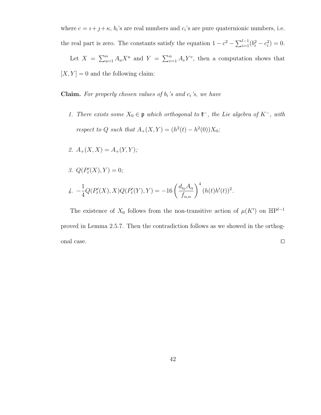where  $c = i + j + \kappa$ ,  $b_i$ 's are real numbers and  $c_i$ 's are pure quaternionic numbers, i.e. the real part is zero. The constants satisfy the equation  $1 - c^2 - \sum_{i=1}^{l-1} (b_i^2 - c_i^2) = 0$ .

Let  $X = \sum_{u=1}^{\alpha} A_u X^u$  and  $Y = \sum_{v=1}^{\alpha} A_v Y^v$ , then a computation shows that  $[X, Y] = 0$  and the following claim:

**Claim.** For properly chosen values of  $b_i$ 's and  $c_i$ 's, we have

- 1. There exists some  $X_0 \in \mathfrak{p}$  which orthogonal to  $\mathfrak{k}^-$ , the Lie algebra of  $K^-$ , with respect to Q such that  $A_+(X,Y) = (h^2(t) - h^2(0))X_0;$
- 2.  $A_{+}(X, X) = A_{+}(Y, Y);$
- 3.  $Q(P'_t(X), Y) = 0;$

4. 
$$
-\frac{1}{4}Q(P'_t(X), X)Q(P'_t(Y), Y) = -16\left(\frac{d_{i_0}A_{\alpha}}{f_{\alpha,\alpha}}\right)^4 (h(t)h'(t))^2
$$
.

The existence of  $X_0$  follows from the non-transitive action of  $\mu(K')$  on  $\mathbb{HP}^{l-1}$ proved in Lemma 2.5.7. Then the contradiction follows as we showed in the orthogonal case.  $\Box$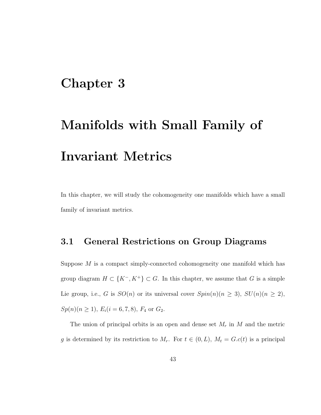### Chapter 3

# Manifolds with Small Family of Invariant Metrics

In this chapter, we will study the cohomogeneity one manifolds which have a small family of invariant metrics.

#### 3.1 General Restrictions on Group Diagrams

Suppose  $M$  is a compact simply-connected cohomogeneity one manifold which has group diagram  $H \subset \{K^-, K^+\} \subset G$ . In this chapter, we assume that G is a simple Lie group, i.e., G is  $SO(n)$  or its universal cover  $Spin(n)(n \geq 3)$ ,  $SU(n)(n \geq 2)$ ,  $Sp(n)(n \geq 1), E_i(i = 6, 7, 8), F_4$  or  $G_2$ .

The union of principal orbits is an open and dense set  $M_r$  in  $M$  and the metric g is determined by its restriction to  $M_r$ . For  $t \in (0, L)$ ,  $M_t = G.c(t)$  is a principal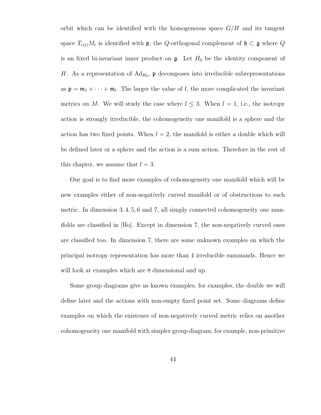orbit which can be identified with the homogeneous space  $G/H$  and its tangent space  $T_{c(t)}M_t$  is identified with  $\mathfrak{p}$ , the Q-orthogonal complement of  $\mathfrak{h} \subset \mathfrak{g}$  where Q is an fixed bi-invariant inner product on  $\mathfrak{g}$ . Let  $H_0$  be the identity component of H. As a representation of  $Ad_{H_0}$ ,  $\mathfrak p$  decomposes into irreducible subrepresentations as  $p = m_1 + \cdots + m_l$ . The larger the value of l, the more complicated the invariant metrics on M. We will study the case where  $l \leq 3$ . When  $l = 1$ , i.e., the isotropy action is strongly irreducible, the cohomogeneity one manifold is a sphere and the action has two fixed points. When  $l = 2$ , the manifold is either a double which will be defined later or a sphere and the action is a sum action. Therefore in the rest of this chapter, we assume that  $l = 3$ .

Our goal is to find more examples of cohomogeneity one manifold which will be new examples either of non-negatively curved manifold or of obstructions to such metric. In dimension 3, 4, 5, 6 and 7, all simply connected cohomogeneity one manifolds are classified in [Ho]. Except in dimension 7, the non-negatively curved ones are classified too. In dimension 7, there are some unknown examples on which the principal isotropy representation has more than 4 irreducible summands. Hence we will look at examples which are 8 dimensional and up.

Some group diagrams give us known examples, for examples, the double we will define later and the actions with non-empty fixed point set. Some diagrams define examples on which the existence of non-negatively curved metric relies on another cohomogeneity one manifold with simpler group diagram, for example, non-primitive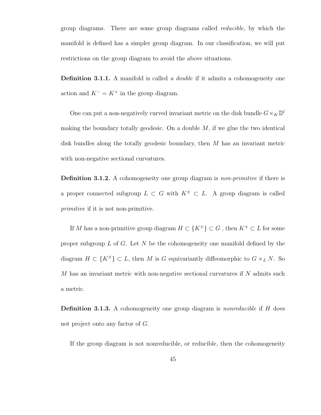group diagrams. There are some group diagrams called reducible, by which the manifold is defined has a simpler group diagram. In our classification, we will put restrictions on the group diagram to avoid the above situations.

**Definition 3.1.1.** A manifold is called a *double* if it admits a cohomogeneity one action and  $K^- = K^+$  in the group diagram.

One can put a non-negatively curved invariant metric on the disk bundle  $G \times_K \mathbb{D}^l$ making the boundary totally geodesic. On a double  $M$ , if we glue the two identical disk bundles along the totally geodesic boundary, then M has an invariant metric with non-negative sectional curvatures.

**Definition 3.1.2.** A cohomogeneity one group diagram is *non-primitive* if there is a proper connected subgroup  $L \subset G$  with  $K^{\pm} \subset L$ . A group diagram is called primitive if it is not non-primitive.

If M has a non-primitive group diagram  $H \subset \{K^{\pm}\}\subset G$ , then  $K^{\pm} \subset L$  for some proper subgroup  $L$  of  $G$ . Let  $N$  be the cohomogeneity one manifold defined by the diagram  $H \subset \{K^{\pm}\}\subset L$ , then M is G equivariantly diffeomorphic to  $G \times_L N$ . So  $M$  has an invariant metric with non-negative sectional curvatures if  $N$  admits such a metric.

**Definition 3.1.3.** A cohomogeneity one group diagram is *nonreducible* if H does not project onto any factor of G.

If the group diagram is not nonreducible, or reducible, then the cohomogeneity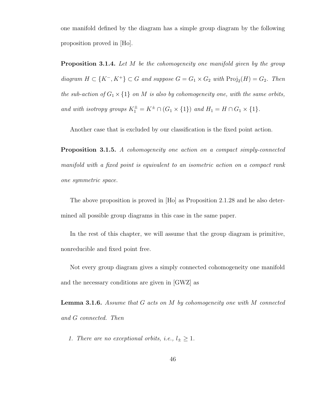one manifold defined by the diagram has a simple group diagram by the following proposition proved in [Ho].

**Proposition 3.1.4.** Let M be the cohomogeneity one manifold given by the group diagram  $H \subset \{K^-, K^+\} \subset G$  and suppose  $G = G_1 \times G_2$  with  $\text{Proj}_2(H) = G_2$ . Then the sub-action of  $G_1 \times \{1\}$  on M is also by cohomogeneity one, with the same orbits, and with isotropy groups  $K_1^{\pm} = K^{\pm} \cap (G_1 \times \{1\})$  and  $H_1 = H \cap G_1 \times \{1\}$ .

Another case that is excluded by our classification is the fixed point action.

Proposition 3.1.5. A cohomogeneity one action on a compact simply-connected manifold with a fixed point is equivalent to an isometric action on a compact rank one symmetric space.

The above proposition is proved in [Ho] as Proposition 2.1.28 and he also determined all possible group diagrams in this case in the same paper.

In the rest of this chapter, we will assume that the group diagram is primitive, nonreducible and fixed point free.

Not every group diagram gives a simply connected cohomogeneity one manifold and the necessary conditions are given in [GWZ] as

**Lemma 3.1.6.** Assume that  $G$  acts on  $M$  by cohomogeneity one with  $M$  connected and G connected. Then

1. There are no exceptional orbits, i.e.,  $l_{\pm} \geq 1$ .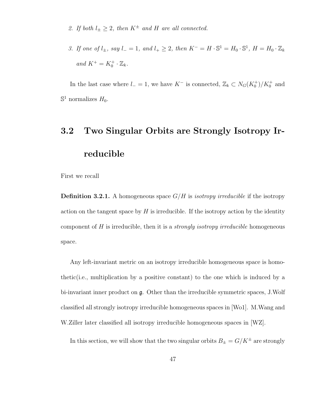- 2. If both  $l_{\pm} \geq 2$ , then  $K^{\pm}$  and H are all connected.
- 3. If one of  $l_{\pm}$ , say  $l_{-}=1$ , and  $l_{+}\geq 2$ , then  $K^{-}=H\cdot\mathbb{S}^{1}=H_{0}\cdot\mathbb{S}^{1}$ ,  $H=H_{0}\cdot\mathbb{Z}_{k}$ and  $K^+ = K_0^+ \cdot \mathbb{Z}_k$ .

In the last case where  $l = 1$ , we have  $K^-$  is connected,  $\mathbb{Z}_k \subset N_G(K_0^+)/K_0^+$  and  $\mathbb{S}^1$  normalizes  $H_0$ .

## 3.2 Two Singular Orbits are Strongly Isotropy Irreducible

First we recall

**Definition 3.2.1.** A homogeneous space  $G/H$  is *isotropy irreducible* if the isotropy action on the tangent space by  $H$  is irreducible. If the isotropy action by the identity component of  $H$  is irreducible, then it is a *strongly isotropy irreducible* homogeneous space.

Any left-invariant metric on an isotropy irreducible homogeneous space is homothetic(i.e., multiplication by a positive constant) to the one which is induced by a bi-invariant inner product on g. Other than the irreducible symmetric spaces, J.Wolf classified all strongly isotropy irreducible homogeneous spaces in [Wo1]. M.Wang and W.Ziller later classified all isotropy irreducible homogeneous spaces in [WZ].

In this section, we will show that the two singular orbits  $B_\pm = G/K^\pm$  are strongly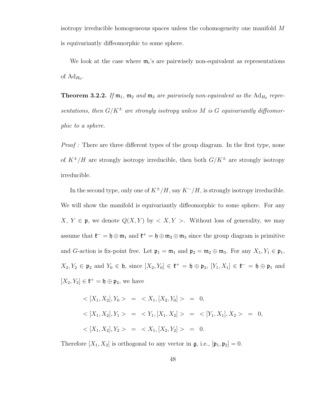isotropy irreducible homogeneous spaces unless the cohomogeneity one manifold M is equivariantly diffeomorphic to some sphere.

We look at the case where  $m_i$ 's are pairwisely non-equivalent as representations of  $Ad_{H_0}$ .

**Theorem 3.2.2.** If  $m_1$ ,  $m_2$  and  $m_3$  are pairwisely non-equivalent as the  $Ad_{H_0}$  representations, then  $G/K^{\pm}$  are strongly isotropy unless M is G equivariantly diffeomorphic to a sphere.

Proof : There are three different types of the group diagram. In the first type, none of  $K^{\pm}/H$  are strongly isotropy irreducible, then both  $G/K^{\pm}$  are strongly isotropy irreducible.

In the second type, only one of  $K^{\pm}/H$ , say  $K^-/H$ , is strongly isotropy irreducible. We will show the manifold is equivariantly diffeomorphic to some sphere. For any  $X, Y \in \mathfrak{p}$ , we denote  $Q(X, Y)$  by  $\langle X, Y \rangle$ . Without loss of generality, we may assume that  $\mathfrak{k}^- = \mathfrak{h} \oplus \mathfrak{m}_1$  and  $\mathfrak{k}^+ = \mathfrak{h} \oplus \mathfrak{m}_2 \oplus \mathfrak{m}_3$  since the group diagram is primitive and G-action is fix-point free. Let  $\mathfrak{p}_1 = \mathfrak{m}_1$  and  $\mathfrak{p}_2 = \mathfrak{m}_2 \oplus \mathfrak{m}_3$ . For any  $X_1, Y_1 \in \mathfrak{p}_1$ ,  $X_2, Y_2 \in \mathfrak{p}_2$  and  $Y_0 \in \mathfrak{h}$ , since  $[X_2, Y_0] \in \mathfrak{k}^+ = \mathfrak{h} \oplus \mathfrak{p}_2$ ,  $[Y_1, X_1] \in \mathfrak{k}^- = \mathfrak{h} \oplus \mathfrak{p}_1$  and  $[X_2, Y_2] \in \mathfrak{k}^+ = \mathfrak{h} \oplus \mathfrak{p}_2$ , we have

$$
\langle [X_1, X_2], Y_0 \rangle = \langle X_1, [X_2, Y_0] \rangle = 0,
$$
  

$$
\langle [X_1, X_2], Y_1 \rangle = \langle Y_1, [X_1, X_2] \rangle = \langle [Y_1, X_1], X_2 \rangle = 0,
$$
  

$$
\langle [X_1, X_2], Y_2 \rangle = \langle X_1, [X_2, Y_2] \rangle = 0.
$$

Therefore  $[X_1, X_2]$  is orthogonal to any vector in  $\mathfrak{g}$ , i.e.,  $[\mathfrak{p}_1, \mathfrak{p}_2] = 0$ .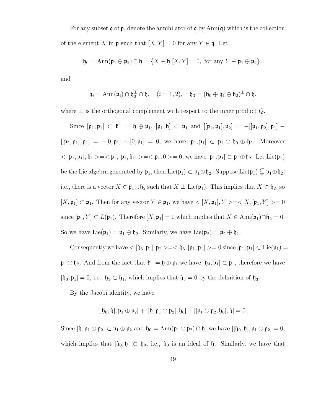For any subset q of  $\mathfrak p$ , denote the annihilator of q by Ann(q) which is the collection of the element X in p such that  $[X, Y] = 0$  for any  $Y \in \mathfrak{q}$ . Let

$$
\mathfrak{h}_0 = \text{Ann}(\mathfrak{p}_1 \oplus \mathfrak{p}_2) \cap \mathfrak{h} = \{ X \in \mathfrak{h} | [X, Y] = 0, \text{ for any } Y \in \mathfrak{p}_1 \oplus \mathfrak{p}_2 \},
$$

and

$$
\mathfrak{h}_i = \text{Ann}(\mathfrak{p}_i) \cap \mathfrak{h}_0^{\perp} \cap \mathfrak{h}, \quad (i = 1, 2), \quad \mathfrak{h}_3 = (\mathfrak{h}_0 \oplus \mathfrak{h}_1 \oplus \mathfrak{h}_2)^{\perp} \cap \mathfrak{h},
$$

where  $\perp$  is the orthogonal complement with respect to the inner product  $Q$ .

Since  $[\mathfrak{p}_1, \mathfrak{p}_1] \subset \mathfrak{k}^- = \mathfrak{h} \oplus \mathfrak{p}_1$ ,  $[\mathfrak{p}_1, \mathfrak{h}] \subset \mathfrak{p}_1$  and  $[[\mathfrak{p}_1, \mathfrak{p}_1], \mathfrak{p}_2] = -[[\mathfrak{p}_1, \mathfrak{p}_2], \mathfrak{p}_1] [[\mathfrak{p}_2, \mathfrak{p}_1], \mathfrak{p}_1] = -[0, \mathfrak{p}_1] - [0, \mathfrak{p}_1] = 0$ , we have  $[\mathfrak{p}_1, \mathfrak{p}_1] \subset \mathfrak{p}_1 \oplus \mathfrak{h}_0 \oplus \mathfrak{h}_2$ . Moreover  $<[\mathfrak{p}_1, \mathfrak{p}_1], \mathfrak{h}_1>=<\mathfrak{p}_1, \mathfrak{h}_1]>=<\mathfrak{p}_1, 0>=0$ , we have  $[\mathfrak{p}_1, \mathfrak{p}_1]\subset \mathfrak{p}_1\oplus \mathfrak{h}_2$ . Let Lie $(\mathfrak{p}_1)$ be the Lie algebra generated by  $\mathfrak{p}_1$ , then Lie $(\mathfrak{p}_1) \subset \mathfrak{p}_1 \oplus \mathfrak{h}_2$ . Suppose Lie $(\mathfrak{p}_1) \subsetneq \mathfrak{p}_1 \oplus \mathfrak{h}_2$ , i.e., there is a vector  $X \in \mathfrak{p}_1 \oplus \mathfrak{h}_2$  such that  $X \perp \text{Lie}(\mathfrak{p}_1)$ . This implies that  $X \in \mathfrak{h}_2$ , so  $[X, \mathfrak{p}_1] \subset \mathfrak{p}_1$ . Then for any vector  $Y \in \mathfrak{p}_1$ , we have  $\langle [X, \mathfrak{p}_1], Y \rangle = \langle X, [\mathfrak{p}_1, Y] \rangle = 0$ since  $[\mathfrak{p}_1, Y] \subset L(\mathfrak{p}_1)$ . Therefore  $[X, \mathfrak{p}_1] = 0$  which implies that  $X \in Ann(\mathfrak{p}_1) \cap \mathfrak{h}_2 = 0$ . So we have  $Lie(\mathfrak{p}_1) = \mathfrak{p}_1 \oplus \mathfrak{h}_2$ . Similarly, we have  $Lie(\mathfrak{p}_2) = \mathfrak{p}_2 \oplus \mathfrak{h}_1$ .

Consequently we have  $\langle [\mathfrak{h}_3, \mathfrak{p}_1], \mathfrak{p}_1 \rangle = \langle \mathfrak{h}_3, [\mathfrak{p}_1, \mathfrak{p}_1] \rangle = 0$  since  $[\mathfrak{p}_1, \mathfrak{p}_1] \subset \text{Lie}(\mathfrak{p}_1) =$  $\mathfrak{p}_1 \oplus \mathfrak{h}_2$ . And from the fact that  $\mathfrak{k}^- = \mathfrak{h} \oplus \mathfrak{p}_1$  we have  $[\mathfrak{h}_3, \mathfrak{p}_1] \subset \mathfrak{p}_1$ , therefore we have  $[\mathfrak{h}_3, \mathfrak{p}_1] = 0$ , i.e.,  $\mathfrak{h}_3 \subset \mathfrak{h}_1$ , which implies that  $\mathfrak{h}_3 = 0$  by the definition of  $\mathfrak{h}_3$ .

By the Jacobi identity, we have

$$
\left[\left[\mathfrak{h}_0,\mathfrak{h}\right],\mathfrak{p}_1\oplus\mathfrak{p}_2\right] + \left[\left[\mathfrak{h},\mathfrak{p}_1\oplus\mathfrak{p}_2\right],\mathfrak{h}_0\right] + \left[\left[\mathfrak{p}_1\oplus\mathfrak{p}_2,\mathfrak{h}_0\right],\mathfrak{h}\right] = 0.
$$

Since  $[\mathfrak{h}, \mathfrak{p}_1 \oplus \mathfrak{p}_2] \subset \mathfrak{p}_1 \oplus \mathfrak{p}_2$  and  $\mathfrak{h}_0 = \text{Ann}(\mathfrak{p}_1 \oplus \mathfrak{p}_2) \cap \mathfrak{h}$ , we have  $[[\mathfrak{h}_0, \mathfrak{h}], \mathfrak{p}_1 \oplus \mathfrak{p}_2] = 0$ , which implies that  $[\mathfrak{h}_0, \mathfrak{h}] \subset \mathfrak{h}_0$ , i.e.,  $\mathfrak{h}_0$  is an ideal of  $\mathfrak{h}$ . Similarly, we have that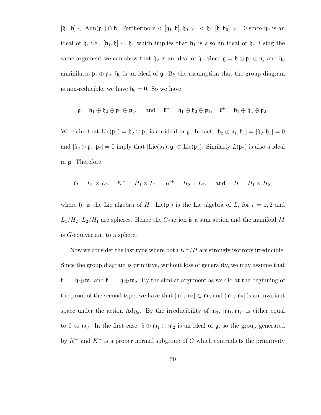$[\mathfrak{h}_1, \mathfrak{h}] \subset \text{Ann}(\mathfrak{p}_1) \cap \mathfrak{h}$ . Furthermore  $\langle [\mathfrak{h}_1, \mathfrak{h}], \mathfrak{h}_0 \rangle = \langle \mathfrak{h}_1, [\mathfrak{h}, \mathfrak{h}_0] \rangle = 0$  since  $\mathfrak{h}_0$  is an ideal of h, i.e.,  $[\mathfrak{h}_1, \mathfrak{h}] \subset \mathfrak{h}_1$  which implies that  $\mathfrak{h}_1$  is also an ideal of h. Using the same argument we can show that  $\mathfrak{h}_2$  is an ideal of  $\mathfrak{h}$ . Since  $\mathfrak{g} = \mathfrak{h} \oplus \mathfrak{p}_1 \oplus \mathfrak{p}_2$  and  $\mathfrak{h}_0$ annihilates  $\mathfrak{p}_1 \oplus \mathfrak{p}_2$ ,  $\mathfrak{h}_0$  is an ideal of  $\mathfrak{g}$ . By the assumption that the group diagram is non-reducible, we have  $\mathfrak{h}_0 = 0$ . So we have

$$
\mathfrak{g}=\mathfrak{h}_1\oplus\mathfrak{h}_2\oplus\mathfrak{p}_1\oplus\mathfrak{p}_2,\quad\text{ and }\quad \mathfrak{k}^-=\mathfrak{h}_1\oplus\mathfrak{h}_2\oplus\mathfrak{p}_1,\quad \mathfrak{k}^+=\mathfrak{h}_1\oplus\mathfrak{h}_2\oplus\mathfrak{p}_2.
$$

We claim that  $Lie(\mathfrak{p}_1) = \mathfrak{h}_2 \oplus \mathfrak{p}_1$  is an ideal in  $\mathfrak{g}$ . In fact,  $[\mathfrak{h}_2 \oplus \mathfrak{p}_1, \mathfrak{h}_1] = [\mathfrak{h}_2, \mathfrak{h}_1] = 0$ and  $[\mathfrak{h}_2 \oplus \mathfrak{p}_1, \mathfrak{p}_2] = 0$  imply that  $[\mathrm{Lie}(\mathfrak{p}_1), \mathfrak{g}] \subset \mathrm{Lie}(\mathfrak{p}_1)$ . Similarly  $L(\mathfrak{p}_2)$  is also a ideal in g. Therefore

$$
G = L_1 \times L_2
$$
,  $K^- = H_1 \times L_1$ ,  $K^+ = H_2 \times L_2$ , and  $H = H_1 \times H_2$ ,

where  $\mathfrak{h}_i$  is the Lie algebra of  $H_i$ , Lie $(\mathfrak{p}_i)$  is the Lie algebra of  $L_i$  for  $i = 1, 2$  and  $L_1/H_2$ ,  $L_2/H_1$  are spheres. Hence the G-action is a sum action and the manifold M is G-equivariant to a sphere.

Now we consider the last type where both  $K^{\pm}/H$  are strongly isotropy irreducible. Since the group diagram is primitive, without loss of generality, we may assume that  $\mathfrak{k}^- = \mathfrak{h} \oplus \mathfrak{m}_1$  and  $\mathfrak{k}^+ = \mathfrak{h} \oplus \mathfrak{m}_2$ . By the similar argument as we did at the beginning of the proof of the second type, we have that  $[\mathfrak{m}_1, \mathfrak{m}_2] \subset \mathfrak{m}_3$  and  $[\mathfrak{m}_1, \mathfrak{m}_2]$  is an invariant space under the action  $Ad_{H_0}$ . By the irreducibility of  $m_3$ ,  $[m_1, m_2]$  is either equal to 0 to  $m_3$ . In the first case,  $\mathfrak{h} \oplus m_1 \oplus m_2$  is an ideal of  $\mathfrak{g}$ , so the group generated by  $K^-$  and  $K^+$  is a proper normal subgroup of G which contradicts the primitivity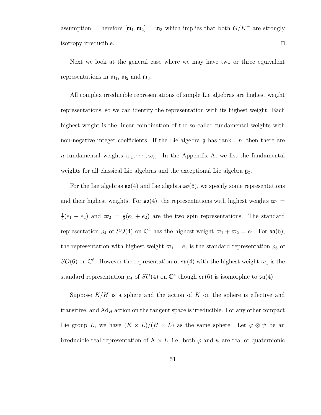assumption. Therefore  $[\mathfrak{m}_1, \mathfrak{m}_2] = \mathfrak{m}_3$  which implies that both  $G/K^{\pm}$  are strongly isotropy irreducible.  $\Box$ 

Next we look at the general case where we may have two or three equivalent representations in  $m_1$ ,  $m_2$  and  $m_3$ .

All complex irreducible representations of simple Lie algebras are highest weight representations, so we can identify the representation with its highest weight. Each highest weight is the linear combination of the so called fundamental weights with non-negative integer coefficients. If the Lie algebra  $\mathfrak g$  has rank $=n$ , then there are n fundamental weights  $\varpi_1, \dots, \varpi_n$ . In the Appendix A, we list the fundamental weights for all classical Lie algebras and the exceptional Lie algebra  $\mathfrak{g}_2$ .

For the Lie algebras  $\mathfrak{so}(4)$  and Lie algebra  $\mathfrak{so}(6)$ , we specify some representations and their highest weights. For  $\mathfrak{so}(4)$ , the representations with highest weights  $\varpi_1 =$ 1  $\frac{1}{2}(e_1 - e_2)$  and  $\varpi_2 = \frac{1}{2}$  $\frac{1}{2}(e_1 + e_2)$  are the two spin representations. The standard representation  $\varrho_4$  of  $SO(4)$  on  $\mathbb{C}^4$  has the highest weight  $\varpi_1 + \varpi_2 = e_1$ . For  $\mathfrak{so}(6)$ , the representation with highest weight  $\varpi_1 = e_1$  is the standard representation  $\varrho_6$  of  $SO(6)$  on  $\mathbb{C}^6$ . However the representation of  $\mathfrak{su}(4)$  with the highest weight  $\varpi_1$  is the standard representation  $\mu_4$  of  $SU(4)$  on  $\mathbb{C}^4$  though  $\mathfrak{so}(6)$  is isomorphic to  $\mathfrak{su}(4)$ .

Suppose  $K/H$  is a sphere and the action of K on the sphere is effective and transitive, and  $Ad<sub>H</sub>$  action on the tangent space is irreducible. For any other compact Lie group L, we have  $(K \times L)/(H \times L)$  as the same sphere. Let  $\varphi \otimes \psi$  be an irreducible real representation of  $K \times L$ , i.e. both  $\varphi$  and  $\psi$  are real or quaternionic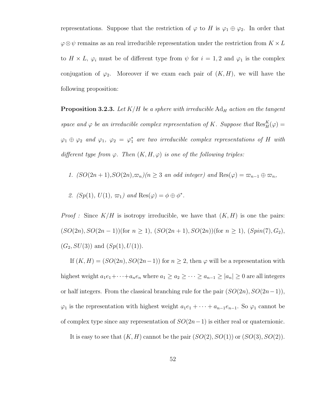representations. Suppose that the restriction of  $\varphi$  to H is  $\varphi_1 \oplus \varphi_2$ . In order that  $\varphi \otimes \psi$  remains as an real irreducible representation under the restriction from  $K \times L$ to  $H \times L$ ,  $\varphi_i$  must be of different type from  $\psi$  for  $i = 1, 2$  and  $\varphi_1$  is the complex conjugation of  $\varphi_2$ . Moreover if we exam each pair of  $(K, H)$ , we will have the following proposition:

**Proposition 3.2.3.** Let  $K/H$  be a sphere with irreducible  $\text{Ad}_H$  action on the tangent space and  $\varphi$  be an irreducible complex representation of K. Suppose that  $\text{Res}_{H}^{K}(\varphi) =$  $\varphi_1 \oplus \varphi_2$  and  $\varphi_1$ ,  $\varphi_2 = \varphi_1^*$  are two irreducible complex representations of H with different type from  $\varphi$ . Then  $(K, H, \varphi)$  is one of the following triples:

- 1.  $(SO(2n+1), SO(2n), \varpi_n)(n \geq 3$  an odd integer) and  $\text{Res}(\varphi) = \varpi_{n-1} \oplus \varpi_n$ ,
- 2.  $(Sp(1), U(1), \varpi_1)$  and  $\text{Res}(\varphi) = \phi \oplus \phi^*$ .

*Proof :* Since  $K/H$  is isotropy irreducible, we have that  $(K, H)$  is one the pairs:  $(SO(2n), SO(2n-1))$ (for  $n \ge 1$ ),  $(SO(2n+1), SO(2n))$ (for  $n \ge 1$ ),  $(Spin(7), G_2)$ ,  $(G_2, SU(3))$  and  $(Sp(1), U(1))$ .

If  $(K, H) = (SO(2n), SO(2n-1))$  for  $n \geq 2$ , then  $\varphi$  will be a representation with highest weight  $a_1e_1+\cdots+a_ne_n$  where  $a_1 \ge a_2 \ge \cdots \ge a_{n-1} \ge |a_n| \ge 0$  are all integers or half integers. From the classical branching rule for the pair  $(SO(2n), SO(2n-1)),$  $\varphi_1$  is the representation with highest weight  $a_1e_1 + \cdots + a_{n-1}e_{n-1}$ . So  $\varphi_1$  cannot be of complex type since any representation of  $SO(2n-1)$  is either real or quaternionic.

It is easy to see that  $(K, H)$  cannot be the pair  $(SO(2), SO(1))$  or  $(SO(3), SO(2)).$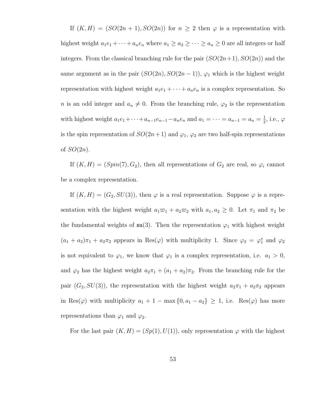If  $(K, H) = (SO(2n + 1), SO(2n))$  for  $n \geq 2$  then  $\varphi$  is a representation with highest weight  $a_1e_1 + \cdots + a_ne_n$  where  $a_1 \ge a_2 \ge \cdots \ge a_n \ge 0$  are all integers or half integers. From the classical branching rule for the pair  $(SO(2n+1), SO(2n))$  and the same argument as in the pair  $(SO(2n), SO(2n-1))$ ,  $\varphi_1$  which is the highest weight representation with highest weight  $a_1e_1 + \cdots + a_ne_n$  is a complex representation. So n is an odd integer and  $a_n \neq 0$ . From the branching rule,  $\varphi_2$  is the representation with highest weight  $a_1e_1 + \cdots + a_{n-1}e_{n-1} - a_ne_n$  and  $a_1 = \cdots = a_{n-1} = a_n = \frac{1}{2}$  $\frac{1}{2}$ , i.e.,  $\varphi$ is the spin representation of  $SO(2n+1)$  and  $\varphi_1$ ,  $\varphi_2$  are two half-spin representations of  $SO(2n)$ .

If  $(K, H) = (Spin(7), G_2)$ , then all representations of  $G_2$  are real, so  $\varphi_i$  cannot be a complex representation.

If  $(K, H) = (G_2, SU(3))$ , then  $\varphi$  is a real representation. Suppose  $\varphi$  is a representation with the highest weight  $a_1 \varpi_1 + a_2 \varpi_2$  with  $a_1, a_2 \geq 0$ . Let  $\pi_1$  and  $\pi_2$  be the fundamental weights of  $\mathfrak{su}(3)$ . Then the representation  $\varphi_1$  with highest weight  $(a_1 + a_2)\pi_1 + a_2\pi_2$  appears in  $\text{Res}(\varphi)$  with multiplicity 1. Since  $\varphi_2 = \varphi_1^*$  and  $\varphi_2$ is not equivalent to  $\varphi_1$ , we know that  $\varphi_1$  is a complex representation, i.e.  $a_1 > 0$ , and  $\varphi_2$  has the highest weight  $a_2\pi_1 + (a_1 + a_2)\pi_2$ . From the branching rule for the pair  $(G_2, SU(3))$ , the representation with the highest weight  $a_2\pi_1 + a_2\pi_2$  appears in Res( $\varphi$ ) with multiplicity  $a_1 + 1 - \max\{0, a_1 - a_2\} \ge 1$ , i.e. Res( $\varphi$ ) has more representations than  $\varphi_1$  and  $\varphi_2$ .

For the last pair  $(K, H) = (Sp(1), U(1))$ , only representation  $\varphi$  with the highest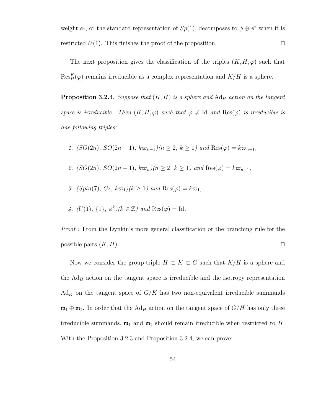weight  $e_1$ , or the standard representation of  $Sp(1)$ , decomposes to  $\phi \oplus \phi^*$  when it is restricted  $U(1)$ . This finishes the proof of the proposition.

The next proposition gives the classification of the triples  $(K, H, \varphi)$  such that  $\text{Res}_{H}^{K}(\varphi)$  remains irreducible as a complex representation and  $K/H$  is a sphere.

**Proposition 3.2.4.** Suppose that  $(K, H)$  is a sphere and  $\text{Ad}_{H}$  action on the tangent space is irreducible. Then  $(K, H, \varphi)$  such that  $\varphi \neq \mathrm{Id}$  and  $\mathrm{Res}(\varphi)$  is irreducible is one following triples:

1. (SO(2n), SO(2n − 1),  $k\varpi_{n-1}/(n \geq 2, k \geq 1)$  and Res( $\varphi$ ) =  $k\varpi_{n-1}$ ,

- 2. (SO(2n), SO(2n − 1),  $k\varpi_n$ )(n ≥ 2, k ≥ 1) and Res( $\varphi$ ) =  $k\varpi_{n-1}$ ,
- 3. (Spin(7),  $G_2$ ,  $k\varpi_1$ )( $k \ge 1$ ) and Res( $\varphi$ ) =  $k\varpi_1$ ,
- 4.  $(U(1), \{1\}, \phi^k)$   $(k \in \mathbb{Z})$  and  $\text{Res}(\varphi) = \text{Id}$ .

Proof : From the Dynkin's more general classification or the branching rule for the possible pairs  $(K, H)$ .

Now we consider the group-triple  $H \subset K \subset G$  such that  $K/H$  is a sphere and the  $Ad<sub>H</sub>$  action on the tangent space is irreducible and the isotropy representation  $\text{Ad}_K$  on the tangent space of  $G/K$  has two non-equivalent irreducible summands  $\mathfrak{m}_1 \oplus \mathfrak{m}_2$ . In order that the Ad<sub>H</sub> action on the tangent space of  $G/H$  has only three irreducible summands,  $m_1$  and  $m_2$  should remain irreducible when restricted to H. With the Proposition 3.2.3 and Proposition 3.2.4, we can prove: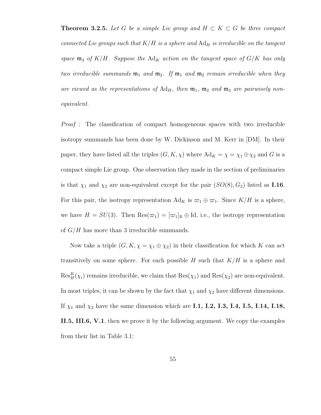**Theorem 3.2.5.** Let G be a simple Lie group and  $H \subset K \subset G$  be three compact connected Lie groups such that  $K/H$  is a sphere and  $\text{Ad}_H$  is irreducible on the tangent space  $\mathfrak{m}_3$  of K/H. Suppose the Ad<sub>K</sub> action on the tangent space of G/K has only two irreducible summands  $\mathfrak{m}_1$  and  $\mathfrak{m}_2$ . If  $\mathfrak{m}_1$  and  $\mathfrak{m}_2$  remain irreducible when they are viewed as the representations of  $\text{Ad}_H$ , then  $\mathfrak{m}_1$ ,  $\mathfrak{m}_2$  and  $\mathfrak{m}_3$  are pairwisely nonequivalent.

Proof : The classification of compact homogeneous spaces with two irreducible isotropy summands has been done by W. Dickinson and M. Kerr in [DM]. In their paper, they have listed all the triples  $(G, K, \chi)$  where  $Ad_K = \chi = \chi_1 \oplus \chi_2$  and G is a compact simple Lie group. One observation they made in the section of preliminaries is that  $\chi_1$  and  $\chi_2$  are non-equivalent except for the pair  $(SO(8), G_2)$  listed as **I.16**. For this pair, the isotropy representation  $Ad_K$  is  $\varpi_1 \oplus \varpi_1$ . Since  $K/H$  is a sphere, we have  $H = SU(3)$ . Then  $\text{Res}(\varpi_1) = [\varpi_1]_{\mathbb{R}} \oplus \text{Id}$ , i.e., the isotropy representation of  $G/H$  has more than 3 irreducible summands.

Now take a triple  $(G, K, \chi = \chi_1 \oplus \chi_2)$  in their classification for which K can act transitively on some sphere. For each possible  $H$  such that  $K/H$  is a sphere and  $\text{Res}_{H}^{K}(\chi_{i})$  remains irreducible, we claim that  $\text{Res}(\chi_{1})$  and  $\text{Res}(\chi_{2})$  are non-equivalent. In most triples, it can be shown by the fact that  $\chi_1$  and  $\chi_2$  have different dimensions. If  $\chi_1$  and  $\chi_2$  have the same dimension which are I.1, I.2, I.3, I.4, I.5, I.14, I.18, II.5, III.6, V.1, then we prove it by the following argument. We copy the examples from their list in Table 3.1: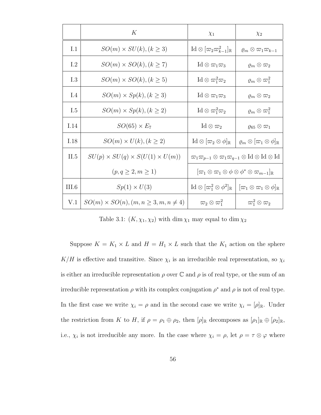|       | $\boldsymbol{K}$                                 | $\chi_1$                                                                                                    | $\chi_2$                                                   |
|-------|--------------------------------------------------|-------------------------------------------------------------------------------------------------------------|------------------------------------------------------------|
| I.1   | $SO(m) \times SU(k)$ , $(k \geq 3)$              | $\mathrm{Id}\otimes[\varpi_2\varpi_{k-1}^2]_{\mathbb{R}}$                                                   | $\varrho_m\otimes\varpi_1\varpi_{k-1}$                     |
| I.2   | $SO(m) \times SO(k), (k \geq 7)$                 | $\mathrm{Id}\otimes\varpi_1\varpi_3$                                                                        | $\rho_m\otimes\varpi_2$                                    |
| I.3   | $SO(m) \times SO(k)$ , $(k \geq 5)$              | $\text{Id} \otimes \varpi_1^2 \varpi_2$                                                                     | $\varrho_m\otimes\varpi_1^2$                               |
| I.4   | $SO(m) \times Sp(k), (k \geq 3)$                 | $\mathrm{Id}\otimes\varpi_1\varpi_3$                                                                        | $\rho_m\otimes\varpi_2$                                    |
| 1.5   | $SO(m) \times Sp(k), (k \geq 2)$                 | $\text{Id} \otimes \varpi_1^2 \varpi_2$                                                                     | $\varrho_m\otimes\varpi_1^2$                               |
| I.14  | $SO(65) \times E_7$                              | $\mathrm{Id} \otimes \varpi_2$                                                                              | $\varrho_{65}\otimes\varpi_1$                              |
| I.18  | $SO(m) \times U(k)$ , $(k \geq 2)$               | $\mathrm{Id} \otimes [\varpi_2 \otimes \phi]_{\mathbb{R}}$                                                  | $[\varrho_m \otimes [\varpi_1 \otimes \phi]_{\mathbb{R}}]$ |
| II.5  | $SU(p) \times SU(q) \times S(U(1) \times U(m))$  | $\varpi_1 \varpi_{p-1} \otimes \varpi_1 \varpi_{q-1} \otimes \text{Id} \otimes \text{Id} \otimes \text{Id}$ |                                                            |
|       | $(p, q \geq 2, m \geq 1)$                        | $[\varpi_1 \otimes \varpi_1 \otimes \phi \otimes \phi^* \otimes \varpi_{m-1}]_{\mathbb{R}}$                 |                                                            |
| III.6 | $Sp(1) \times U(3)$                              | $\mathrm{Id}\otimes[\varpi_1^2\otimes\phi^2]_{\mathbb{R}}$                                                  | $[\varpi_1 \otimes \varpi_1 \otimes \phi]_{\mathbb{R}}$    |
| V.1   | $SO(m) \times SO(n), (m, n \geq 3, m, n \neq 4)$ | $\varpi_2\otimes\varpi_1^2$                                                                                 | $\varpi_1^2\otimes\varpi_2$                                |

Table 3.1:  $(K, \chi_1, \chi_2)$  with dim  $\chi_1$  may equal to dim  $\chi_2$ 

Suppose  $K = K_1 \times L$  and  $H = H_1 \times L$  such that the  $K_1$  action on the sphere  $K/H$  is effective and transitive. Since  $\chi_i$  is an irreducible real representation, so  $\chi_i$ is either an irreducible representation  $\rho$  over  $\mathbb C$  and  $\rho$  is of real type, or the sum of an irreducible representation  $\rho$  with its complex conjugation  $\rho^*$  and  $\rho$  is not of real type. In the first case we write  $\chi_i = \rho$  and in the second case we write  $\chi_i = [\rho]_{\mathbb{R}}$ . Under the restriction from K to H, if  $\rho = \rho_1 \oplus \rho_2$ , then  $[\rho]_{\mathbb{R}}$  decomposes as  $[\rho_1]_{\mathbb{R}} \oplus [\rho_2]_{\mathbb{R}}$ , i.e.,  $\chi_i$  is not irreducible any more. In the case where  $\chi_i = \rho$ , let  $\rho = \tau \otimes \varphi$  where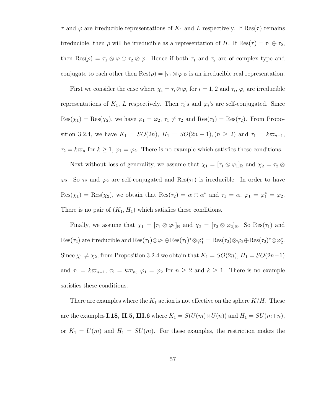$\tau$  and  $\varphi$  are irreducible representations of  $K_1$  and L respectively. If Res( $\tau$ ) remains irreducible, then  $\rho$  will be irreducible as a representation of H. If  $\text{Res}(\tau) = \tau_1 \oplus \tau_2$ , then Res $(\rho) = \tau_1 \otimes \varphi \oplus \tau_2 \otimes \varphi$ . Hence if both  $\tau_1$  and  $\tau_2$  are of complex type and conjugate to each other then  $\text{Res}(\rho) = [\tau_1 \otimes \varphi]_{\mathbb{R}}$  is an irreducible real representation.

First we consider the case where  $\chi_i = \tau_i \otimes \varphi_i$  for  $i = 1, 2$  and  $\tau_i$ ,  $\varphi_i$  are irreducible representations of  $K_1$ , L respectively. Then  $\tau_i$ 's and  $\varphi_i$ 's are self-conjugated. Since  $Res(\chi_1) = Res(\chi_2)$ , we have  $\varphi_1 = \varphi_2, \tau_1 \neq \tau_2$  and  $Res(\tau_1) = Res(\tau_2)$ . From Proposition 3.2.4, we have  $K_1 = SO(2n)$ ,  $H_1 = SO(2n-1)$ ,  $(n \ge 2)$  and  $\tau_1 = k\varpi_{n-1}$ ,  $\tau_2 = k\omega_n$  for  $k \ge 1$ ,  $\varphi_1 = \varphi_2$ . There is no example which satisfies these conditions.

Next without loss of generality, we assume that  $\chi_1 = [\tau_1 \otimes \varphi_1]_{\mathbb{R}}$  and  $\chi_2 = \tau_2 \otimes$  $\varphi_2$ . So  $\tau_2$  and  $\varphi_2$  are self-conjugated and  $\text{Res}(\tau_1)$  is irreducible. In order to have  $\text{Res}(\chi_1) = \text{Res}(\chi_2)$ , we obtain that  $\text{Res}(\tau_2) = \alpha \oplus \alpha^*$  and  $\tau_1 = \alpha, \varphi_1 = \varphi_1^* = \varphi_2$ . There is no pair of  $(K_1, H_1)$  which satisfies these conditions.

Finally, we assume that  $\chi_1 = [\tau_1 \otimes \varphi_1]_{\mathbb{R}}$  and  $\chi_2 = [\tau_2 \otimes \varphi_2]_{\mathbb{R}}$ . So Res $(\tau_1)$  and  $\text{Res}(\tau_2)$  are irreducible and  $\text{Res}(\tau_1) \otimes \varphi_1 \oplus \text{Res}(\tau_1)^* \otimes \varphi_1^* = \text{Res}(\tau_2) \otimes \varphi_2 \oplus \text{Res}(\tau_2)^* \otimes \varphi_2^*$ . Since  $\chi_1 \neq \chi_2$ , from Proposition 3.2.4 we obtain that  $K_1 = SO(2n)$ ,  $H_1 = SO(2n-1)$ and  $\tau_1 = k\varpi_{n-1}, \tau_2 = k\varpi_n, \varphi_1 = \varphi_2$  for  $n \geq 2$  and  $k \geq 1$ . There is no example satisfies these conditions.

There are examples where the  $K_1$  action is not effective on the sphere  $K/H$ . These are the examples I.18, II.5, III.6 where  $K_1 = S(U(m) \times U(n))$  and  $H_1 = SU(m+n)$ , or  $K_1 = U(m)$  and  $H_1 = SU(m)$ . For these examples, the restriction makes the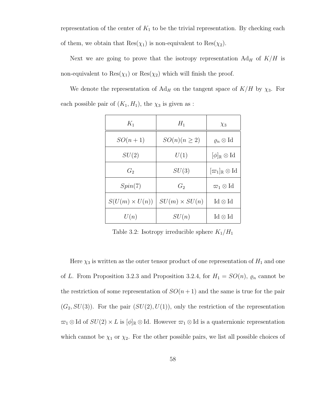representation of the center of  $K_1$  to be the trivial representation. By checking each of them, we obtain that  $\text{Res}(\chi_1)$  is non-equivalent to  $\text{Res}(\chi_2)$ .

Next we are going to prove that the isotropy representation  $Ad_H$  of  $K/H$  is non-equivalent to  $\text{Res}(\chi_1)$  or  $\text{Res}(\chi_2)$  which will finish the proof.

We denote the representation of  $Ad_H$  on the tangent space of  $K/H$  by  $\chi_3$ . For each possible pair of  $(K_1, H_1)$ , the  $\chi_3$  is given as :

| $K_1$                 | $H_1$                | $\chi_3$                                    |
|-----------------------|----------------------|---------------------------------------------|
| $SO(n+1)$             | $SO(n)(n \geq 2)$    | $\varrho_n\otimes \mathrm{Id}$              |
| SU(2)                 | U(1)                 | $[\phi]_{\mathbb{R}} \otimes \text{Id}$     |
| $G_2$                 | SU(3)                | $[\varpi_1]_\mathbb{R}\otimes\mathrm{Id}$   |
| Spin(7)               | $G_2$                | $\varpi_1\otimes\mathrm{Id}$                |
| $S(U(m) \times U(n))$ | $SU(m) \times SU(n)$ | $\operatorname{Id}\otimes\operatorname{Id}$ |
| U(n)                  | SU(n)                | $\operatorname{Id}\otimes\operatorname{Id}$ |

Table 3.2: Isotropy irreducible sphere  $K_1/H_1$ 

Here  $\chi_3$  is written as the outer tensor product of one representation of  $H_1$  and one of L. From Proposition 3.2.3 and Proposition 3.2.4, for  $H_1 = SO(n)$ ,  $\varrho_n$  cannot be the restriction of some representation of  $SO(n+1)$  and the same is true for the pair  $(G_2, SU(3))$ . For the pair  $(SU(2), U(1))$ , only the restriction of the representation  $\pi_1 \otimes \text{Id}$  of  $SU(2) \times L$  is  $[\![\phi]\!]_{\mathbb{R}} \otimes \text{Id}$ . However  $\pi_1 \otimes \text{Id}$  is a quaternionic representation which cannot be  $\chi_1$  or  $\chi_2$ . For the other possible pairs, we list all possible choices of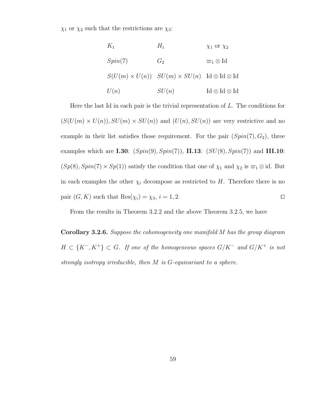$\chi_1$  or  $\chi_2$  such that the restrictions are  $\chi_3$ :

$$
K_1 \t H_1 \t \chi_1 \text{ or } \chi_2
$$
  
\n
$$
Spin(7)
$$
  
\n
$$
G_2 \t \varpi_1 \otimes \text{Id}
$$
  
\n
$$
S(U(m) \times U(n)) \t SU(m) \times SU(n) \t Id \otimes \text{Id} \otimes \text{Id}
$$
  
\n
$$
U(n) \t SU(n) \t Id \otimes \text{Id} \otimes \text{Id}
$$

Here the last Id in each pair is the trivial representation of  $L$ . The conditions for  $(S(U(m) \times U(n)), SU(m) \times SU(n))$  and  $(U(n), SU(n))$  are very restrictive and no example in their list satisfies those requirement. For the pair  $(Spin(7), G_2)$ , three examples which are I.30:  $(Spin(9), Spin(7))$ , II.13:  $(SU(8), Spin(7))$  and III.10:  $(Sp(8), Spin(7) \times Sp(1))$  satisfy the condition that one of  $\chi_1$  and  $\chi_2$  is  $\varpi_1 \otimes id$ . But in each examples the other  $\chi_i$  decompose as restricted to H. Therefore there is no pair  $(G, K)$  such that  $\text{Res}(\chi_i) = \chi_3, i = 1, 2.$ 

From the results in Theorem 3.2.2 and the above Theorem 3.2.5, we have

Corollary 3.2.6. Suppose the cohomogeneity one manifold M has the group diagram  $H \subset \{K^-, K^+\} \subset G$ . If one of the homogeneous spaces  $G/K^-$  and  $G/K^+$  is not strongly isotropy irreducible, then M is G-equivariant to a sphere.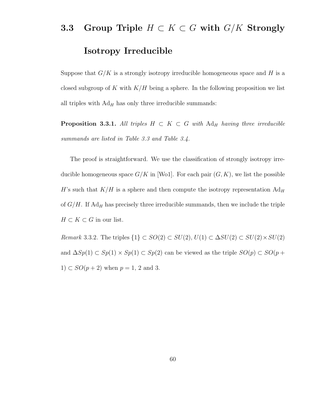#### 3.3 Group Triple  $H \subset K \subset G$  with  $G/K$  Strongly

#### Isotropy Irreducible

Suppose that  $G/K$  is a strongly isotropy irreducible homogeneous space and H is a closed subgroup of K with  $K/H$  being a sphere. In the following proposition we list all triples with  $Ad<sub>H</sub>$  has only three irreducible summands:

**Proposition 3.3.1.** All triples  $H \subset K \subset G$  with  $\text{Ad}_H$  having three irreducible summands are listed in Table 3.3 and Table 3.4.

The proof is straightforward. We use the classification of strongly isotropy irreducible homogeneous space  $G/K$  in [Wo1]. For each pair  $(G, K)$ , we list the possible H's such that  $K/H$  is a sphere and then compute the isotropy representation  $Ad_H$ of  $G/H$ . If  $Ad<sub>H</sub>$  has precisely three irreducible summands, then we include the triple  $H \subset K \subset G$  in our list.

Remark 3.3.2. The triples  $\{1\} \subset SO(2) \subset SU(2), U(1) \subset \Delta SU(2) \subset SU(2) \times SU(2)$ and  $\Delta Sp(1) \subset Sp(1) \times Sp(1) \subset Sp(2)$  can be viewed as the triple  $SO(p) \subset SO(p+1)$ 1)  $\subset SO(p+2)$  when  $p=1, 2$  and 3.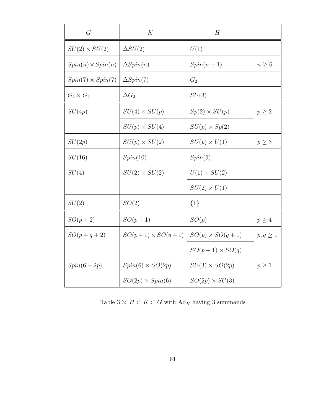| G                        | K                        | H                      |               |
|--------------------------|--------------------------|------------------------|---------------|
| $SU(2) \times SU(2)$     | $\Delta SU(2)$           | U(1)                   |               |
| $Spin(n) \times Spin(n)$ | $\Delta Spin(n)$         | $Spin(n-1)$            | $n \geq 6$    |
| $Spin(7) \times Spin(7)$ | $\Delta Spin(7)$         | $G_2$                  |               |
| $G_2 \times G_2$         | $\Delta G_2$             | SU(3)                  |               |
| SU(4p)                   | $SU(4) \times SU(p)$     | $Sp(2) \times SU(p)$   | $p \geq 2$    |
|                          | $SU(p) \times SU(4)$     | $SU(p) \times Sp(2)$   |               |
| SU(2p)                   | $SU(p) \times SU(2)$     | $SU(p) \times U(1)$    | $p \geq 3$    |
| SU(16)                   | Spin(10)                 | Spin(9)                |               |
| SU(4)                    | $SU(2) \times SU(2)$     | $U(1) \times SU(2)$    |               |
|                          |                          | $SU(2) \times U(1)$    |               |
| SU(2)                    | SO(2)                    | $\{1\}$                |               |
| $SO(p+2)$                | $SO(p+1)$                | SO(p)                  | $p \geq 4$    |
| $SO(p+q+2)$              | $SO(p+1) \times SO(q+1)$ | $SO(p) \times SO(q+1)$ | $p, q \geq 1$ |
|                          |                          | $SO(p+1) \times SO(q)$ |               |
| $Spin(6+2p)$             | $Spin(6) \times SO(2p)$  | $SU(3) \times SO(2p)$  | $p \geq 1$    |
|                          | $SO(2p) \times Spin(6)$  | $SO(2p) \times SU(3)$  |               |

Table 3.3:  $H\subset K\subset G$  with  $\mathrm{Ad}_H$  having 3 summands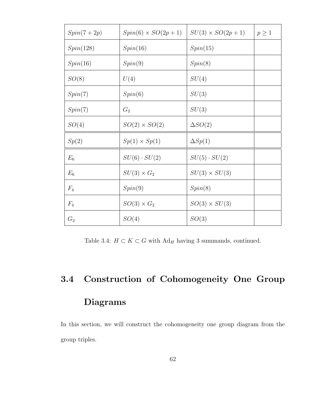| $Spin(7+2p)$ | $Spin(6) \times SO(2p+1)$ | $SU(3) \times SO(2p+1)$ | $p \geq 1$ |
|--------------|---------------------------|-------------------------|------------|
| Spin(128)    | Spin(16)                  | Spin(15)                |            |
| Spin(16)     | Spin(9)                   | Spin(8)                 |            |
| SO(8)        | U(4)                      | SU(4)                   |            |
| Spin(7)      | Spin(6)                   | SU(3)                   |            |
| Spin(7)      | $G_2$                     | SU(3)                   |            |
| SO(4)        | $SO(2) \times SO(2)$      | $\Delta SO(2)$          |            |
| Sp(2)        | $Sp(1) \times Sp(1)$      | $\Delta Sp(1)$          |            |
| $E_6$        | $SU(6)\cdot SU(2)$        | $SU(5)\cdot SU(2)$      |            |
| $E_6$        | $SU(3) \times G_2$        | $SU(3) \times SU(3)$    |            |
| $F_4$        | Spin(9)                   | Spin(8)                 |            |
| $F_4$        | $SO(3)\times G_2$         | $SO(3) \times SU(3)$    |            |
| $G_2$        | SO(4)                     | SO(3)                   |            |

Table 3.4:  $H\subset K\subset G$  with  $\mathrm{Ad}_H$  having 3 summands, continued.

# 3.4 Construction of Cohomogeneity One Group Diagrams

In this section, we will construct the cohomogeneity one group diagram from the group triples.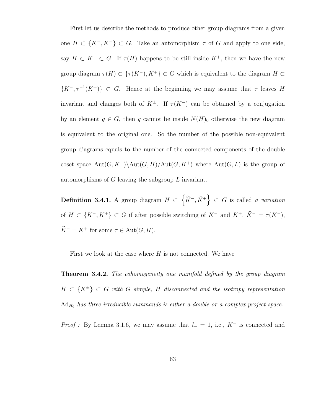First let us describe the methods to produce other group diagrams from a given one  $H \subset \{K^-, K^+\} \subset G$ . Take an automorphism  $\tau$  of G and apply to one side, say  $H \subset K^- \subset G$ . If  $\tau(H)$  happens to be still inside  $K^+$ , then we have the new group diagram  $\tau(H) \subset \{\tau(K^-), K^+\} \subset G$  which is equivalent to the diagram  $H \subset$  $\{K^-, \tau^{-1}(K^+)\}\subset G$ . Hence at the beginning we may assume that  $\tau$  leaves H invariant and changes both of  $K^{\pm}$ . If  $\tau(K^{-})$  can be obtained by a conjugation by an element  $g \in G$ , then g cannot be inside  $N(H)$ <sub>0</sub> otherwise the new diagram is equivalent to the original one. So the number of the possible non-equivalent group diagrams equals to the number of the connected components of the double coset space  $Aut(G, K^-)\backslash Aut(G, H)/Aut(G, K^+)$  where  $Aut(G, L)$  is the group of automorphisms of G leaving the subgroup L invariant.

**Definition 3.4.1.** A group diagram  $H \subset \left\{ \widetilde{K}^-, \widetilde{K}^+ \right\} \subset G$  is called a variation of  $H \subset \{K^-, K^+\} \subset G$  if after possible switching of  $K^-$  and  $K^+, \ \widetilde{K}^- = \tau(K^-),$  $\label{eq:Kstar} \widetilde{K}^+ = K^+ \text{ for some } \tau \in \operatorname{Aut}(G,H).$ 

First we look at the case where  $H$  is not connected. We have

**Theorem 3.4.2.** The cohomogeneity one manifold defined by the group diagram  $H \subset \{K^{\pm}\}\subset G$  with G simple, H disconnected and the isotropy representation  $Ad_{H_0}$  has three irreducible summands is either a double or a complex project space.

*Proof* : By Lemma 3.1.6, we may assume that  $l = 1$ , i.e., K<sup>-</sup> is connected and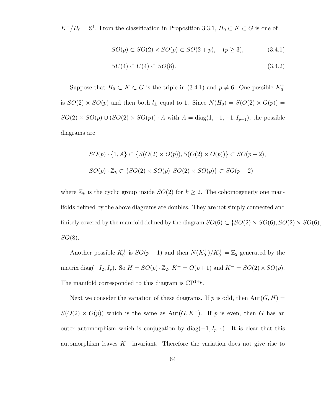$K^-/H_0 = \mathbb{S}^1$ . From the classification in Proposition 3.3.1,  $H_0 \subset K \subset G$  is one of

$$
SO(p) \subset SO(2) \times SO(p) \subset SO(2+p), \quad (p \ge 3), \tag{3.4.1}
$$

$$
SU(4) \subset U(4) \subset SO(8). \tag{3.4.2}
$$

Suppose that  $H_0 \subset K \subset G$  is the triple in (3.4.1) and  $p \neq 6$ . One possible  $K_0^+$ is  $SO(2) \times SO(p)$  and then both  $l_{\pm}$  equal to 1. Since  $N(H_0) = S(O(2) \times O(p))$  =  $SO(2) \times SO(p) \cup (SO(2) \times SO(p)) \cdot A$  with  $A = diag(1, -1, -1, I_{p-1})$ , the possible diagrams are

$$
SO(p) \cdot \{1, A\} \subset \{S(O(2) \times O(p)), S(O(2) \times O(p))\} \subset SO(p+2),
$$
  

$$
SO(p) \cdot \mathbb{Z}_k \subset \{SO(2) \times SO(p), SO(2) \times SO(p)\} \subset SO(p+2),
$$

where  $\mathbb{Z}_k$  is the cyclic group inside  $SO(2)$  for  $k \geq 2$ . The cohomogeneity one manifolds defined by the above diagrams are doubles. They are not simply connected and finitely covered by the manifold defined by the diagram  $SO(6) \subset \{SO(2) \times SO(6), SO(2) \times SO(6)\}$  $SO(8)$ .

Another possible  $K_0^+$  is  $SO(p+1)$  and then  $N(K_0^+)/K_0^+ = \mathbb{Z}_2$  generated by the matrix diag( $-I_2$ ,  $I_p$ ). So  $H = SO(p) \cdot \mathbb{Z}_2$ ,  $K^+ = O(p+1)$  and  $K^- = SO(2) \times SO(p)$ . The manifold corresponded to this diagram is  $\mathbb{C}P^{1+p}$ .

Next we consider the variation of these diagrams. If p is odd, then  $Aut(G, H)$  =  $S(O(2) \times O(p))$  which is the same as Aut $(G, K^-)$ . If p is even, then G has an outer automorphism which is conjugation by diag( $-1, I_{p+1}$ ). It is clear that this automorphism leaves  $K^-$  invariant. Therefore the variation does not give rise to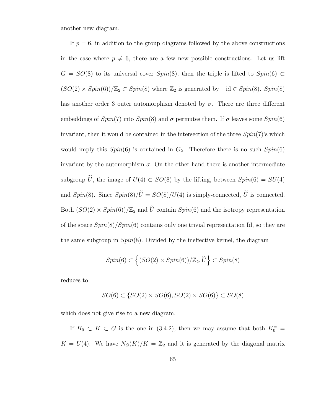another new diagram.

If  $p = 6$ , in addition to the group diagrams followed by the above constructions in the case where  $p \neq 6$ , there are a few new possible constructions. Let us lift  $G = SO(8)$  to its universal cover  $Spin(8)$ , then the triple is lifted to  $Spin(6) \subset$  $(SO(2) \times Spin(6))/\mathbb{Z}_2 \subset Spin(8)$  where  $\mathbb{Z}_2$  is generated by  $-\mathrm{id} \in Spin(8)$ .  $Spin(8)$ has another order 3 outer automorphism denoted by  $\sigma$ . There are three different embeddings of  $Spin(7)$  into  $Spin(8)$  and  $\sigma$  permutes them. If  $\sigma$  leaves some  $Spin(6)$ invariant, then it would be contained in the intersection of the three  $Spin(7)$ 's which would imply this  $Spin(6)$  is contained in  $G_2$ . Therefore there is no such  $Spin(6)$ invariant by the automorphism  $\sigma$ . On the other hand there is another intermediate subgroup  $\tilde{U}$ , the image of  $U(4) \subset SO(8)$  by the lifting, between  $Spin(6) = SU(4)$ and  $Spin(8)$ . Since  $Spin(8)/\widetilde{U} = SO(8)/U(4)$  is simply-connected,  $\widetilde{U}$  is connected. Both  $(SO(2) \times Spin(6))/\mathbb{Z}_2$  and  $\tilde{U}$  contain  $Spin(6)$  and the isotropy representation of the space  $Spin(8)/Spin(6)$  contains only one trivial representation Id, so they are the same subgroup in  $Spin(8)$ . Divided by the ineffective kernel, the diagram

$$
Spin(6) \subset \left\{ (SO(2) \times Spin(6)) / \mathbb{Z}_2, \widetilde{U} \right\} \subset Spin(8)
$$

reduces to

$$
SO(6) \subset \{SO(2) \times SO(6), SO(2) \times SO(6)\} \subset SO(8)
$$

which does not give rise to a new diagram.

If  $H_0 \subset K \subset G$  is the one in (3.4.2), then we may assume that both  $K_0^{\pm}$  =  $K = U(4)$ . We have  $N_G(K)/K = \mathbb{Z}_2$  and it is generated by the diagonal matrix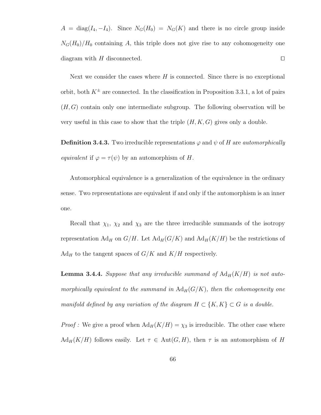$A = \text{diag}(I_4, -I_4)$ . Since  $N_G(H_0) = N_G(K)$  and there is no circle group inside  $N_G(H_0)/H_0$  containing A, this triple does not give rise to any cohomogeneity one diagram with  $H$  disconnected.  $\square$ 

Next we consider the cases where  $H$  is connected. Since there is no exceptional orbit, both  $K^{\pm}$  are connected. In the classification in Proposition 3.3.1, a lot of pairs  $(H, G)$  contain only one intermediate subgroup. The following observation will be very useful in this case to show that the triple  $(H, K, G)$  gives only a double.

**Definition 3.4.3.** Two irreducible representations  $\varphi$  and  $\psi$  of H are *automorphically* equivalent if  $\varphi = \tau(\psi)$  by an automorphism of H.

Automorphical equivalence is a generalization of the equivalence in the ordinary sense. Two representations are equivalent if and only if the automorphism is an inner one.

Recall that  $\chi_1$ ,  $\chi_2$  and  $\chi_3$  are the three irreducible summands of the isotropy representation  $\text{Ad}_H$  on  $G/H$ . Let  $\text{Ad}_H(G/K)$  and  $\text{Ad}_H(K/H)$  be the restrictions of  $Ad_H$  to the tangent spaces of  $G/K$  and  $K/H$  respectively.

**Lemma 3.4.4.** Suppose that any irreducible summand of  $\text{Ad}_{H}(K/H)$  is not automorphically equivalent to the summand in  $\text{Ad}_{H}(G/K)$ , then the cohomogeneity one manifold defined by any variation of the diagram  $H \subset \{K, K\} \subset G$  is a double.

*Proof*: We give a proof when  $\text{Ad}_H(K/H) = \chi_3$  is irreducible. The other case where  $\text{Ad}_{H}(K/H)$  follows easily. Let  $\tau \in \text{Aut}(G, H)$ , then  $\tau$  is an automorphism of H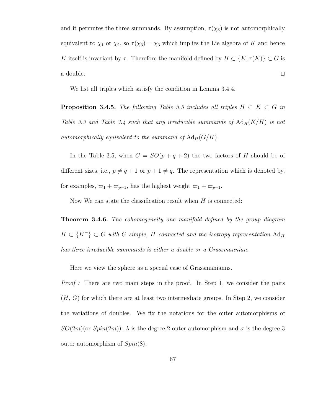and it permutes the three summands. By assumption,  $\tau(\chi_3)$  is not automorphically equivalent to  $\chi_1$  or  $\chi_2$ , so  $\tau(\chi_3) = \chi_3$  which implies the Lie algebra of K and hence K itself is invariant by  $\tau$ . Therefore the manifold defined by  $H \subset \{K, \tau(K)\} \subset G$  is a double.  $\Box$ 

We list all triples which satisfy the condition in Lemma 3.4.4.

**Proposition 3.4.5.** The following Table 3.5 includes all triples  $H \subset K \subset G$  in Table 3.3 and Table 3.4 such that any irreducible summands of  $\text{Ad}_{H}(K/H)$  is not automorphically equivalent to the summand of  $\text{Ad}_{H}(G/K)$ .

In the Table 3.5, when  $G = SO(p+q+2)$  the two factors of H should be of different sizes, i.e.,  $p \neq q + 1$  or  $p + 1 \neq q$ . The representation which is denoted by, for examples,  $\varpi_1 + \varpi_{p-1}$ , has the highest weight  $\varpi_1 + \varpi_{p-1}$ .

Now We can state the classification result when  $H$  is connected:

**Theorem 3.4.6.** The cohomogeneity one manifold defined by the group diagram  $H \subset {K^{\pm}}$   $\subset G$  with G simple, H connected and the isotropy representation  $\text{Ad}_{H}$ has three irreducible summands is either a double or a Grassmannian.

Here we view the sphere as a special case of Grassmanianns.

Proof : There are two main steps in the proof. In Step 1, we consider the pairs  $(H, G)$  for which there are at least two intermediate groups. In Step 2, we consider the variations of doubles. We fix the notations for the outer automorphisms of  $SO(2m)(\text{or } Spin(2m))$ :  $\lambda$  is the degree 2 outer automorphism and  $\sigma$  is the degree 3 outer automorphism of  $Spin(8)$ .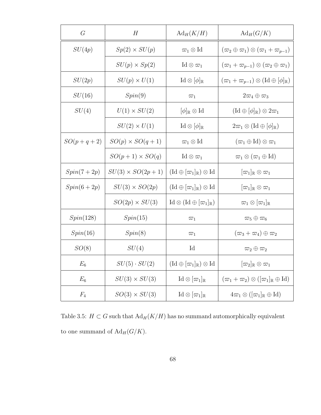| G            | H                       | $Ad_H(K/H)$                                                        | $Ad_H(G/K)$                                                                  |
|--------------|-------------------------|--------------------------------------------------------------------|------------------------------------------------------------------------------|
| SU(4p)       | $Sp(2) \times SU(p)$    | $\varpi_1\otimes\mathrm{Id}$                                       | $(\varpi_2 \oplus \varpi_1) \otimes (\varpi_1 + \varpi_{p-1})$               |
|              | $SU(p) \times Sp(2)$    | $\mathrm{Id}\otimes\varpi_1$                                       | $(\varpi_1 + \varpi_{p-1}) \otimes (\varpi_2 \oplus \varpi_1)$               |
| SU(2p)       | $SU(p) \times U(1)$     | $\mathrm{Id} \otimes [\phi]_{\mathbb{R}}$                          | $(\varpi_1 + \varpi_{p-1}) \otimes (\mathrm{Id} \oplus [\phi]_{\mathbb{R}})$ |
| SU(16)       | Spin(9)                 | $\varpi_1$                                                         | $2\varpi_4\oplus\varpi_3$                                                    |
| SU(4)        | $U(1) \times SU(2)$     | $[\phi]_{\mathbb{R}} \otimes \mathrm{Id}$                          | $(\mathrm{Id}\oplus[\phi]_\mathbb{R})\otimes2\varpi_1$                       |
|              | $SU(2) \times U(1)$     | $\mathrm{Id} \otimes [\phi]_{\mathbb{R}}$                          | $2\varpi_1\otimes (\mathrm{Id}\oplus[\phi]_\mathbb{R})$                      |
| $SO(p+q+2)$  | $SO(p) \times SO(q+1)$  | $\varpi_1\otimes\mathrm{Id}$                                       | $(\varpi_1 \oplus \mathrm{Id}) \otimes \varpi_1$                             |
|              | $SO(p+1) \times SO(q)$  | $\mathrm{Id}\otimes\varpi_1$                                       | $\varpi_1 \otimes (\varpi_1 \oplus \mathrm{Id})$                             |
| $Spin(7+2p)$ | $SU(3) \times SO(2p+1)$ | $(\mathrm{Id}\oplus[\varpi_1]_{\mathbb{R}})\otimes\mathrm{Id}$     | $[\varpi_1]_{\mathbb{R}}\otimes\varpi_1$                                     |
| $Spin(6+2p)$ | $SU(3) \times SO(2p)$   | $(\mathrm{Id}\oplus[\varpi_1]_{\mathbb{R}})\otimes\mathrm{Id}$     | $[\varpi_1]_{\mathbb{R}}\otimes\varpi_1$                                     |
|              | $SO(2p) \times SU(3)$   | $\mathrm{Id} \otimes (\mathrm{Id} \oplus [\varpi_1]_{\mathbb{R}})$ | $\varpi_1\otimes [\varpi_1]_\mathbb{R}$                                      |
| Spin(128)    | Spin(15)                | $\varpi_1$                                                         | $\overline{\omega}_5 \oplus \overline{\omega}_6$                             |
| Spin(16)     | Spin(8)                 | $\varpi_1$                                                         | $(\overline{\omega}_3 + \overline{\omega}_4) \oplus \overline{\omega}_2$     |
| SO(8)        | SU(4)                   | $\mathop{\rm Id}\nolimits$                                         | $\overline{\omega}_2 \oplus \overline{\omega}_2$                             |
| $E_6$        | $SU(5)\cdot SU(2)$      | $(\mathrm{Id}\oplus[\varpi_1]_{\mathbb{R}})\otimes\mathrm{Id}$     | $[\varpi_2]_\mathbb{R} \otimes \varpi_1$                                     |
| $E_6$        | $SU(3) \times SU(3)$    | $\mathrm{Id} \otimes [\varpi_1]_{\mathbb{R}}$                      | $(\varpi_1 + \varpi_2) \otimes ([\varpi_1]_{\mathbb{R}} \oplus \mathrm{Id})$ |
| $F_4$        | $SO(3) \times SU(3)$    | $\mathrm{Id} \otimes [\varpi_1]_{\mathbb{R}}$                      | $4\varpi_1\otimes([\varpi_1]_\mathbb{R}\oplus\mathrm{Id})$                   |

Table 3.5:  $H\subset G$  such that  ${\rm Ad}_H(K/H)$  has no summand automorphically equivalent to one summand of  $\mathrm{Ad}_H(G/K).$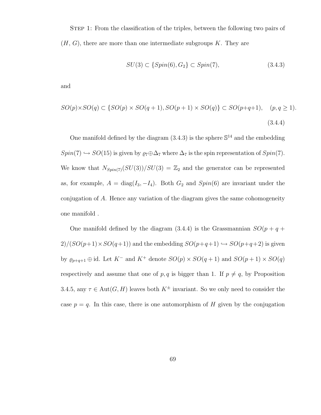STEP 1: From the classification of the triples, between the following two pairs of  $(H, G)$ , there are more than one intermediate subgroups K. They are

$$
SU(3) \subset \{Spin(6), G_2\} \subset Spin(7),\tag{3.4.3}
$$

and

$$
SO(p)\times SO(q) \subset \{SO(p)\times SO(q+1), SO(p+1)\times SO(q)\} \subset SO(p+q+1), \quad (p,q \ge 1).
$$
\n
$$
(3.4.4)
$$

One manifold defined by the diagram  $(3.4.3)$  is the sphere  $\mathbb{S}^{14}$  and the embedding  $Spin(7) \hookrightarrow SO(15)$  is given by  $\varrho_7 \oplus \Delta_7$  where  $\Delta_7$  is the spin representation of  $Spin(7)$ . We know that  $N_{Spin(7)}(SU(3))/SU(3) = \mathbb{Z}_2$  and the generator can be represented as, for example,  $A = \text{diag}(I_3, -I_4)$ . Both  $G_2$  and  $Spin(6)$  are invariant under the conjugation of A. Hence any variation of the diagram gives the same cohomogeneity one manifold .

One manifold defined by the diagram (3.4.4) is the Grassmannian  $SO(p+q+q)$  $2)/(SO(p+1)\times SO(q+1))$  and the embedding  $SO(p+q+1)\hookrightarrow SO(p+q+2)$  is given by  $\varrho_{p+q+1} \oplus \text{id}$ . Let  $K^-$  and  $K^+$  denote  $SO(p) \times SO(q+1)$  and  $SO(p+1) \times SO(q)$ respectively and assume that one of p, q is bigger than 1. If  $p \neq q$ , by Proposition 3.4.5, any  $\tau \in \text{Aut}(G, H)$  leaves both  $K^{\pm}$  invariant. So we only need to consider the case  $p = q$ . In this case, there is one automorphism of H given by the conjugation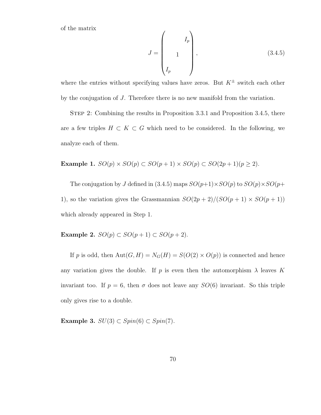of the matrix

$$
J = \begin{pmatrix} I_p \\ 1 \\ I_p \end{pmatrix}, \tag{3.4.5}
$$

where the entries without specifying values have zeros. But  $K^{\pm}$  switch each other by the conjugation of J. Therefore there is no new manifold from the variation.

Step 2: Combining the results in Proposition 3.3.1 and Proposition 3.4.5, there are a few triples  $H \subset K \subset G$  which need to be considered. In the following, we analyze each of them.

Example 1.  $SO(p) \times SO(p) \subset SO(p+1) \times SO(p) \subset SO(2p+1)(p \geq 2)$ .

The conjugation by J defined in (3.4.5) maps  $SO(p+1)\times SO(p)$  to  $SO(p)\times SO(p+1)$ 1), so the variation gives the Grassmannian  $SO(2p+2)/(SO(p+1) \times SO(p+1))$ which already appeared in Step 1.

Example 2.  $SO(p) \subset SO(p+1) \subset SO(p+2)$ .

If p is odd, then  $Aut(G, H) = N_G(H) = S(O(2) \times O(p))$  is connected and hence any variation gives the double. If p is even then the automorphism  $\lambda$  leaves K invariant too. If  $p = 6$ , then  $\sigma$  does not leave any  $SO(6)$  invariant. So this triple only gives rise to a double.

Example 3.  $SU(3) \subset Spin(6) \subset Spin(7)$ .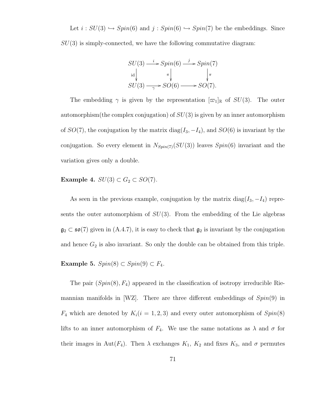Let  $i : SU(3) \hookrightarrow Spin(6)$  and  $j : Spin(6) \hookrightarrow Spin(7)$  be the embeddings. Since  $SU(3)$  is simply-connected, we have the following commutative diagram:

$$
SU(3) \xrightarrow{i} Spin(6) \xrightarrow{j} Spin(7)
$$
  
\n
$$
SU(3) \xrightarrow{\pi} SO(6) \xrightarrow{\pi} SO(7).
$$

The embedding  $\gamma$  is given by the representation  $[\varpi_1]_\mathbb{R}$  of  $SU(3)$ . The outer automorphism(the complex conjugation) of  $SU(3)$  is given by an inner automorphism of  $SO(7)$ , the conjugation by the matrix diag( $I_3$ ,  $-I_4$ ), and  $SO(6)$  is invariant by the conjugation. So every element in  $N_{Spin(7)}(SU(3))$  leaves  $Spin(6)$  invariant and the variation gives only a double.

#### Example 4.  $SU(3) \subset G_2 \subset SO(7)$ .

As seen in the previous example, conjugation by the matrix diag $(I_3, -I_4)$  represents the outer automorphism of  $SU(3)$ . From the embedding of the Lie algebras  $\mathfrak{g}_2 \subset \mathfrak{so}(7)$  given in  $(A.4.7)$ , it is easy to check that  $\mathfrak{g}_2$  is invariant by the conjugation and hence  $G_2$  is also invariant. So only the double can be obtained from this triple.

Example 5.  $Spin(8) \subset Spin(9) \subset F_4$ .

The pair  $(Spin(8), F_4)$  appeared in the classification of isotropy irreducible Riemannian manifolds in [WZ]. There are three different embeddings of  $Spin(9)$  in  $F_4$  which are denoted by  $K_i(i = 1, 2, 3)$  and every outer automorphism of  $Spin(8)$ lifts to an inner automorphism of  $F_4$ . We use the same notations as  $\lambda$  and  $\sigma$  for their images in Aut( $F_4$ ). Then  $\lambda$  exchanges  $K_1$ ,  $K_2$  and fixes  $K_3$ , and  $\sigma$  permutes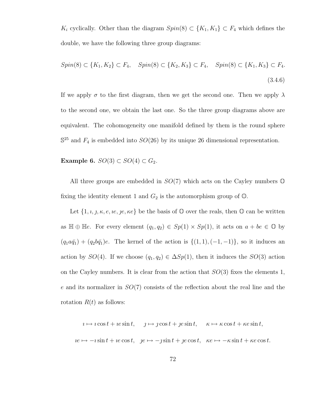K<sub>i</sub> cyclically. Other than the diagram  $Spin(8) \subset \{K_1, K_1\} \subset F_4$  which defines the double, we have the following three group diagrams:

$$
Spin(8) \subset \{K_1, K_2\} \subset F_4, \quad Spin(8) \subset \{K_2, K_3\} \subset F_4, \quad Spin(8) \subset \{K_1, K_3\} \subset F_4.
$$
\n
$$
(3.4.6)
$$

If we apply  $\sigma$  to the first diagram, then we get the second one. Then we apply  $\lambda$ to the second one, we obtain the last one. So the three group diagrams above are equivalent. The cohomogeneity one manifold defined by them is the round sphere  $\mathbb{S}^{25}$  and  $F_4$  is embedded into  $SO(26)$  by its unique 26 dimensional representation.

Example 6.  $SO(3) \subset SO(4) \subset G_2$ .

All three groups are embedded in  $SO(7)$  which acts on the Cayley numbers  $\mathbb O$ fixing the identity element 1 and  $G_2$  is the automorphism group of  $\mathbb{O}$ .

Let  $\{1, \iota, \jmath, \kappa, e, \iota e, \jmath e, \kappa e\}$  be the basis of  $\mathbb O$  over the reals, then  $\mathbb O$  can be written as  $\mathbb{H} \oplus \mathbb{H} e$ . For every element  $(q_1, q_2) \in Sp(1) \times Sp(1)$ , it acts on  $a + be \in \mathbb{O}$  by  $(q_1a\bar{q}_1) + (q_2b\bar{q}_1)e$ . The kernel of the action is  $\{(1, 1), (-1, -1)\}$ , so it induces an action by  $SO(4)$ . If we choose  $(q_1, q_2) \in \Delta Sp(1)$ , then it induces the  $SO(3)$  action on the Cayley numbers. It is clear from the action that  $SO(3)$  fixes the elements 1, e and its normalizer in  $SO(7)$  consists of the reflection about the real line and the rotation  $R(t)$  as follows:

$$
i \mapsto i \cos t + ie \sin t, \quad j \mapsto j \cos t + je \sin t, \quad \kappa \mapsto \kappa \cos t + \kappa e \sin t,
$$
  

$$
ie \mapsto -i \sin t + ie \cos t, \quad je \mapsto -j \sin t + je \cos t, \quad \kappa e \mapsto -\kappa \sin t + \kappa e \cos t.
$$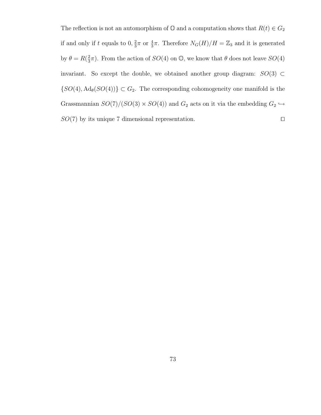The reflection is not an automorphism of  $\mathbb{O}$  and a computation shows that  $R(t) \in G_2$ if and only if t equals to  $0, \frac{2}{3}$  $\frac{2}{3}\pi$  or  $\frac{4}{3}\pi$ . Therefore  $N_G(H)/H = \mathbb{Z}_3$  and it is generated by  $\theta = R(\frac{2}{3})$  $\frac{2}{3}\pi$ ). From the action of  $SO(4)$  on  $\mathbb{O}$ , we know that  $\theta$  does not leave  $SO(4)$ invariant. So except the double, we obtained another group diagram:  $SO(3) \subset$  $\{SO(4), \mathrm{Ad}_{\theta}(SO(4))\} \subset G_2$ . The corresponding cohomogeneity one manifold is the Grassmannian  $SO(7)/(SO(3) \times SO(4))$  and  $G_2$  acts on it via the embedding  $G_2 \hookrightarrow$  $SO(7)$  by its unique 7 dimensional representation.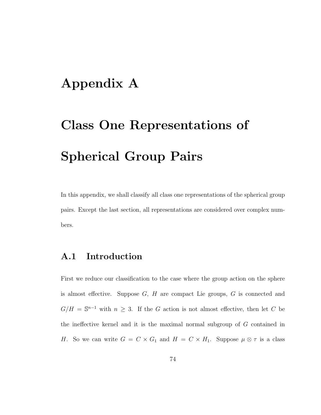## Appendix A

# Class One Representations of Spherical Group Pairs

In this appendix, we shall classify all class one representations of the spherical group pairs. Except the last section, all representations are considered over complex numbers.

#### A.1 Introduction

First we reduce our classification to the case where the group action on the sphere is almost effective. Suppose  $G, H$  are compact Lie groups,  $G$  is connected and  $G/H = \mathbb{S}^{n-1}$  with  $n \geq 3$ . If the G action is not almost effective, then let C be the ineffective kernel and it is the maximal normal subgroup of G contained in H. So we can write  $G = C \times G_1$  and  $H = C \times H_1$ . Suppose  $\mu \otimes \tau$  is a class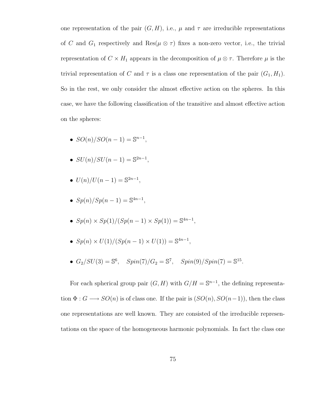one representation of the pair  $(G, H)$ , i.e.,  $\mu$  and  $\tau$  are irreducible representations of C and  $G_1$  respectively and  $\text{Res}(\mu \otimes \tau)$  fixes a non-zero vector, i.e., the trivial representation of  $C \times H_1$  appears in the decomposition of  $\mu \otimes \tau$ . Therefore  $\mu$  is the trivial representation of C and  $\tau$  is a class one representation of the pair  $(G_1, H_1)$ . So in the rest, we only consider the almost effective action on the spheres. In this case, we have the following classification of the transitive and almost effective action on the spheres:

- $SO(n)/SO(n-1) = \mathbb{S}^{n-1}$ ,
- $SU(n)/SU(n-1) = \mathbb{S}^{2n-1},$
- $U(n)/U(n-1) = \mathbb{S}^{2n-1},$
- $Sp(n)/Sp(n-1) = \mathbb{S}^{4n-1}$ ,
- $Sp(n) \times Sp(1)/(Sp(n-1) \times Sp(1)) = \mathbb{S}^{4n-1}$ ,
- $Sp(n) \times U(1)/(Sp(n-1) \times U(1)) = \mathbb{S}^{4n-1}$ ,
- $G_2/SU(3) = \mathbb{S}^6$ ,  $Spin(7)/G_2 = \mathbb{S}^7$ ,  $Spin(9)/Spin(7) = \mathbb{S}^{15}$ .

For each spherical group pair  $(G, H)$  with  $G/H = \mathbb{S}^{n-1}$ , the defining representation  $\Phi: G \longrightarrow SO(n)$  is of class one. If the pair is  $(SO(n), SO(n-1))$ , then the class one representations are well known. They are consisted of the irreducible representations on the space of the homogeneous harmonic polynomials. In fact the class one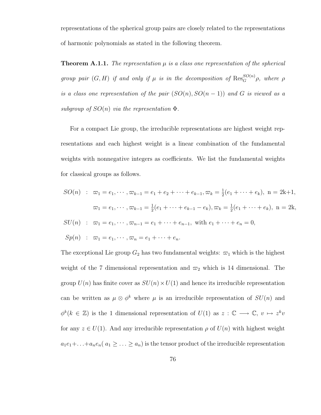representations of the spherical group pairs are closely related to the representations of harmonic polynomials as stated in the following theorem.

**Theorem A.1.1.** The representation  $\mu$  is a class one representation of the spherical group pair  $(G, H)$  if and only if  $\mu$  is in the decomposition of  $\operatorname{Res}_G^{SO(n)} \rho$ , where  $\rho$ is a class one representation of the pair  $(SO(n), SO(n-1))$  and G is viewed as a subgroup of  $SO(n)$  via the representation  $\Phi$ .

For a compact Lie group, the irreducible representations are highest weight representations and each highest weight is a linear combination of the fundamental weights with nonnegative integers as coefficients. We list the fundamental weights for classical groups as follows.

$$
SO(n) : \n\varpi_1 = e_1, \cdots, \varpi_{k-1} = e_1 + e_2 + \cdots + e_{k-1}, \varpi_k = \frac{1}{2}(e_1 + \cdots + e_k), \quad n = 2k+1,
$$
\n
$$
\varpi_1 = e_1, \cdots, \varpi_{k-1} = \frac{1}{2}(e_1 + \cdots + e_{k-1} - e_k), \varpi_k = \frac{1}{2}(e_1 + \cdots + e_k), \quad n = 2k,
$$
\n
$$
SU(n) : \n\varpi_1 = e_1, \cdots, \varpi_{n-1} = e_1 + \cdots + e_{n-1}, \quad \text{with } e_1 + \cdots + e_n = 0,
$$

$$
Sp(n) : \n\varpi_1 = e_1, \cdots, \varpi_n = e_1 + \cdots + e_n.
$$

The exceptional Lie group  $G_2$  has two fundamental weights:  $\varpi_1$  which is the highest weight of the 7 dimensional representation and  $\varpi_2$  which is 14 dimensional. The group  $U(n)$  has finite cover as  $SU(n) \times U(1)$  and hence its irreducible representation can be written as  $\mu \otimes \phi^k$  where  $\mu$  is an irreducible representation of  $SU(n)$  and  $\phi^k(k \in \mathbb{Z})$  is the 1 dimensional representation of  $U(1)$  as  $z : \mathbb{C} \longrightarrow \mathbb{C}, v \mapsto z^k v$ for any  $z \in U(1)$ . And any irreducible representation  $\rho$  of  $U(n)$  with highest weight  $a_1e_1+\ldots+a_ne_n$   $(a_1 \geq \ldots \geq a_n)$  is the tensor product of the irreducible representation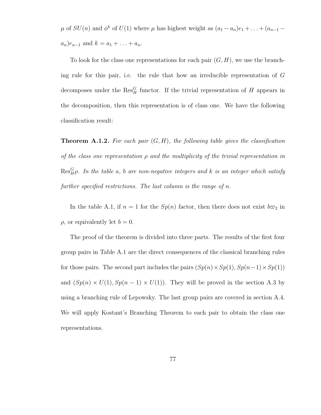$\mu$  of  $SU(n)$  and  $\phi^k$  of  $U(1)$  where  $\mu$  has highest weight as  $(a_1 - a_n)e_1 + \ldots + (a_{n-1} - a_n)e_n$  $a_n$ ) $e_{n-1}$  and  $k = a_1 + ... + a_n$ .

To look for the class one representations for each pair  $(G, H)$ , we use the branching rule for this pair, i.e. the rule that how an irreducible representation of G decomposes under the  $\operatorname{Res}_{H}^{G}$  functor. If the trivial representation of H appears in the decomposition, then this representation is of class one. We have the following classification result:

**Theorem A.1.2.** For each pair  $(G, H)$ , the following table gives the classification of the class one representation  $\rho$  and the multiplicity of the trivial representation in  $\operatorname{Res}^G_H\rho$ . In the table a, b are non-negative integers and k is an integer which satisfy further specified restrictions. The last column is the range of n.

In the table A.1, if  $n = 1$  for the  $Sp(n)$  factor, then there does not exist  $b\varpi_2$  in  $\rho$ , or equivalently let  $b = 0$ .

The proof of the theorem is divided into three parts. The results of the first four group pairs in Table A.1 are the direct consequences of the classical branching rules for those pairs. The second part includes the pairs  $(Sp(n) \times Sp(1), Sp(n-1) \times Sp(1))$ and  $(Sp(n) \times U(1), Sp(n-1) \times U(1))$ . They will be proved in the section A.3 by using a branching rule of Lepowsky. The last group pairs are covered in section A.4. We will apply Kostant's Branching Theorem to each pair to obtain the class one representations.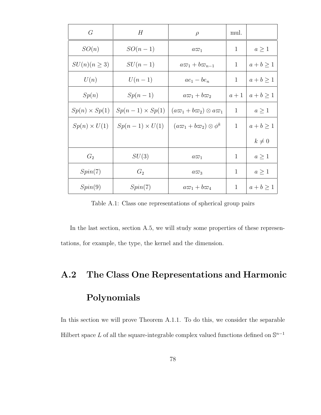| G                    | H                      | $\rho$                                   | mul.         |             |
|----------------------|------------------------|------------------------------------------|--------------|-------------|
| SO(n)                | $SO(n-1)$              | $a\varpi_1$                              | $\mathbf{1}$ | $a\geq 1$   |
| $SU(n)(n \geq 3)$    | $SU(n-1)$              | $a\varpi_1+b\varpi_{n-1}$                | 1            | $a+b\geq 1$ |
| U(n)                 | $U(n-1)$               | $ae_1 - be_n$                            | 1            | $a+b\geq 1$ |
| Sp(n)                | $Sp(n-1)$              | $a\varpi_1+b\varpi_2$                    | $a+1$        | $a+b\geq 1$ |
| $Sp(n) \times Sp(1)$ | $Sp(n-1) \times Sp(1)$ | $(a\varpi_1+b\varpi_2)\otimes a\varpi_1$ | $\mathbf{1}$ | $a \geq 1$  |
| $Sp(n) \times U(1)$  | $Sp(n-1) \times U(1)$  | $(a\varpi_1+b\varpi_2)\otimes\phi^k$     | 1            | $a+b\geq 1$ |
|                      |                        |                                          |              | $k\neq 0$   |
| $G_2$                | SU(3)                  | $a\varpi_1$                              | $\mathbf{1}$ | $a\geq 1$   |
| Spin(7)              | $G_2$                  | $a\varpi_3$                              | 1            | $a\geq 1$   |
| Spin(9)              | Spin(7)                | $a\varpi_1+b\varpi_4$                    | $\mathbf{1}$ | $a+b\geq 1$ |

Table A.1: Class one representations of spherical group pairs

In the last section, section A.5, we will study some properties of these representations, for example, the type, the kernel and the dimension.

### A.2 The Class One Representations and Harmonic

#### Polynomials

In this section we will prove Theorem A.1.1. To do this, we consider the separable Hilbert space L of all the square-integrable complex valued functions defined on  $\mathbb{S}^{n-1}$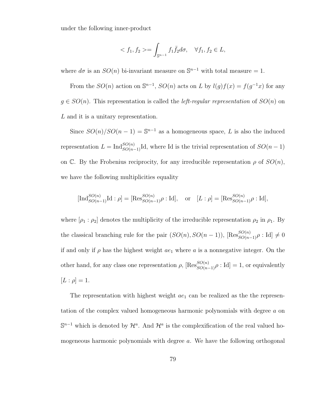under the following inner-product

$$
\langle f_1, f_2 \rangle = \int_{\mathbb{S}^{n-1}} f_1 \bar{f}_2 d\sigma, \quad \forall f_1, f_2 \in L,
$$

where  $d\sigma$  is an  $SO(n)$  bi-invariant measure on  $\mathbb{S}^{n-1}$  with total measure = 1.

From the  $SO(n)$  action on  $\mathbb{S}^{n-1}$ ,  $SO(n)$  acts on L by  $l(g)f(x) = f(g^{-1}x)$  for any  $g \in SO(n)$ . This representation is called the *left-regular representation* of  $SO(n)$  on L and it is a unitary representation.

Since  $SO(n)/SO(n-1) = \mathbb{S}^{n-1}$  as a homogeneous space, L is also the induced representation  $L = \text{Ind}_{SO(n-1)}^{SO(n)}$ Id, where Id is the trivial representation of  $SO(n-1)$ on C. By the Frobenius reciprocity, for any irreducible representation  $\rho$  of  $SO(n)$ , we have the following multiplicities equality

$$
[\text{Ind}_{SO(n-1)}^{SO(n)}\text{Id}: \rho] = [\text{Res}_{SO(n-1)}^{SO(n)}\rho:\text{Id}], \text{ or } [L:\rho] = [\text{Res}_{SO(n-1)}^{SO(n)}\rho:\text{Id}],
$$

where  $[\rho_1 : \rho_2]$  denotes the multiplicity of the irreducible representation  $\rho_2$  in  $\rho_1$ . By the classical branching rule for the pair  $(SO(n), SO(n-1))$ ,  $[Res_{SO(n-1)}^{SO(n)} \rho : Id] \neq 0$ if and only if  $\rho$  has the highest weight  $ae_1$  where a is a nonnegative integer. On the other hand, for any class one representation  $\rho$ ,  $\left[ \text{Res}_{SO(n-1)}^{SO(n)} \rho : \text{Id} \right] = 1$ , or equivalently  $[L : \rho] = 1.$ 

The representation with highest weight  $ae_1$  can be realized as the the representation of the complex valued homogeneous harmonic polynomials with degree a on  $\mathbb{S}^{n-1}$  which is denoted by  $\mathcal{H}^a$ . And  $\mathcal{H}^a$  is the complexification of the real valued homogeneous harmonic polynomials with degree a. We have the following orthogonal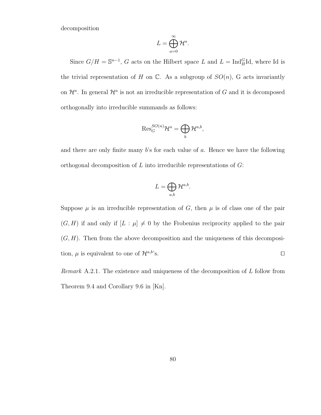decomposition

$$
L=\bigoplus_{a=0}^\infty \mathcal{H}^a.
$$

Since  $G/H = \mathbb{S}^{n-1}$ , G acts on the Hilbert space L and  $L = \text{Ind}_{H}^{G}Id$ , where Id is the trivial representation of H on  $\mathbb C$ . As a subgroup of  $SO(n)$ , G acts invariantly on  $\mathcal{H}^a$ . In general  $\mathcal{H}^a$  is not an irreducible representation of G and it is decomposed orthogonally into irreducible summands as follows:

$$
\mathrm{Res}_G^{SO(n)}\mathcal{H}^a=\bigoplus_b\mathcal{H}^{a,b},
$$

and there are only finite many  $b$ 's for each value of  $a$ . Hence we have the following orthogonal decomposition of  $L$  into irreducible representations of  $G$ :

$$
L=\bigoplus_{a,b}\mathcal{H}^{a,b}.
$$

Suppose  $\mu$  is an irreducible representation of G, then  $\mu$  is of class one of the pair  $(G, H)$  if and only if  $[L : \mu] \neq 0$  by the Frobenius reciprocity applied to the pair  $(G, H)$ . Then from the above decomposition and the uniqueness of this decomposition,  $\mu$  is equivalent to one of  $\mathcal{H}^{a,b}$ 's.

Remark A.2.1. The existence and uniqueness of the decomposition of L follow from Theorem 9.4 and Corollary 9.6 in [Kn].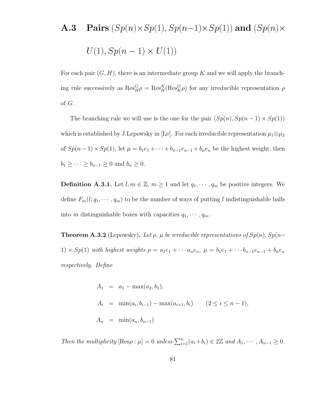## **A.3** Pairs  $(Sp(n) \times Sp(1), Sp(n-1) \times Sp(1))$  and  $(Sp(n) \times Sp(n))$  $U(1), Sp(n-1) \times U(1)$

For each pair  $(G, H)$ , there is an intermediate group K and we will apply the branching rule successively as  $\text{Res}_{H}^{G} \rho = \text{Res}_{H}^{K}(\text{Res}_{K}^{G} \rho)$  for any irreducible representation  $\rho$ of G.

The branching rule we will use is the one for the pair  $(Sp(n), Sp(n-1) \times Sp(1))$ which is established by J.Lepowsky in [Le]. For each irreducible representation  $\mu_1 \otimes \mu_2$ of  $Sp(n-1)\times Sp(1)$ , let  $\mu = b_1e_1 + \cdots + b_{n-1}e_{n-1} + b_ne_n$  be the highest weight, then  $b_1 \geq \cdots \geq b_{n-1} \geq 0$  and  $b_n \geq 0$ .

**Definition A.3.1.** Let  $l, m \in \mathbb{Z}$ ,  $m \geq 1$  and let  $q_1, \dots, q_m$  be positive integers. We define  $F_m(l; q_1, \dots, q_m)$  to be the number of ways of putting l indistinguishable balls into m distinguishable boxes with capacities  $q_1, \dots, q_m$ .

**Theorem A.3.2** (Lepowsky). Let  $\rho$ ,  $\mu$  be irreducible representations of  $Sp(n)$ ,  $Sp(n-$ 1)  $\times Sp(1)$  with highest weights  $\rho = a_1e_1 + \cdots a_ne_n$ ,  $\mu = b_1e_1 + \cdots b_{n-1}e_{n-1} + b_ne_n$ respectively. Define

$$
A_1 = a_1 - \max(a_2, b_1),
$$
  
\n
$$
A_i = \min(a_i, b_{i-1}) - \max(a_{i+1}, b_i) \qquad (2 \le i \le n - 1),
$$
  
\n
$$
A_n = \min(a_n, b_{n-1})
$$

Then the multiplicity  $[\text{Res}_{\rho} : \mu] = 0$  unless  $\sum_{i=1}^{n} (a_i + b_i) \in 2\mathbb{Z}$  and  $A_1, \dots, A_{n-1} \geq 0$ .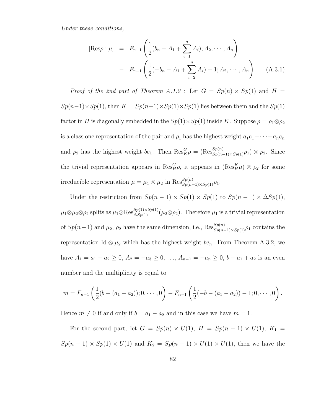Under these conditions,

$$
[\text{Res}\rho : \mu] = F_{n-1} \left( \frac{1}{2} (b_n - A_1 + \sum_{i=1}^n A_i); A_2, \cdots, A_n \right)
$$

$$
- F_{n-1} \left( \frac{1}{2} (-b_n - A_1 + \sum_{i=2}^n A_i) - 1; A_2, \cdots, A_n \right). \quad (A.3.1)
$$

Proof of the 2nd part of Theorem A.1.2 : Let  $G = Sp(n) \times Sp(1)$  and  $H =$  $Sp(n-1)\times Sp(1)$ , then  $K = Sp(n-1)\times Sp(1)\times Sp(1)$  lies between them and the  $Sp(1)$ factor in H is diagonally embedded in the  $Sp(1)\times Sp(1)$  inside K. Suppose  $\rho = \rho_1 \otimes \rho_2$ is a class one representation of the pair and  $\rho_1$  has the highest weight  $a_1e_1+\cdots+a_ne_n$ and  $\rho_2$  has the highest weight  $be_1$ . Then  $\text{Res}_{K}^G \rho = (\text{Res}_{Sp(n-1)\times Sp(1)}^{Sp(n)} \rho_1) \otimes \rho_2$ . Since the trivial representation appears in  $\text{Res}_{H}^{G}\rho$ , it appears in  $(\text{Res}_{H}^{K}\mu) \otimes \rho_2$  for some irreducible representation  $\mu = \mu_1 \otimes \mu_2$  in  $\text{Res}_{Sp(n-1)\times Sp(1)}^{Sp(n)}$ .

Under the restriction from  $Sp(n-1) \times Sp(1) \times Sp(1)$  to  $Sp(n-1) \times \Delta Sp(1)$ ,  $\mu_1 \otimes \mu_2 \otimes \rho_2$  splits as  $\mu_1 \otimes \text{Res}_{\Delta Sp(1)}^{Sp(1) \times Sp(1)}(\mu_2 \otimes \rho_2)$ . Therefore  $\mu_1$  is a trivial representation of  $Sp(n-1)$  and  $\mu_2$ ,  $\rho_2$  have the same dimension, i.e.,  $\text{Res}_{Sp(n-1)\times Sp(1)}^{Sp(n)}\rho_1$  contains the representation Id  $\otimes \mu_2$  which has the highest weight  $be_n$ . From Theorem A.3.2, we have  $A_1 = a_1 - a_2 \ge 0$ ,  $A_2 = -a_3 \ge 0$ , ...,  $A_{n-1} = -a_n \ge 0$ ,  $b + a_1 + a_2$  is an even number and the multiplicity is equal to

$$
m = F_{n-1}\left(\frac{1}{2}(b - (a_1 - a_2)); 0, \cdots, 0\right) - F_{n-1}\left(\frac{1}{2}(-b - (a_1 - a_2)) - 1; 0, \cdots, 0\right).
$$

Hence  $m \neq 0$  if and only if  $b = a_1 - a_2$  and in this case we have  $m = 1$ .

For the second part, let  $G = Sp(n) \times U(1)$ ,  $H = Sp(n-1) \times U(1)$ ,  $K_1 =$  $Sp(n-1) \times Sp(1) \times U(1)$  and  $K_2 = Sp(n-1) \times U(1) \times U(1)$ , then we have the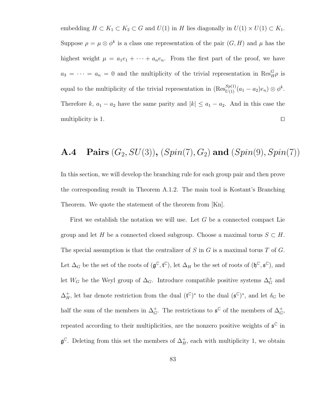embedding  $H \subset K_1 \subset K_2 \subset G$  and  $U(1)$  in H lies diagonally in  $U(1) \times U(1) \subset K_1$ . Suppose  $\rho = \mu \otimes \phi^k$  is a class one representation of the pair  $(G, H)$  and  $\mu$  has the highest weight  $\mu = a_1 e_1 + \cdots + a_n e_n$ . From the first part of the proof, we have  $a_3 = \cdots = a_n = 0$  and the multiplicity of the trivial representation in  $\text{Res}_{H}^G \rho$  is equal to the multiplicity of the trivial representation in  $(Res_{U(1)}^{Sp(1)}(a_1 - a_2)e_n) \otimes \phi^k$ . Therefore k,  $a_1 - a_2$  have the same parity and  $|k| \le a_1 - a_2$ . And in this case the multiplicity is 1.  $\Box$ 

#### **A.4** Pairs  $(G_2, SU(3)), (Spin(7), G_2)$  and  $(Spin(9), Spin(7))$

In this section, we will develop the branching rule for each group pair and then prove the corresponding result in Theorem A.1.2. The main tool is Kostant's Branching Theorem. We quote the statement of the theorem from [Kn].

First we establish the notation we will use. Let  $G$  be a connected compact Lie group and let H be a connected closed subgroup. Choose a maximal torus  $S \subset H$ . The special assumption is that the centralizer of  $S$  in  $G$  is a maximal torus  $T$  of  $G$ . Let  $\Delta_G$  be the set of the roots of  $(\mathfrak{g}^{\mathbb{C}}, \mathfrak{t}^{\mathbb{C}})$ , let  $\Delta_H$  be the set of roots of  $(\mathfrak{h}^{\mathbb{C}}, \mathfrak{s}^{\mathbb{C}})$ , and let  $W_G$  be the Weyl group of  $\Delta_G$ . Introduce compatible positive systems  $\Delta_G^+$  and  $\Delta_H^+$ , let bar denote restriction from the dual  $({\mathfrak t}^{\mathbb C})^*$  to the dual  $({\mathfrak s}^{\mathbb C})^*$ , and let  $\delta_G$  be half the sum of the members in  $\Delta_G^+$ . The restrictions to  $\mathfrak{s}^{\mathbb{C}}$  of the members of  $\Delta_G^+$ , repeated according to their multiplicities, are the nonzero positive weights of  $\mathfrak{s}^{\mathbb{C}}$  in  $\mathfrak{g}^{\mathbb{C}}$ . Deleting from this set the members of  $\Delta_H^+$ , each with multiplicity 1, we obtain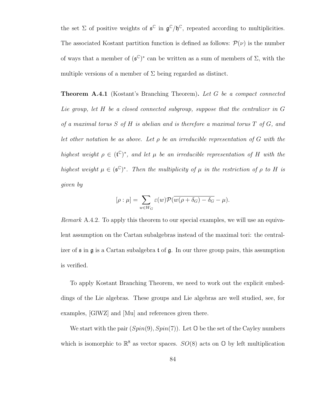the set  $\Sigma$  of positive weights of  $\mathfrak{s}^{\mathbb{C}}$  in  $\mathfrak{g}^{\mathbb{C}}/\mathfrak{h}^{\mathbb{C}}$ , repeated according to multiplicities. The associated Kostant partition function is defined as follows:  $\mathcal{P}(\nu)$  is the number of ways that a member of  $(\mathfrak{s}^{\mathbb{C}})^*$  can be written as a sum of members of  $\Sigma$ , with the multiple versions of a member of  $\Sigma$  being regarded as distinct.

**Theorem A.4.1** (Kostant's Branching Theorem). Let G be a compact connected Lie group, let H be a closed connected subgroup, suppose that the centralizer in G of a maximal torus  $S$  of  $H$  is abelian and is therefore a maximal torus  $T$  of  $G$ , and let other notation be as above. Let  $\rho$  be an irreducible representation of G with the highest weight  $\rho \in (\mathfrak{t}^{\mathbb{C}})^*$ , and let  $\mu$  be an irreducible representation of H with the highest weight  $\mu \in (\mathfrak{s}^{\mathbb{C}})^*$ . Then the multiplicity of  $\mu$  in the restriction of  $\rho$  to H is given by

$$
[\rho:\mu]=\sum_{w\in W_G}\varepsilon(w)\mathcal{P}(\overline{w(\rho+\delta_G)-\delta_G}-\mu).
$$

Remark A.4.2. To apply this theorem to our special examples, we will use an equivalent assumption on the Cartan subalgebras instead of the maximal tori: the centralizer of  $\mathfrak s$  in  $\mathfrak g$  is a Cartan subalgebra  $\mathfrak t$  of  $\mathfrak g$ . In our three group pairs, this assumption is verified.

To apply Kostant Branching Theorem, we need to work out the explicit embeddings of the Lie algebras. These groups and Lie algebras are well studied, see, for examples, [GlWZ] and [Mu] and references given there.

We start with the pair  $(Spin(9), Spin(7))$ . Let  $\mathbb O$  be the set of the Cayley numbers which is isomorphic to  $\mathbb{R}^8$  as vector spaces.  $SO(8)$  acts on  $\mathbb{O}$  by left multiplication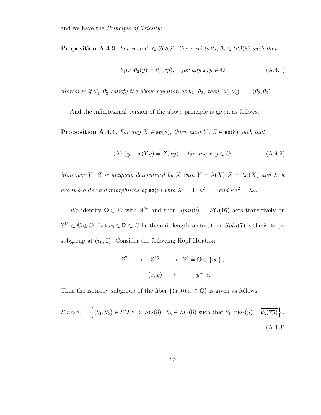and we have the Principle of Triality:

**Proposition A.4.3.** For each  $\theta_1 \in SO(8)$ , there exists  $\theta_2$ ,  $\theta_3 \in SO(8)$  such that

$$
\theta_1(x)\theta_2(y) = \theta_3(xy), \quad \text{for any } x, y \in \mathbb{O} \tag{A.4.1}
$$

Moreover if  $\theta'_2$ ,  $\theta'_3$  satisfy the above equation as  $\theta_2$ ,  $\theta_3$ , then  $(\theta'_2, \theta'_3) = \pm (\theta_2, \theta_3)$ .

And the infinitesimal version of the above principle is given as follows:

**Proposition A.4.4.** For any  $X \in \mathfrak{so}(8)$ , there exist Y,  $Z \in \mathfrak{so}(8)$  such that

$$
(Xx)y + x(Yy) = Z(xy) \quad \text{for any } x, y \in \mathbb{O}.\tag{A.4.2}
$$

Moreover Y, Z is uniquely determined by X with  $Y = \lambda(X)$ ,  $Z = \lambda \kappa(X)$  and  $\lambda$ ,  $\kappa$ are two outer automorphisms of  $\mathfrak{so}(8)$  with  $\lambda^3 = 1$ ,  $\kappa^2 = 1$  and  $\kappa \lambda^2 = \lambda \kappa$ .

We identify  $\mathbb{O} \oplus \mathbb{O}$  with  $\mathbb{R}^{16}$  and then  $Spin(9) \subset SO(16)$  acts transitively on  $\mathbb{S}^{15} \subset \mathbb{O} \oplus \mathbb{O}$ . Let  $v_0 \in \mathbb{R} \subset \mathbb{O}$  be the unit length vector, then  $Spin(7)$  is the isotropy subgroup at  $(v_0, 0)$ . Consider the following Hopf fibration:

$$
\mathbb{S}^7 \longrightarrow \mathbb{S}^{15} \longrightarrow \mathbb{S}^8 = \mathbb{O} \cup \{\infty\},
$$
  

$$
(x, y) \mapsto y^{-1}\bar{x}.
$$

Then the isotropy subgroup of the fiber  $\{(x,0)|x\in\mathbb{O}\}\)$  is given as follows:

$$
Spin(8) = \left\{ (\theta_1, \theta_2) \in SO(8) \times SO(8) | \exists \theta_3 \in SO(8) \text{ such that } \theta_1(x)\theta_2(y) = \overline{\theta_3(\overline{xy})} \right\},\
$$
\n(A.4.3)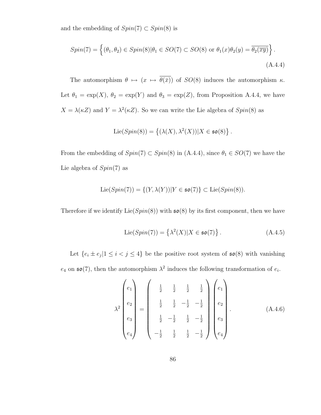and the embedding of  $Spin(7) \subset Spin(8)$  is

$$
Spin(7) = \left\{ (\theta_1, \theta_2) \in Spin(8) | \theta_1 \in SO(7) \subset SO(8) \text{ or } \theta_1(x)\theta_2(y) = \overline{\theta_2(\overline{xy})} \right\}.
$$
\n(A.4.4)

The automorphism  $\theta \mapsto (x \mapsto \overline{\theta(\bar{x})})$  of  $SO(8)$  induces the automorphism  $\kappa$ . Let  $\theta_1 = \exp(X)$ ,  $\theta_2 = \exp(Y)$  and  $\theta_3 = \exp(Z)$ , from Proposition A.4.4, we have  $X = \lambda(\kappa Z)$  and  $Y = \lambda^2(\kappa Z)$ . So we can write the Lie algebra of  $Spin(8)$  as

$$
\mathrm{Lie}(Spin(8))=\left\{(\lambda(X),\lambda^2(X))|X\in \mathfrak{so}(8)\right\}.
$$

From the embedding of  $Spin(7) \subset Spin(8)$  in  $(A.4.4)$ , since  $\theta_1 \in SO(7)$  we have the Lie algebra of  $Spin(7)$  as

$$
\text{Lie}(Spin(7)) = \{ (Y, \lambda(Y)) | Y \in \mathfrak{so}(7) \} \subset \text{Lie}(Spin(8)).
$$

Therefore if we identify  $Lie(Spin(8))$  with  $\mathfrak{so}(8)$  by its first component, then we have

$$
\text{Lie}(Spin(7)) = \left\{ \lambda^2(X) | X \in \mathfrak{so}(7) \right\}. \tag{A.4.5}
$$

Let  $\{e_i \pm e_j | 1 \leq i < j \leq 4\}$  be the positive root system of  $\mathfrak{so}(8)$  with vanishing

 $e_4$  on  $\mathfrak{so}(7)$ , then the automorphism  $\lambda^2$  induces the following transformation of  $e_i$ .

$$
\lambda^{2}\begin{pmatrix} e_1 \\ e_2 \\ e_3 \\ e_4 \end{pmatrix} = \begin{pmatrix} \frac{1}{2} & \frac{1}{2} & \frac{1}{2} & \frac{1}{2} \\ \frac{1}{2} & \frac{1}{2} & -\frac{1}{2} & -\frac{1}{2} \\ \frac{1}{2} & -\frac{1}{2} & \frac{1}{2} & -\frac{1}{2} \\ -\frac{1}{2} & \frac{1}{2} & \frac{1}{2} & -\frac{1}{2} \end{pmatrix} \begin{pmatrix} e_1 \\ e_2 \\ e_3 \\ e_4 \end{pmatrix} . \tag{A.4.6}
$$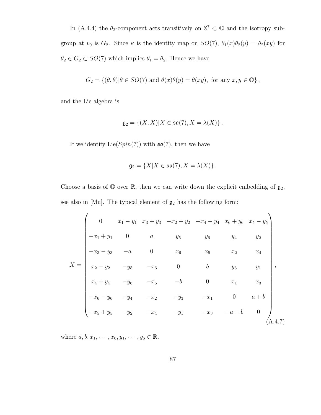In (A.4.4) the  $\theta_2$ -component acts transitively on  $\mathbb{S}^7 \subset \mathbb{O}$  and the isotropy subgroup at  $v_0$  is  $G_2$ . Since  $\kappa$  is the identity map on  $SO(7)$ ,  $\theta_1(x)\theta_2(y) = \theta_2(xy)$  for  $\theta_2 \in G_2 \subset SO(7)$  which implies  $\theta_1 = \theta_2$ . Hence we have

$$
G_2 = \{(\theta, \theta) | \theta \in SO(7) \text{ and } \theta(x)\theta(y) = \theta(xy), \text{ for any } x, y \in \mathbb{O}\},
$$

and the Lie algebra is

$$
\mathfrak{g}_2 = \{(X,X)|X \in \mathfrak{so}(7), X = \lambda(X)\}.
$$

If we identify  $Lie(Spin(7))$  with  $\mathfrak{so}(7)$ , then we have

$$
\mathfrak{g}_2 = \{ X | X \in \mathfrak{so}(7), X = \lambda(X) \}.
$$

Choose a basis of  $\mathbb O$  over  $\mathbb R$ , then we can write down the explicit embedding of  $\mathfrak g_2$ , see also in [Mu]. The typical element of  $\mathfrak{g}_2$  has the following form:

$$
X = \begin{pmatrix}\n0 & x_1 - y_1 & x_3 + y_3 & -x_2 + y_2 & -x_4 - y_4 & x_6 + y_6 & x_5 - y_5 \\
-x_1 + y_1 & 0 & a & y_5 & y_6 & y_4 & y_2 \\
-x_3 - y_3 & -a & 0 & x_6 & x_5 & x_2 & x_4 \\
x_2 - y_2 & -y_5 & -x_6 & 0 & b & y_3 & y_1 \\
x_4 + y_4 & -y_6 & -x_5 & -b & 0 & x_1 & x_3 \\
-x_6 - y_6 & -y_4 & -x_2 & -y_3 & -x_1 & 0 & a+b \\
-x_5 + y_5 & -y_2 & -x_4 & -y_1 & -x_3 & -a-b & 0\n\end{pmatrix},
$$
\n(A.4.7)

where  $a, b, x_1, \dots, x_6, y_1, \dots, y_6 \in \mathbb{R}$ .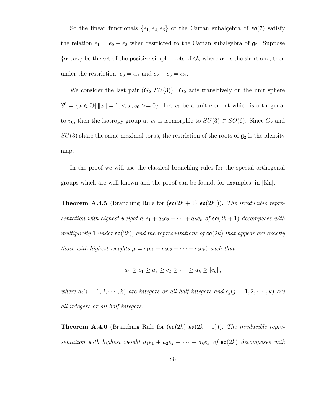So the linear functionals  $\{e_1, e_2, e_3\}$  of the Cartan subalgebra of  $\mathfrak{so}(7)$  satisfy the relation  $e_1 = e_2 + e_3$  when restricted to the Cartan subalgebra of  $\mathfrak{g}_2$ . Suppose  $\{\alpha_1, \alpha_2\}$  be the set of the positive simple roots of  $G_2$  where  $\alpha_1$  is the short one, then under the restriction,  $\overline{e_3} = \alpha_1$  and  $\overline{e_2 - e_3} = \alpha_2$ .

We consider the last pair  $(G_2, SU(3))$ .  $G_2$  acts transitively on the unit sphere  $\mathbb{S}^6 = \{x \in \mathbb{O} | ||x|| = 1, \langle x, v_0 \rangle = 0\}.$  Let  $v_1$  be a unit element which is orthogonal to  $v_0$ , then the isotropy group at  $v_1$  is isomorphic to  $SU(3) \subset SO(6)$ . Since  $G_2$  and  $SU(3)$  share the same maximal torus, the restriction of the roots of  $\mathfrak{g}_2$  is the identity map.

In the proof we will use the classical branching rules for the special orthogonal groups which are well-known and the proof can be found, for examples, in [Kn].

**Theorem A.4.5** (Branching Rule for  $(\mathfrak{so}(2k+1), \mathfrak{so}(2k))$ ). The irreducible representation with highest weight  $a_1e_1 + a_2e_2 + \cdots + a_ke_k$  of  $\mathfrak{so}(2k+1)$  decomposes with multiplicity 1 under  $\mathfrak{so}(2k)$ , and the representations of  $\mathfrak{so}(2k)$  that appear are exactly those with highest weights  $\mu = c_1e_1 + c_2e_2 + \cdots + c_ke_k$  such that

$$
a_1 \geq c_1 \geq a_2 \geq c_2 \geq \cdots \geq a_k \geq |c_k|,
$$

where  $a_i(i = 1, 2, \dots, k)$  are integers or all half integers and  $c_j(j = 1, 2, \dots, k)$  are all integers or all half integers.

**Theorem A.4.6** (Branching Rule for  $(\mathfrak{so}(2k), \mathfrak{so}(2k-1))$ ). The irreducible representation with highest weight  $a_1e_1 + a_2e_2 + \cdots + a_ke_k$  of  $\mathfrak{so}(2k)$  decomposes with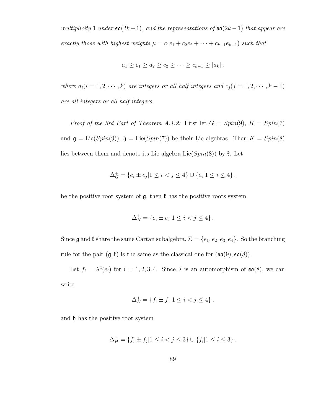multiplicity 1 under  $\mathfrak{so}(2k-1)$ , and the representations of  $\mathfrak{so}(2k-1)$  that appear are exactly those with highest weights  $\mu = c_1e_1 + c_2e_2 + \cdots + c_{k-1}e_{k-1}$  such that

$$
a_1 \ge c_1 \ge a_2 \ge c_2 \ge \cdots \ge c_{k-1} \ge |a_k|
$$
,

where  $a_i(i = 1, 2, \dots, k)$  are integers or all half integers and  $c_j(j = 1, 2, \dots, k - 1)$ are all integers or all half integers.

Proof of the 3rd Part of Theorem A.1.2: First let  $G = Spin(9)$ ,  $H = Spin(7)$ and  $\mathfrak{g} = \text{Lie}(Spin(9))$ ,  $\mathfrak{h} = \text{Lie}(Spin(7))$  be their Lie algebras. Then  $K = Spin(8)$ lies between them and denote its Lie algebra  $Lie(Spin(8))$  by  $\ell$ . Let

$$
\Delta^+_G=\left\{e_i\pm e_j|1\leq i
$$

be the positive root system of  $\mathfrak{g}$ , then  $\mathfrak{k}$  has the positive roots system

$$
\Delta_K^+ = \{e_i \pm e_j | 1 \le i < j \le 4\} \, .
$$

Since  $\mathfrak g$  and  $\mathfrak k$  share the same Cartan subalgebra,  $\Sigma = \{e_1, e_2, e_3, e_4\}$ . So the branching rule for the pair  $(g, \ell)$  is the same as the classical one for  $(\mathfrak{so}(9), \mathfrak{so}(8))$ .

Let  $f_i = \lambda^2(e_i)$  for  $i = 1, 2, 3, 4$ . Since  $\lambda$  is an automorphism of  $\mathfrak{so}(8)$ , we can write

$$
\Delta_K^+ = \{ f_i \pm f_j | 1 \le i < j \le 4 \},
$$

and  $\mathfrak h$  has the positive root system

$$
\Delta_H^+ = \{ f_i \pm f_j | 1 \le i < j \le 3 \} \cup \{ f_i | 1 \le i \le 3 \}.
$$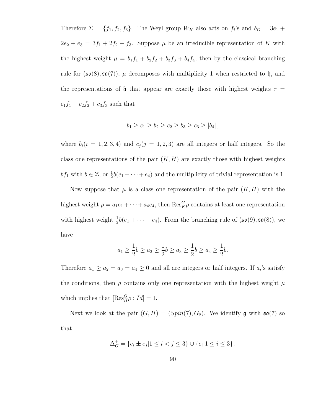Therefore  $\Sigma = \{f_1, f_2, f_3\}$ . The Weyl group  $W_K$  also acts on  $f_i$ 's and  $\delta_G = 3e_1 +$  $2e_2 + e_3 = 3f_1 + 2f_2 + f_3$ . Suppose  $\mu$  be an irreducible representation of K with the highest weight  $\mu = b_1 f_1 + b_2 f_2 + b_3 f_3 + b_4 f_4$ , then by the classical branching rule for  $(\mathfrak{so}(8), \mathfrak{so}(7))$ ,  $\mu$  decomposes with multiplicity 1 when restricted to  $\mathfrak{h}$ , and the representations of h that appear are exactly those with highest weights  $\tau =$  $c_1f_1 + c_2f_2 + c_3f_3$  such that

$$
b_1 \ge c_1 \ge b_2 \ge c_2 \ge b_3 \ge c_3 \ge |b_4|,
$$

where  $b_i(i = 1, 2, 3, 4)$  and  $c_j(j = 1, 2, 3)$  are all integers or half integers. So the class one representations of the pair  $(K, H)$  are exactly those with highest weights bf<sub>1</sub> with  $b \in \mathbb{Z}$ , or  $\frac{1}{2}b(e_1 + \cdots + e_4)$  and the multiplicity of trivial representation is 1.

Now suppose that  $\mu$  is a class one representation of the pair  $(K, H)$  with the highest weight  $\rho = a_1 e_1 + \cdots + a_4 e_4$ , then  $\text{Res}_{K}^G \rho$  contains at least one representation with highest weight  $\frac{1}{2}b(e_1 + \cdots + e_4)$ . From the branching rule of  $(\mathfrak{so}(9), \mathfrak{so}(8))$ , we have

$$
a_1 \ge \frac{1}{2}b \ge a_2 \ge \frac{1}{2}b \ge a_3 \ge \frac{1}{2}b \ge a_4 \ge \frac{1}{2}b.
$$

Therefore  $a_1 \ge a_2 = a_3 = a_4 \ge 0$  and all are integers or half integers. If  $a_i$ 's satisfy the conditions, then  $\rho$  contains only one representation with the highest weight  $\mu$ which implies that  $[\text{Res}_{H}^{G} \rho : Id] = 1.$ 

Next we look at the pair  $(G, H) = (Spin(7), G_2)$ . We identify g with  $\mathfrak{so}(7)$  so that

$$
\Delta_G^+ = \{e_i \pm e_j | 1 \leq i < j \leq 3\} \cup \{e_i | 1 \leq i \leq 3\}.
$$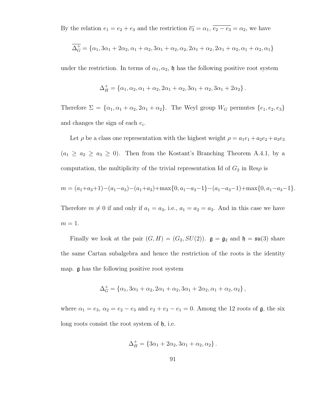By the relation  $e_1 = e_2 + e_3$  and the restriction  $\overline{e_3} = \alpha_1, \overline{e_2 - e_3} = \alpha_2$ , we have

$$
\overline{\Delta_G^+} = {\alpha_1, 3\alpha_1 + 2\alpha_2, \alpha_1 + \alpha_2, 3\alpha_1 + \alpha_2, \alpha_2, 2\alpha_1 + \alpha_2, 2\alpha_1 + \alpha_2, \alpha_1 + \alpha_2, \alpha_1}
$$

under the restriction. In terms of  $\alpha_1, \alpha_2$ ,  $\mathfrak{h}$  has the following positive root system

$$
\Delta_H^+ = \{\alpha_1, \alpha_2, \alpha_1 + \alpha_2, 2\alpha_1 + \alpha_2, 3\alpha_1 + \alpha_2, 3\alpha_1 + 2\alpha_2\}.
$$

Therefore  $\Sigma = {\alpha_1, \alpha_1 + \alpha_2, 2\alpha_1 + \alpha_2}$ . The Weyl group  $W_G$  permutes  ${e_1, e_2, e_3}$ and changes the sign of each  $e_i$ .

Let  $\rho$  be a class one representation with the highest weight  $\rho = a_1e_1 + a_2e_2 + a_3e_3$  $(a_1 \ge a_2 \ge a_3 \ge 0)$ . Then from the Kostant's Branching Theorem A.4.1, by a computation, the multiplicity of the trivial representation Id of  $G_2$  in Res $\rho$  is

$$
m = (a_1 + a_3 + 1) - (a_1 - a_3) - (a_1 + a_3) + \max\{0, a_1 - a_3 - 1\} - (a_1 - a_3 - 1) + \max\{0, a_1 - a_3 - 1\}.
$$

Therefore  $m \neq 0$  if and only if  $a_1 = a_3$ , i.e.,  $a_1 = a_2 = a_3$ . And in this case we have  $m=1$ .

Finally we look at the pair  $(G, H) = (G_2, SU(2))$ .  $\mathfrak{g} = \mathfrak{g}_2$  and  $\mathfrak{h} = \mathfrak{su}(3)$  share the same Cartan subalgebra and hence the restriction of the roots is the identity map. g has the following positive root system

$$
\Delta_G^+ = \{ \alpha_1, 3\alpha_1 + \alpha_2, 2\alpha_1 + \alpha_2, 3\alpha_1 + 2\alpha_2, \alpha_1 + \alpha_2, \alpha_2 \},
$$

where  $\alpha_1 = e_3$ ,  $\alpha_2 = e_2 - e_3$  and  $e_2 + e_3 - e_1 = 0$ . Among the 12 roots of  $\mathfrak{g}$ , the six long roots consist the root system of h, i.e.

$$
\Delta_H^+ = \{3\alpha_1 + 2\alpha_2, 3\alpha_1 + \alpha_2, \alpha_2\}.
$$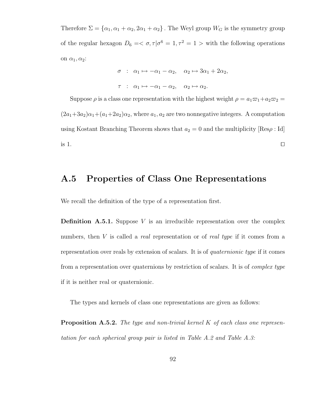Therefore  $\Sigma = {\alpha_1, \alpha_1 + \alpha_2, 2\alpha_1 + \alpha_2}$ . The Weyl group  $W_G$  is the symmetry group of the regular hexagon  $D_6 = \langle \sigma, \tau | \sigma^6 = 1, \tau^2 = 1 \rangle$  with the following operations on  $\alpha_1, \alpha_2$ :

$$
\sigma : \alpha_1 \mapsto -\alpha_1 - \alpha_2, \quad \alpha_2 \mapsto 3\alpha_1 + 2\alpha_2,
$$
  

$$
\tau : \alpha_1 \mapsto -\alpha_1 - \alpha_2, \quad \alpha_2 \mapsto \alpha_2.
$$

Suppose  $\rho$  is a class one representation with the highest weight  $\rho = a_1 \varpi_1 + a_2 \varpi_2 =$  $(2a_1+3a_2)\alpha_1+(a_1+2a_2)\alpha_2$ , where  $a_1, a_2$  are two nonnegative integers. A computation using Kostant Branching Theorem shows that  $a_2 = 0$  and the multiplicity [Res $\rho : Id$ ] is 1.  $\Box$ 

#### A.5 Properties of Class One Representations

We recall the definition of the type of a representation first.

**Definition A.5.1.** Suppose  $V$  is an irreducible representation over the complex numbers, then  $V$  is called a *real* representation or of *real type* if it comes from a representation over reals by extension of scalars. It is of quaternionic type if it comes from a representation over quaternions by restriction of scalars. It is of complex type if it is neither real or quaternionic.

The types and kernels of class one representations are given as follows:

**Proposition A.5.2.** The type and non-trivial kernel  $K$  of each class one representation for each spherical group pair is listed in Table A.2 and Table A.3: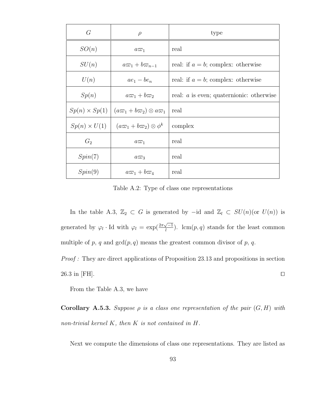| G                    | $\rho$                                   | type                                       |
|----------------------|------------------------------------------|--------------------------------------------|
| SO(n)                | $a\varpi_1$                              | real                                       |
| SU(n)                | $a\varpi_1+b\varpi_{n-1}$                | real: if $a = b$ ; complex: otherwise      |
| U(n)                 | $ae_1 - be_n$                            | real: if $a = b$ ; complex: otherwise      |
| Sp(n)                | $a\varpi_1+b\varpi_2$                    | real: $a$ is even; quaternionic: otherwise |
| $Sp(n) \times Sp(1)$ | $(a\varpi_1+b\varpi_2)\otimes a\varpi_1$ | real                                       |
| $Sp(n) \times U(1)$  | $(a\varpi_1+b\varpi_2)\otimes\phi^k$     | complex                                    |
| $G_2$                | $a\varpi_1$                              | real                                       |
| Spin(7)              | $a\varpi_3$                              | real                                       |
| Spin(9)              | $a\varpi_1+b\varpi_4$                    | real                                       |

Table A.2: Type of class one representations

In the table A.3,  $\mathbb{Z}_2$  ⊂ G is generated by −id and  $\mathbb{Z}_l$  ⊂  $SU(n)$ (or  $U(n)$ ) is generated by  $\varphi_l$  · Id with  $\varphi_l = \exp(\frac{2\pi\sqrt{-1}}{l})$  $\frac{\sqrt{-1}}{l}$ ). lcm(p,q) stands for the least common multiple of p, q and  $gcd(p, q)$  means the greatest common divisor of p, q.

Proof : They are direct applications of Proposition 23.13 and propositions in section  $26.3$  in [FH].

From the Table A.3, we have

**Corollary A.5.3.** Suppose  $\rho$  is a class one representation of the pair  $(G, H)$  with non-trivial kernel  $K$ , then  $K$  is not contained in  $H$ .

Next we compute the dimensions of class one representations. They are listed as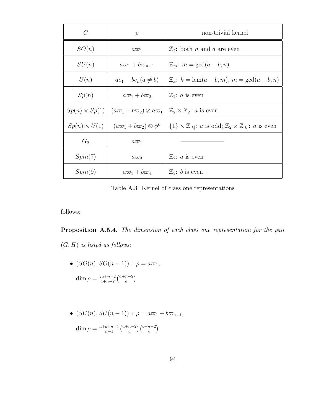| G                    | $\rho$                                   | non-trivial kernel                                                                                         |
|----------------------|------------------------------------------|------------------------------------------------------------------------------------------------------------|
| SO(n)                | $a\varpi_1$                              | $\mathbb{Z}_2$ : both <i>n</i> and <i>a</i> are even                                                       |
| SU(n)                | $a\varpi_1+b\varpi_{n-1}$                | $\mathbb{Z}_m$ : $m = \gcd(a+b, n)$                                                                        |
| U(n)                 | $ae_1 - be_n(a \neq b)$                  | $\mathbb{Z}_k$ : $k = \text{lcm}(a - b, m)$ , $m = \text{gcd}(a + b, n)$                                   |
| Sp(n)                | $a\varpi_1+b\varpi_2$                    | $\mathbb{Z}_2$ : <i>a</i> is even                                                                          |
| $Sp(n) \times Sp(1)$ | $(a\varpi_1+b\varpi_2)\otimes a\varpi_1$ | $\mathbb{Z}_2 \times \mathbb{Z}_2$ : a is even                                                             |
| $Sp(n) \times U(1)$  | $(a\varpi_1+b\varpi_2)\otimes\phi^k$     | $\{1\} \times \mathbb{Z}_{ k }: a \text{ is odd}; \mathbb{Z}_2 \times \mathbb{Z}_{ k }: a \text{ is even}$ |
| $G_2$                | $a\varpi_1$                              |                                                                                                            |
| Spin(7)              | $a\varpi_3$                              | $\mathbb{Z}_2$ : <i>a</i> is even                                                                          |
| Spin(9)              | $a\varpi_1+b\varpi_4$                    | $\mathbb{Z}_2$ : b is even                                                                                 |

Table A.3: Kernel of class one representations

follows:

Proposition A.5.4. The dimension of each class one representation for the pair  $(G, H)$  is listed as follows:

•  $(SO(n), SO(n-1))$ :  $\rho = a\varpi_1$ ,

$$
\dim \rho = \frac{2a + n - 2}{a + n - 2} {a + n - 2 \choose a}
$$

• 
$$
(SU(n), SU(n-1)) : \rho = a\omega_1 + b\omega_{n-1},
$$
  
\n
$$
\dim \rho = \frac{a+b+n-1}{n-1} {a+n-2 \choose a} {b+n-2 \choose b}
$$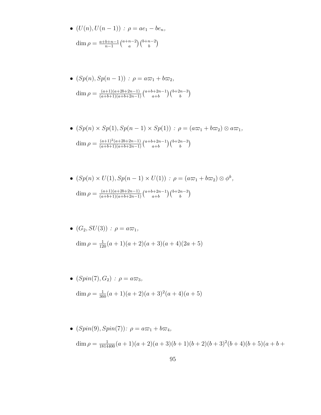• 
$$
(U(n), U(n-1))
$$
 :  $\rho = ae_1 - be_n$ ,  
\n
$$
\dim \rho = \frac{a+b+n-1}{n-1} {a+n-2 \choose a} {b+n-2 \choose b}
$$

• 
$$
(Sp(n), Sp(n-1)) : \rho = a\overline{\omega}_1 + b\overline{\omega}_2,
$$
  
\n
$$
\dim \rho = \frac{(a+1)(a+2b+2n-1)}{(a+b+1)(a+b+2n-1)} \left(\begin{array}{c} a+b+2n-1 \ a+b \end{array}\right) \left(\begin{array}{c} b+2n-3 \ b \end{array}\right)
$$

• 
$$
(Sp(n) \times Sp(1), Sp(n-1) \times Sp(1)) : \rho = (a\varpi_1 + b\varpi_2) \otimes a\varpi_1,
$$
  
\n
$$
\dim \rho = \frac{(a+1)^2(a+2b+2n-1)}{(a+b+1)(a+b+2n-1)} {a+b+2n-1 \choose a+b} {b+2n-3 \choose b}
$$

• 
$$
(Sp(n) \times U(1), Sp(n-1) \times U(1)) : \rho = (a\varpi_1 + b\varpi_2) \otimes \phi^k,
$$
  
\n
$$
\dim \rho = \frac{(a+1)(a+2b+2n-1)}{(a+b+1)(a+b+2n-1)} {a+b+2n-1 \choose a+b} {b+2n-3 \choose b}
$$

• 
$$
(G_2, SU(3)) : \rho = a\varpi_1,
$$
  
\n
$$
\dim \rho = \frac{1}{120}(a+1)(a+2)(a+3)(a+4)(2a+5)
$$

• 
$$
(Spin(7), G_2) : \rho = a\varpi_3,
$$

$$
\dim \rho = \frac{1}{360}(a+1)(a+2)(a+3)^2(a+4)(a+5)
$$

• 
$$
(Spin(9), Spin(7))
$$
:  $\rho = a\omega_1 + b\omega_4$ ,  
\n
$$
\dim \rho = \frac{1}{1814400}(a+1)(a+2)(a+3)(b+1)(b+2)(b+3)^2(b+4)(b+5)(a+b+1)
$$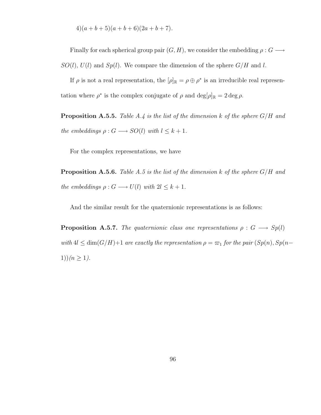$$
4)(a+b+5)(a+b+6)(2a+b+7).
$$

Finally for each spherical group pair  $(G, H)$ , we consider the embedding  $\rho : G \longrightarrow$  $SO(l), U(l)$  and  $Sp(l)$ . We compare the dimension of the sphere  $G/H$  and l.

If  $\rho$  is not a real representation, the  $[\rho]_{\mathbb{R}} = \rho \oplus \rho^*$  is an irreducible real representation where  $\rho^*$  is the complex conjugate of  $\rho$  and  $\deg[\rho]_{\mathbb{R}} = 2 \deg \rho$ .

**Proposition A.5.5.** Table A.4 is the list of the dimension k of the sphere  $G/H$  and the embeddings  $\rho: G \longrightarrow SO(l)$  with  $l \leq k+1$ .

For the complex representations, we have

**Proposition A.5.6.** Table A.5 is the list of the dimension k of the sphere  $G/H$  and the embeddings  $\rho: G \longrightarrow U(l)$  with  $2l \leq k+1$ .

And the similar result for the quaternionic representations is as follows:

**Proposition A.5.7.** The quaternionic class one representations  $\rho : G \longrightarrow Sp(l)$ with  $4l \leq \dim(G/H)+1$  are exactly the representation  $\rho = \varpi_1$  for the pair  $(Sp(n), Sp(n-1))$ 1)) $(n \ge 1)$ .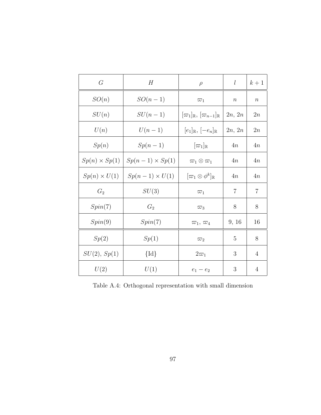| G                    | H                      | $\rho$                                                 | l                | $k+1$            |
|----------------------|------------------------|--------------------------------------------------------|------------------|------------------|
| SO(n)                | $SO(n-1)$              | $\varpi_1$                                             | $\boldsymbol{n}$ | $\boldsymbol{n}$ |
| SU(n)                | $SU(n-1)$              | $[\varpi_1]_{\mathbb{R}}, [\varpi_{n-1}]_{\mathbb{R}}$ | 2n, 2n           | 2n               |
| U(n)                 | $U(n-1)$               | $[e_1]_{\mathbb{R}}, [-e_n]_{\mathbb{R}}$              | 2n, 2n           | 2n               |
| Sp(n)                | $Sp(n-1)$              | $[\varpi_1]_{\mathbb{R}}$                              | 4n               | 4n               |
| $Sp(n) \times Sp(1)$ | $Sp(n-1) \times Sp(1)$ | $\varpi_1\otimes\varpi_1$                              | 4n               | 4n               |
| $Sp(n) \times U(1)$  | $Sp(n-1) \times U(1)$  | $[\varpi_1 \otimes \phi^k]_{\mathbb{R}}$               | 4n               | 4n               |
| $G_2$                | SU(3)                  | $\varpi_1$                                             | 7                | 7                |
| Spin(7)              | $G_2$                  | $\overline{\omega}_3$                                  | 8                | 8                |
| Spin(9)              | Spin(7)                | $\varpi_1, \varpi_4$                                   | 9, 16            | 16               |
| Sp(2)                | Sp(1)                  | $\varpi_2$                                             | 5                | 8                |
| SU(2), Sp(1)         | $\{Id\}$               | $2\varpi_1$                                            | 3                | $\overline{4}$   |
| U(2)                 | U(1)                   | $e_1 - e_2$                                            | 3                | 4                |

Table A.4: Orthogonal representation with small dimension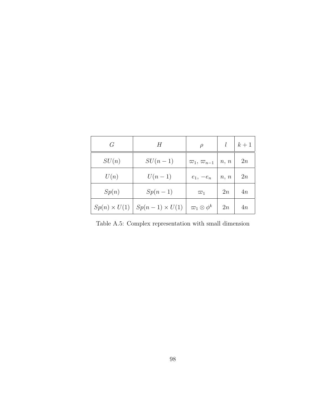| G     | H                                           | $\rho$                             |      | $k+1$ |
|-------|---------------------------------------------|------------------------------------|------|-------|
| SU(n) | $SU(n-1)$                                   | $\varpi_1, \varpi_{n-1} \mid n, n$ |      | 2n    |
| U(n)  | $U(n-1)$                                    | $e_1, -e_n$                        | n, n | 2n    |
| Sp(n) | $Sp(n-1)$                                   | $\overline{\omega}_1$              | 2n   | 4n    |
|       | $Sp(n) \times U(1)$   $Sp(n-1) \times U(1)$ | $\varpi_1\otimes\phi^k$            | 2n   | 4n    |

Table A.5: Complex representation with small dimension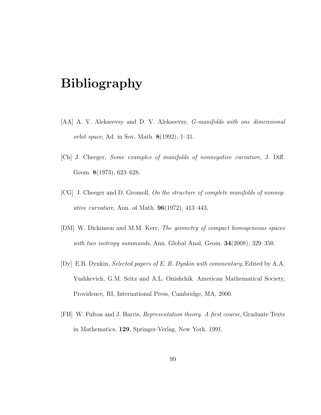## Bibliography

- [AA] A. V. Alekseevsy and D. V. Alekseevsy, *G-manifolds with one dimensional* orbit space, Ad. in Sov. Math.  $8(1992)$ , 1–31.
- [Ch] J. Cheeger, Some examples of manifolds of nonnegative curvature, J. Diff. Geom. 8(1973), 623–628.
- [CG] J. Cheeger and D. Gromoll, On the structure of complete manifolds of nonnegative curvature, Ann. of Math. 96(1972), 413–443.
- [DM] W. Dickinson and M.M. Kerr, The geometry of compact homogeneous spaces with two isotropy summands, Ann. Global Anal. Geom. **34**(2008), 329–350.
- [Dy] E.B. Dynkin, Selected papers of E. B. Dynkin with commentary, Edited by A.A. Yushkevich, G.M. Seitz and A.L. Onishchik. American Mathematical Society, Providence, RI, International Press, Cambridge, MA, 2000.
- [FH] W. Fulton and J. Harris, Representation theory. A first course, Graduate Texts in Mathematics, 129, Springer-Verlag, New York, 1991.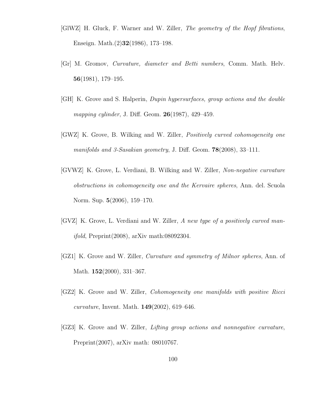- [GlWZ] H. Gluck, F. Warner and W. Ziller, The geometry of the Hopf fibrations, Enseign. Math.(2)32(1986), 173–198.
- [Gr] M. Gromov, Curvature, diameter and Betti numbers, Comm. Math. Helv. 56(1981), 179–195.
- [GH] K. Grove and S. Halperin, Dupin hypersurfaces, group actions and the double mapping cylinder, J. Diff. Geom. **26**(1987), 429–459.
- [GWZ] K. Grove, B. Wilking and W. Ziller, Positively curved cohomogeneity one manifolds and 3-Sasakian geometry, J. Diff. Geom. **78**(2008), 33-111.
- [GVWZ] K. Grove, L. Verdiani, B. Wilking and W. Ziller, Non-negative curvature obstructions in cohomogeneity one and the Kervaire spheres, Ann. del. Scuola Norm. Sup. 5(2006), 159–170.
- [GVZ] K. Grove, L. Verdiani and W. Ziller, A new type of a positively curved manifold, Preprint(2008), arXiv math:08092304.
- [GZ1] K. Grove and W. Ziller, Curvature and symmetry of Milnor spheres, Ann. of Math. **152**(2000), 331–367.
- [GZ2] K. Grove and W. Ziller, Cohomogeneity one manifolds with positive Ricci *curvature*, Invent. Math.  $149(2002)$ , 619–646.
- [GZ3] K. Grove and W. Ziller, Lifting group actions and nonnegative curvature, Preprint(2007), arXiv math: 08010767.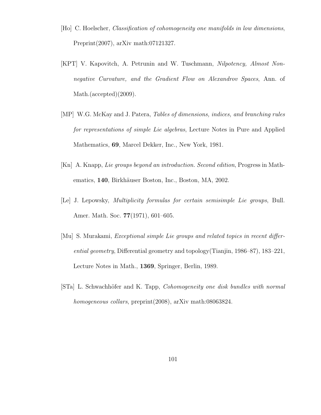- [Ho] C. Hoelscher, Classification of cohomogeneity one manifolds in low dimensions, Preprint(2007), arXiv math:07121327.
- [KPT] V. Kapovitch, A. Petrunin and W. Tuschmann, Nilpotency, Almost Nonnegative Curvature, and the Gradient Flow on Alexandrov Spaces, Ann. of Math.(accepted)(2009).
- [MP] W.G. McKay and J. Patera, Tables of dimensions, indices, and branching rules for representations of simple Lie algebras, Lecture Notes in Pure and Applied Mathematics, 69, Marcel Dekker, Inc., New York, 1981.
- [Kn] A. Knapp, Lie groups beyond an introduction. Second edition, Progress in Mathematics, 140, Birkhäuser Boston, Inc., Boston, MA, 2002.
- [Le] J. Lepowsky, Multiplicity formulas for certain semisimple Lie groups, Bull. Amer. Math. Soc. 77(1971), 601–605.
- [Mu] S. Murakami, Exceptional simple Lie groups and related topics in recent differential geometry, Differential geometry and topology(Tianjin, 1986–87), 183–221, Lecture Notes in Math., 1369, Springer, Berlin, 1989.
- [STa] L. Schwachhöfer and K. Tapp, *Cohomogeneity one disk bundles with normal* homogeneous collars, preprint(2008), arXiv math:08063824.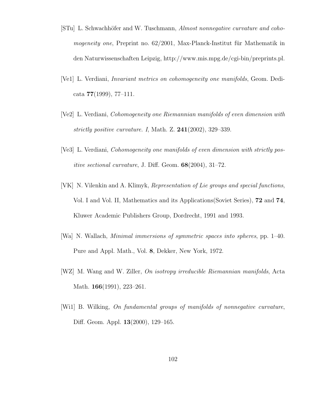- [STu] L. Schwachhöfer and W. Tuschmann, Almost nonnegative curvature and cohomogeneity one, Preprint no.  $62/2001$ , Max-Planck-Institut für Mathematik in den Naturwissenschaften Leipzig, http://www.mis.mpg.de/cgi-bin/preprints.pl.
- [Ve1] L. Verdiani, Invariant metrics on cohomogeneity one manifolds, Geom. Dedicata 77(1999), 77–111.
- [Ve2] L. Verdiani, Cohomogeneity one Riemannian manifolds of even dimension with strictly positive curvature. I, Math. Z.  $241(2002)$ , 329–339.
- [Ve3] L. Verdiani, Cohomogeneity one manifolds of even dimension with strictly pos*itive sectional curvature*, J. Diff. Geom.  $68(2004)$ , 31–72.
- [VK] N. Vilenkin and A. Klimyk, Representation of Lie groups and special functions, Vol. I and Vol. II, Mathematics and its Applications(Soviet Series), 72 and 74, Kluwer Academic Publishers Group, Dordrecht, 1991 and 1993.
- [Wa] N. Wallach, Minimal immersions of symmetric spaces into spheres, pp. 1–40. Pure and Appl. Math., Vol. 8, Dekker, New York, 1972.
- [WZ] M. Wang and W. Ziller, On isotropy irreducible Riemannian manifolds, Acta Math. **166**(1991), 223–261.
- [Wi1] B. Wilking, On fundamental groups of manifolds of nonnegative curvature, Diff. Geom. Appl. 13(2000), 129–165.